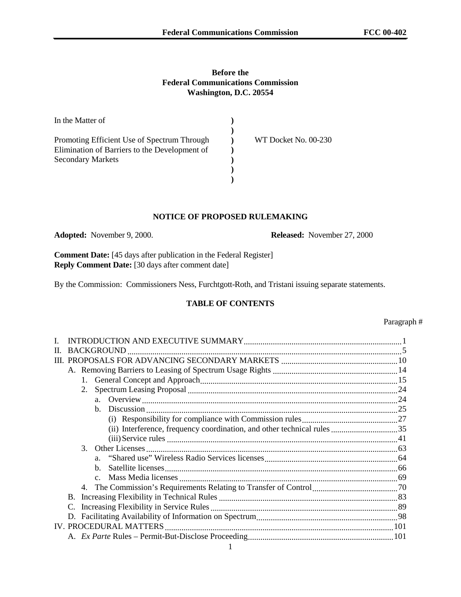# **Before the Federal Communications Commission Washington, D.C. 20554**

| In the Matter of                              |                      |
|-----------------------------------------------|----------------------|
|                                               |                      |
| Promoting Efficient Use of Spectrum Through   | WT Docket No. 00-230 |
| Elimination of Barriers to the Development of |                      |
| <b>Secondary Markets</b>                      |                      |
|                                               |                      |
|                                               |                      |

### **NOTICE OF PROPOSED RULEMAKING**

**Adopted:** November 9, 2000. **Released:** November 27, 2000

**Comment Date:** [45 days after publication in the Federal Register] **Reply Comment Date:** [30 days after comment date]

By the Commission: Commissioners Ness, Furchtgott-Roth, and Tristani issuing separate statements.

# **TABLE OF CONTENTS**

| П. |  |  |                |  |  |  |
|----|--|--|----------------|--|--|--|
| Ш  |  |  |                |  |  |  |
|    |  |  |                |  |  |  |
|    |  |  |                |  |  |  |
|    |  |  |                |  |  |  |
|    |  |  |                |  |  |  |
|    |  |  |                |  |  |  |
|    |  |  |                |  |  |  |
|    |  |  |                |  |  |  |
|    |  |  |                |  |  |  |
|    |  |  |                |  |  |  |
|    |  |  |                |  |  |  |
|    |  |  | $\mathbf{b}$ . |  |  |  |
|    |  |  |                |  |  |  |
|    |  |  |                |  |  |  |
|    |  |  |                |  |  |  |
|    |  |  |                |  |  |  |
|    |  |  |                |  |  |  |
|    |  |  |                |  |  |  |
|    |  |  |                |  |  |  |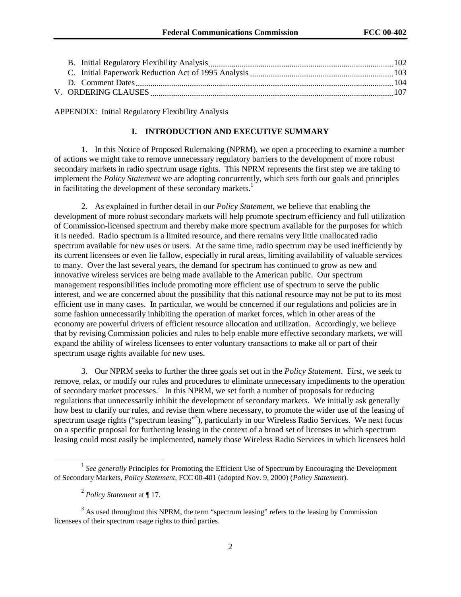APPENDIX: Initial Regulatory Flexibility Analysis

# **I. INTRODUCTION AND EXECUTIVE SUMMARY**

1. In this Notice of Proposed Rulemaking (NPRM), we open a proceeding to examine a number of actions we might take to remove unnecessary regulatory barriers to the development of more robust secondary markets in radio spectrum usage rights. This NPRM represents the first step we are taking to implement the *Policy Statement* we are adopting concurrently, which sets forth our goals and principles in facilitating the development of these secondary markets.<sup>1</sup>

2. As explained in further detail in our *Policy Statement*, we believe that enabling the development of more robust secondary markets will help promote spectrum efficiency and full utilization of Commission-licensed spectrum and thereby make more spectrum available for the purposes for which it is needed. Radio spectrum is a limited resource, and there remains very little unallocated radio spectrum available for new uses or users. At the same time, radio spectrum may be used inefficiently by its current licensees or even lie fallow, especially in rural areas, limiting availability of valuable services to many. Over the last several years, the demand for spectrum has continued to grow as new and innovative wireless services are being made available to the American public. Our spectrum management responsibilities include promoting more efficient use of spectrum to serve the public interest, and we are concerned about the possibility that this national resource may not be put to its most efficient use in many cases. In particular, we would be concerned if our regulations and policies are in some fashion unnecessarily inhibiting the operation of market forces, which in other areas of the economy are powerful drivers of efficient resource allocation and utilization. Accordingly, we believe that by revising Commission policies and rules to help enable more effective secondary markets, we will expand the ability of wireless licensees to enter voluntary transactions to make all or part of their spectrum usage rights available for new uses.

3. Our NPRM seeks to further the three goals set out in the *Policy Statement*. First, we seek to remove, relax, or modify our rules and procedures to eliminate unnecessary impediments to the operation of secondary market processes.<sup>2</sup> In this NPRM, we set forth a number of proposals for reducing regulations that unnecessarily inhibit the development of secondary markets. We initially ask generally how best to clarify our rules, and revise them where necessary, to promote the wider use of the leasing of spectrum usage rights ("spectrum leasing"<sup>3</sup>), particularly in our Wireless Radio Services. We next focus on a specific proposal for furthering leasing in the context of a broad set of licenses in which spectrum leasing could most easily be implemented, namely those Wireless Radio Services in which licensees hold

<sup>&</sup>lt;sup>1</sup> See generally Principles for Promoting the Efficient Use of Spectrum by Encouraging the Development of Secondary Markets, *Policy Statement*, FCC 00-401 (adopted Nov. 9, 2000) (*Policy Statement*).

<sup>2</sup> *Policy Statement* at ¶ 17.

 $3$  As used throughout this NPRM, the term "spectrum leasing" refers to the leasing by Commission licensees of their spectrum usage rights to third parties.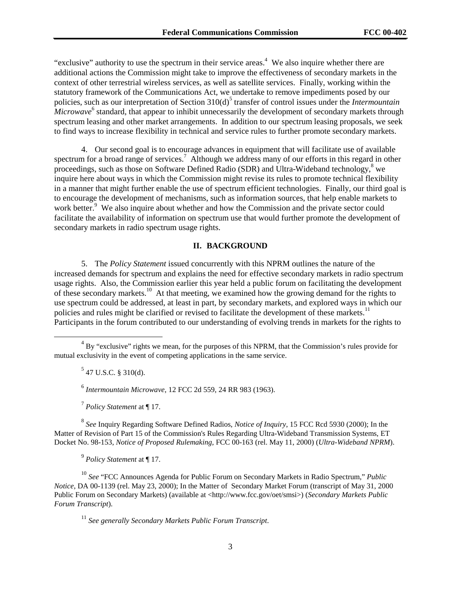"exclusive" authority to use the spectrum in their service areas.<sup>4</sup> We also inquire whether there are additional actions the Commission might take to improve the effectiveness of secondary markets in the context of other terrestrial wireless services, as well as satellite services. Finally, working within the statutory framework of the Communications Act, we undertake to remove impediments posed by our policies, such as our interpretation of Section 310(d)<sup>5</sup> transfer of control issues under the *Intermountain Microwave*<sup>6</sup> standard, that appear to inhibit unnecessarily the development of secondary markets through spectrum leasing and other market arrangements. In addition to our spectrum leasing proposals, we seek to find ways to increase flexibility in technical and service rules to further promote secondary markets.

4. Our second goal is to encourage advances in equipment that will facilitate use of available spectrum for a broad range of services.<sup>7</sup> Although we address many of our efforts in this regard in other proceedings, such as those on Software Defined Radio (SDR) and Ultra-Wideband technology,<sup>8</sup> we inquire here about ways in which the Commission might revise its rules to promote technical flexibility in a manner that might further enable the use of spectrum efficient technologies. Finally, our third goal is to encourage the development of mechanisms, such as information sources, that help enable markets to work better.<sup>9</sup> We also inquire about whether and how the Commission and the private sector could facilitate the availability of information on spectrum use that would further promote the development of secondary markets in radio spectrum usage rights.

### **II. BACKGROUND**

5. The *Policy Statement* issued concurrently with this NPRM outlines the nature of the increased demands for spectrum and explains the need for effective secondary markets in radio spectrum usage rights. Also, the Commission earlier this year held a public forum on facilitating the development of these secondary markets.10 At that meeting, we examined how the growing demand for the rights to use spectrum could be addressed, at least in part, by secondary markets, and explored ways in which our policies and rules might be clarified or revised to facilitate the development of these markets.<sup>11</sup> Participants in the forum contributed to our understanding of evolving trends in markets for the rights to

 $5$  47 U.S.C. § 310(d).

<sup>6</sup> *Intermountain Microwave*, 12 FCC 2d 559, 24 RR 983 (1963).

<sup>7</sup> *Policy Statement* at ¶ 17.

<sup>8</sup> *See* Inquiry Regarding Software Defined Radios, *Notice of Inquiry*, 15 FCC Rcd 5930 (2000); In the Matter of Revision of Part 15 of the Commission's Rules Regarding Ultra-Wideband Transmission Systems, ET Docket No. 98-153, *Notice of Proposed Rulemaking*, FCC 00-163 (rel. May 11, 2000) (*Ultra-Wideband NPRM*).

<sup>9</sup> *Policy Statement* at ¶ 17.

<sup>10</sup> *See* "FCC Announces Agenda for Public Forum on Secondary Markets in Radio Spectrum," *Public Notice*, DA 00-1139 (rel. May 23, 2000); In the Matter of Secondary Market Forum (transcript of May 31, 2000 Public Forum on Secondary Markets) (available at <http://www.fcc.gov/oet/smsi>) (*Secondary Markets Public Forum Transcript*).

<sup>11</sup> *See generally Secondary Markets Public Forum Transcript*.

 $\overline{4}$  $\rm{^{4}}$  By "exclusive" rights we mean, for the purposes of this NPRM, that the Commission's rules provide for mutual exclusivity in the event of competing applications in the same service.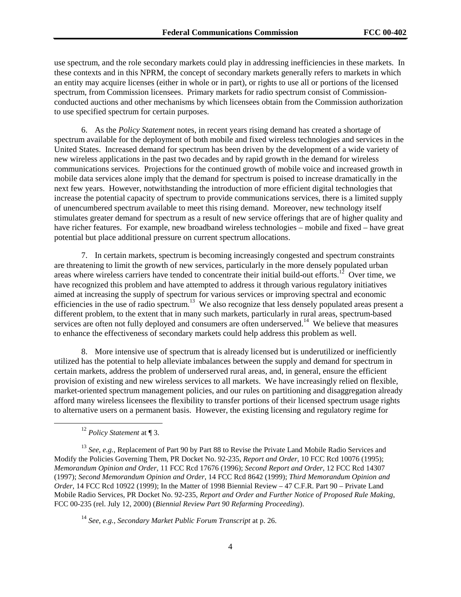use spectrum, and the role secondary markets could play in addressing inefficiencies in these markets. In these contexts and in this NPRM, the concept of secondary markets generally refers to markets in which an entity may acquire licenses (either in whole or in part), or rights to use all or portions of the licensed spectrum, from Commission licensees.Primary markets for radio spectrum consist of Commissionconducted auctions and other mechanisms by which licensees obtain from the Commission authorization to use specified spectrum for certain purposes.

6. As the *Policy Statement* notes, in recent years rising demand has created a shortage of spectrum available for the deployment of both mobile and fixed wireless technologies and services in the United States. Increased demand for spectrum has been driven by the development of a wide variety of new wireless applications in the past two decades and by rapid growth in the demand for wireless communications services. Projections for the continued growth of mobile voice and increased growth in mobile data services alone imply that the demand for spectrum is poised to increase dramatically in the next few years. However, notwithstanding the introduction of more efficient digital technologies that increase the potential capacity of spectrum to provide communications services, there is a limited supply of unencumbered spectrum available to meet this rising demand. Moreover, new technology itself stimulates greater demand for spectrum as a result of new service offerings that are of higher quality and have richer features. For example, new broadband wireless technologies – mobile and fixed – have great potential but place additional pressure on current spectrum allocations.

7. In certain markets, spectrum is becoming increasingly congested and spectrum constraints are threatening to limit the growth of new services, particularly in the more densely populated urban areas where wireless carriers have tended to concentrate their initial build-out efforts.<sup>12</sup> Over time, we have recognized this problem and have attempted to address it through various regulatory initiatives aimed at increasing the supply of spectrum for various services or improving spectral and economic efficiencies in the use of radio spectrum.<sup>13</sup> We also recognize that less densely populated areas present a different problem, to the extent that in many such markets, particularly in rural areas, spectrum-based services are often not fully deployed and consumers are often underserved.<sup>14</sup> We believe that measures to enhance the effectiveness of secondary markets could help address this problem as well.

8. More intensive use of spectrum that is already licensed but is underutilized or inefficiently utilized has the potential to help alleviate imbalances between the supply and demand for spectrum in certain markets, address the problem of underserved rural areas, and, in general, ensure the efficient provision of existing and new wireless services to all markets. We have increasingly relied on flexible, market-oriented spectrum management policies, and our rules on partitioning and disaggregation already afford many wireless licensees the flexibility to transfer portions of their licensed spectrum usage rights to alternative users on a permanent basis. However, the existing licensing and regulatory regime for

12 *Policy Statement* at ¶ 3.

<sup>13</sup> See, e.g., Replacement of Part 90 by Part 88 to Revise the Private Land Mobile Radio Services and Modify the Policies Governing Them, PR Docket No. 92-235, *Report and Order,* 10 FCC Rcd 10076 (1995); *Memorandum Opinion and Order*, 11 FCC Rcd 17676 (1996); *Second Report and Order*, 12 FCC Rcd 14307 (1997); *Second Memorandum Opinion and Order*, 14 FCC Rcd 8642 (1999); *Third Memorandum Opinion and Order*, 14 FCC Rcd 10922 (1999); In the Matter of 1998 Biennial Review – 47 C.F.R. Part 90 – Private Land Mobile Radio Services, PR Docket No. 92-235, *Report and Order and Further Notice of Proposed Rule Making*, FCC 00-235 (rel. July 12, 2000) (*Biennial Review Part 90 Refarming Proceeding*).

<sup>14</sup> *See, e.g., Secondary Market Public Forum Transcript* at p. 26.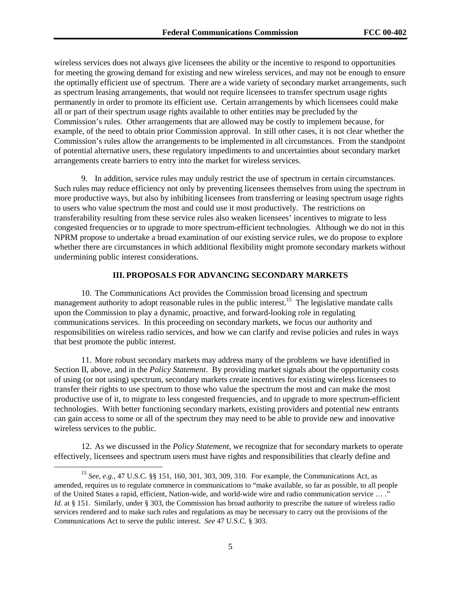wireless services does not always give licensees the ability or the incentive to respond to opportunities for meeting the growing demand for existing and new wireless services, and may not be enough to ensure the optimally efficient use of spectrum. There are a wide variety of secondary market arrangements, such as spectrum leasing arrangements, that would not require licensees to transfer spectrum usage rights permanently in order to promote its efficient use. Certain arrangements by which licensees could make all or part of their spectrum usage rights available to other entities may be precluded by the Commission's rules. Other arrangements that are allowed may be costly to implement because, for example, of the need to obtain prior Commission approval. In still other cases, it is not clear whether the Commission's rules allow the arrangements to be implemented in all circumstances. From the standpoint of potential alternative users, these regulatory impediments to and uncertainties about secondary market arrangements create barriers to entry into the market for wireless services.

9. In addition, service rules may unduly restrict the use of spectrum in certain circumstances. Such rules may reduce efficiency not only by preventing licensees themselves from using the spectrum in more productive ways, but also by inhibiting licensees from transferring or leasing spectrum usage rights to users who value spectrum the most and could use it most productively. The restrictions on transferability resulting from these service rules also weaken licensees' incentives to migrate to less congested frequencies or to upgrade to more spectrum-efficient technologies. Although we do not in this NPRM propose to undertake a broad examination of our existing service rules, we do propose to explore whether there are circumstances in which additional flexibility might promote secondary markets without undermining public interest considerations.

### **III. PROPOSALS FOR ADVANCING SECONDARY MARKETS**

10. The Communications Act provides the Commission broad licensing and spectrum management authority to adopt reasonable rules in the public interest.<sup>15</sup> The legislative mandate calls upon the Commission to play a dynamic, proactive, and forward-looking role in regulating communications services. In this proceeding on secondary markets, we focus our authority and responsibilities on wireless radio services, and how we can clarify and revise policies and rules in ways that best promote the public interest.

11. More robust secondary markets may address many of the problems we have identified in Section II, above, and in the *Policy Statement*. By providing market signals about the opportunity costs of using (or not using) spectrum, secondary markets create incentives for existing wireless licensees to transfer their rights to use spectrum to those who value the spectrum the most and can make the most productive use of it, to migrate to less congested frequencies, and to upgrade to more spectrum-efficient technologies. With better functioning secondary markets, existing providers and potential new entrants can gain access to some or all of the spectrum they may need to be able to provide new and innovative wireless services to the public.

12. As we discussed in the *Policy Statement*, we recognize that for secondary markets to operate effectively, licensees and spectrum users must have rights and responsibilities that clearly define and

 <sup>15</sup> *See, e.g.,* 47 U.S.C. §§ 151, 160, 301, 303, 309, 310. For example, the Communications Act, as amended, requires us to regulate commerce in communications to "make available, so far as possible, to all people of the United States a rapid, efficient, Nation-wide, and world-wide wire and radio communication service … ." *Id.* at § 151. Similarly, under § 303, the Commission has broad authority to prescribe the nature of wireless radio services rendered and to make such rules and regulations as may be necessary to carry out the provisions of the Communications Act to serve the public interest. *See* 47 U.S.C. § 303.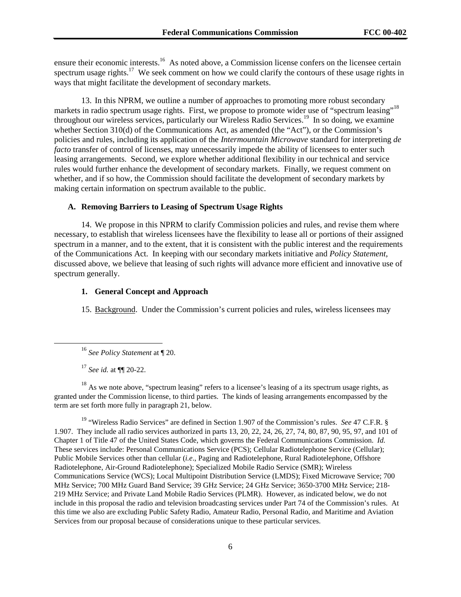ensure their economic interests.<sup>16</sup> As noted above, a Commission license confers on the licensee certain spectrum usage rights.<sup>17</sup> We seek comment on how we could clarify the contours of these usage rights in ways that might facilitate the development of secondary markets.

13. In this NPRM, we outline a number of approaches to promoting more robust secondary markets in radio spectrum usage rights. First, we propose to promote wider use of "spectrum leasing"<sup>18</sup> throughout our wireless services, particularly our Wireless Radio Services.19 In so doing, we examine whether Section 310(d) of the Communications Act, as amended (the "Act"), or the Commission's policies and rules, including its application of the *Intermountain Microwave* standard for interpreting *de facto* transfer of control of licenses, may unnecessarily impede the ability of licensees to enter such leasing arrangements. Second, we explore whether additional flexibility in our technical and service rules would further enhance the development of secondary markets. Finally, we request comment on whether, and if so how, the Commission should facilitate the development of secondary markets by making certain information on spectrum available to the public.

# **A. Removing Barriers to Leasing of Spectrum Usage Rights**

14. We propose in this NPRM to clarify Commission policies and rules, and revise them where necessary, to establish that wireless licensees have the flexibility to lease all or portions of their assigned spectrum in a manner, and to the extent, that it is consistent with the public interest and the requirements of the Communications Act. In keeping with our secondary markets initiative and *Policy Statement*, discussed above, we believe that leasing of such rights will advance more efficient and innovative use of spectrum generally.

### **1. General Concept and Approach**

15. Background. Under the Commission's current policies and rules, wireless licensees may

<sup>17</sup> *See id.* at ¶¶ 20-22.

<sup>18</sup> As we note above, "spectrum leasing" refers to a licensee's leasing of a its spectrum usage rights, as granted under the Commission license, to third parties. The kinds of leasing arrangements encompassed by the term are set forth more fully in paragraph 21, below.

19 "Wireless Radio Services" are defined in Section 1.907 of the Commission's rules. *See* 47 C.F.R. § 1.907. They include all radio services authorized in parts 13, 20, 22, 24, 26, 27, 74, 80, 87, 90, 95, 97, and 101 of Chapter 1 of Title 47 of the United States Code, which governs the Federal Communications Commission. *Id.* These services include: Personal Communications Service (PCS); Cellular Radiotelephone Service (Cellular); Public Mobile Services other than cellular (*i.e*., Paging and Radiotelephone, Rural Radiotelephone, Offshore Radiotelephone, Air-Ground Radiotelephone); Specialized Mobile Radio Service (SMR); Wireless Communications Service (WCS); Local Multipoint Distribution Service (LMDS); Fixed Microwave Service; 700 MHz Service; 700 MHz Guard Band Service; 39 GHz Service; 24 GHz Service; 3650-3700 MHz Service; 218- 219 MHz Service; and Private Land Mobile Radio Services (PLMR). However, as indicated below, we do not include in this proposal the radio and television broadcasting services under Part 74 of the Commission's rules. At this time we also are excluding Public Safety Radio, Amateur Radio, Personal Radio, and Maritime and Aviation Services from our proposal because of considerations unique to these particular services.

 <sup>16</sup> *See Policy Statement* at ¶ 20.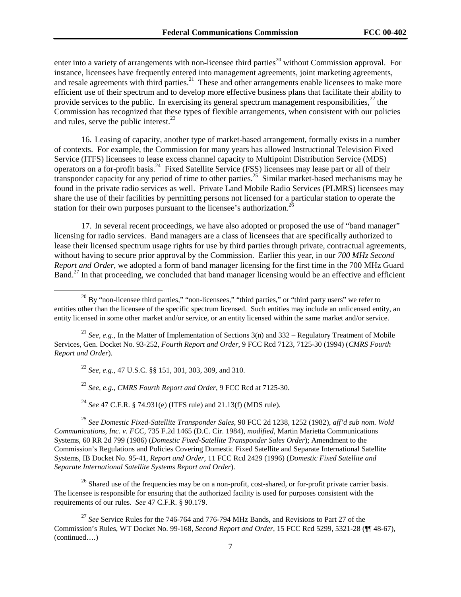enter into a variety of arrangements with non-licensee third parties<sup>20</sup> without Commission approval. For instance, licensees have frequently entered into management agreements, joint marketing agreements, and resale agreements with third parties.<sup>21</sup> These and other arrangements enable licensees to make more efficient use of their spectrum and to develop more effective business plans that facilitate their ability to provide services to the public. In exercising its general spectrum management responsibilities, $^{22}$  the Commission has recognized that these types of flexible arrangements, when consistent with our policies and rules, serve the public interest.<sup>23</sup>

16. Leasing of capacity, another type of market-based arrangement, formally exists in a number of contexts. For example, the Commission for many years has allowed Instructional Television Fixed Service (ITFS) licensees to lease excess channel capacity to Multipoint Distribution Service (MDS) operators on a for-profit basis.<sup>24</sup> Fixed Satellite Service (FSS) licensees may lease part or all of their transponder capacity for any period of time to other parties.<sup>25</sup> Similar market-based mechanisms may be found in the private radio services as well. Private Land Mobile Radio Services (PLMRS) licensees may share the use of their facilities by permitting persons not licensed for a particular station to operate the station for their own purposes pursuant to the licensee's authorization.<sup>2</sup>

17. In several recent proceedings, we have also adopted or proposed the use of "band manager" licensing for radio services. Band managers are a class of licensees that are specifically authorized to lease their licensed spectrum usage rights for use by third parties through private, contractual agreements, without having to secure prior approval by the Commission. Earlier this year, in our *700 MHz Second Report and Order*, we adopted a form of band manager licensing for the first time in the 700 MHz Guard Band.<sup>27</sup> In that proceeding, we concluded that band manager licensing would be an effective and efficient

<sup>21</sup> *See, e.g.,* In the Matter of Implementation of Sections 3(n) and 332 – Regulatory Treatment of Mobile Services, Gen. Docket No. 93-252, *Fourth Report and Order*, 9 FCC Rcd 7123, 7125-30 (1994) (*CMRS Fourth Report and Order*)*.*

<sup>22</sup> *See, e.g.,* 47 U.S.C. §§ 151, 301, 303, 309, and 310.

<sup>23</sup> *See, e.g., CMRS Fourth Report and Order*, 9 FCC Rcd at 7125-30.

<sup>24</sup> *See* 47 C.F.R. § 74.931(e) (ITFS rule) and 21.13(f) (MDS rule).

<sup>25</sup> *See Domestic Fixed-Satellite Transponder Sales*, 90 FCC 2d 1238, 1252 (1982), *aff'd sub nom. Wold Communications, Inc. v. FCC*, 735 F.2d 1465 (D.C. Cir. 1984), *modified*, Martin Marietta Communications Systems, 60 RR 2d 799 (1986) (*Domestic Fixed-Satellite Transponder Sales Order*); Amendment to the Commission's Regulations and Policies Covering Domestic Fixed Satellite and Separate International Satellite Systems*,* IB Docket No. 95-41, *Report and Order*, 11 FCC Rcd 2429 (1996) (*Domestic Fixed Satellite and Separate International Satellite Systems Report and Order*).

 $^{26}$  Shared use of the frequencies may be on a non-profit, cost-shared, or for-profit private carrier basis. The licensee is responsible for ensuring that the authorized facility is used for purposes consistent with the requirements of our rules. *See* 47 C.F.R. § 90.179.

 $^{20}$  By "non-licensee third parties," "non-licensees," "third parties," or "third party users" we refer to entities other than the licensee of the specific spectrum licensed. Such entities may include an unlicensed entity, an entity licensed in some other market and/or service, or an entity licensed within the same market and/or service.

<sup>27</sup> *See* Service Rules for the 746-764 and 776-794 MHz Bands, and Revisions to Part 27 of the Commission's Rules, WT Docket No. 99-168, *Second Report and Order*, 15 FCC Rcd 5299, 5321-28 (¶¶ 48-67), (continued….)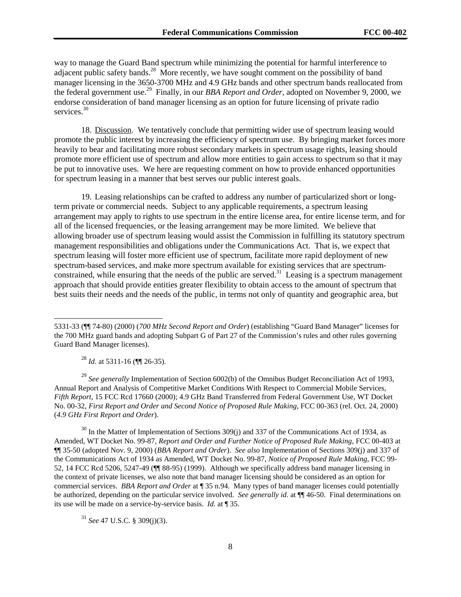way to manage the Guard Band spectrum while minimizing the potential for harmful interference to adjacent public safety bands.<sup>28</sup> More recently, we have sought comment on the possibility of band manager licensing in the 3650-3700 MHz and 4.9 GHz bands and other spectrum bands reallocated from the federal government use.29 Finally, in our *BBA Report and Order*, adopted on November 9, 2000, we endorse consideration of band manager licensing as an option for future licensing of private radio services.<sup>30</sup>

18. Discussion. We tentatively conclude that permitting wider use of spectrum leasing would promote the public interest by increasing the efficiency of spectrum use. By bringing market forces more heavily to bear and facilitating more robust secondary markets in spectrum usage rights, leasing should promote more efficient use of spectrum and allow more entities to gain access to spectrum so that it may be put to innovative uses. We here are requesting comment on how to provide enhanced opportunities for spectrum leasing in a manner that best serves our public interest goals.

19. Leasing relationships can be crafted to address any number of particularized short or longterm private or commercial needs. Subject to any applicable requirements, a spectrum leasing arrangement may apply to rights to use spectrum in the entire license area, for entire license term, and for all of the licensed frequencies, or the leasing arrangement may be more limited. We believe that allowing broader use of spectrum leasing would assist the Commission in fulfilling its statutory spectrum management responsibilities and obligations under the Communications Act. That is, we expect that spectrum leasing will foster more efficient use of spectrum, facilitate more rapid deployment of new spectrum-based services, and make more spectrum available for existing services that are spectrumconstrained, while ensuring that the needs of the public are served.<sup>31</sup> Leasing is a spectrum management approach that should provide entities greater flexibility to obtain access to the amount of spectrum that best suits their needs and the needs of the public, in terms not only of quantity and geographic area, but

<sup>28</sup> *Id*. at 5311-16 (¶¶ 26-35).

 $\overline{a}$ 

<sup>29</sup> *See generally* Implementation of Section 6002(b) of the Omnibus Budget Reconciliation Act of 1993, Annual Report and Analysis of Competitive Market Conditions With Respect to Commercial Mobile Services, *Fifth Report*, 15 FCC Rcd 17660 (2000); 4.9 GHz Band Transferred from Federal Government Use, WT Docket No. 00-32, *First Report and Order and Second Notice of Proposed Rule Making*, FCC 00-363 (rel. Oct. 24, 2000) (*4.9 GHz First Report and Order*).

 $30 \text{ In the Matter of Implementation of Sections } 309(i)$  and 337 of the Communications Act of 1934, as Amended, WT Docket No. 99-87, *Report and Order and Further Notice of Proposed Rule Making*, FCC 00-403 at ¶¶ 35-50 (adopted Nov. 9, 2000) (*BBA Report and Order*).*See also* Implementation of Sections 309(j) and 337 of the Communications Act of 1934 as Amended, WT Docket No. 99-87, *Notice of Proposed Rule Making*, FCC 99- 52, 14 FCC Rcd 5206, 5247-49 (¶¶ 88-95) (1999). Although we specifically address band manager licensing in the context of private licenses, we also note that band manager licensing should be considered as an option for commercial services. *BBA Report and Order* at ¶ 35 n.94. Many types of band manager licenses could potentially be authorized, depending on the particular service involved. *See generally id.* at  $\P$  46-50. Final determinations on its use will be made on a service-by-service basis. *Id.* at ¶ 35.

<sup>31</sup> *See* 47 U.S.C. § 309(j)(3).

<sup>5331-33 (¶¶ 74-80) (2000) (</sup>*700 MHz Second Report and Order*) (establishing "Guard Band Manager" licenses for the 700 MHz guard bands and adopting Subpart G of Part 27 of the Commission's rules and other rules governing Guard Band Manager licenses).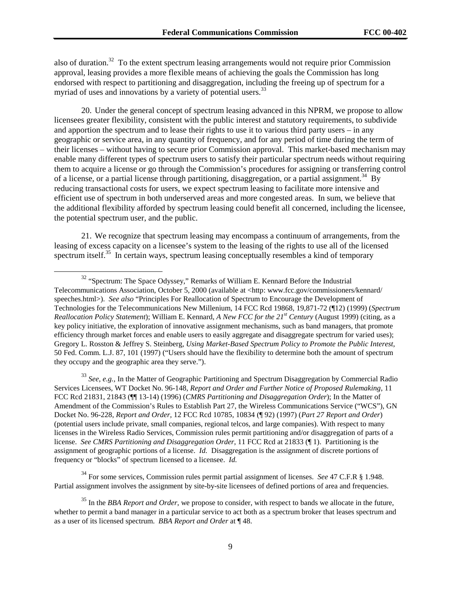also of duration.32 To the extent spectrum leasing arrangements would not require prior Commission approval, leasing provides a more flexible means of achieving the goals the Commission has long endorsed with respect to partitioning and disaggregation, including the freeing up of spectrum for a myriad of uses and innovations by a variety of potential users.<sup>33</sup>

20. Under the general concept of spectrum leasing advanced in this NPRM, we propose to allow licensees greater flexibility, consistent with the public interest and statutory requirements, to subdivide and apportion the spectrum and to lease their rights to use it to various third party users – in any geographic or service area, in any quantity of frequency, and for any period of time during the term of their licenses – without having to secure prior Commission approval. This market-based mechanism may enable many different types of spectrum users to satisfy their particular spectrum needs without requiring them to acquire a license or go through the Commission's procedures for assigning or transferring control of a license, or a partial license through partitioning, disaggregation, or a partial assignment.<sup>34</sup> By reducing transactional costs for users, we expect spectrum leasing to facilitate more intensive and efficient use of spectrum in both underserved areas and more congested areas. In sum, we believe that the additional flexibility afforded by spectrum leasing could benefit all concerned, including the licensee, the potential spectrum user, and the public.

21. We recognize that spectrum leasing may encompass a continuum of arrangements, from the leasing of excess capacity on a licensee's system to the leasing of the rights to use all of the licensed spectrum itself.<sup>35</sup> In certain ways, spectrum leasing conceptually resembles a kind of temporary

<sup>33</sup> *See, e.g.,* In the Matter of Geographic Partitioning and Spectrum Disaggregation by Commercial Radio Services Licensees, WT Docket No. 96-148, *Report and Order and Further Notice of Proposed Rulemaking*, 11 FCC Rcd 21831, 21843 (¶¶ 13-14) (1996) (*CMRS Partitioning and Disaggregation Order*); In the Matter of Amendment of the Commission's Rules to Establish Part 27, the Wireless Communications Service ("WCS"), GN Docket No. 96-228, *Report and Order,* 12 FCC Rcd 10785, 10834 (¶ 92) (1997) (*Part 27 Report and Order*) (potential users include private, small companies, regional telcos, and large companies). With respect to many licenses in the Wireless Radio Services, Commission rules permit partitioning and/or disaggregation of parts of a license. *See CMRS Partitioning and Disaggregation Order*, 11 FCC Rcd at 21833 (¶ 1). Partitioning is the assignment of geographic portions of a license. *Id.* Disaggregation is the assignment of discrete portions of frequency or "blocks" of spectrum licensed to a licensee. *Id.*

34 For some services, Commission rules permit partial assignment of licenses. *See* 47 C.F.R § 1.948. Partial assignment involves the assignment by site-by-site licensees of defined portions of area and frequencies.

<sup>&</sup>lt;sup>32</sup> "Spectrum: The Space Odyssey," Remarks of William E. Kennard Before the Industrial Telecommunications Association, October 5, 2000 (available at <http: www.fcc.gov/commissioners/kennard/ speeches.html>). *See also* "Principles For Reallocation of Spectrum to Encourage the Development of Technologies for the Telecommunications New Millenium, 14 FCC Rcd 19868, 19,871-72 (¶12) (1999) (*Spectrum Reallocation Policy Statement*); William E. Kennard, *A New FCC for the 21st Century* (August 1999) (citing, as a key policy initiative, the exploration of innovative assignment mechanisms, such as band managers, that promote efficiency through market forces and enable users to easily aggregate and disaggregate spectrum for varied uses); Gregory L. Rosston & Jeffrey S. Steinberg, *Using Market-Based Spectrum Policy to Promote the Public Interest*, 50 Fed. Comm. L.J. 87, 101 (1997) ("Users should have the flexibility to determine both the amount of spectrum they occupy and the geographic area they serve.").

<sup>35</sup> In the *BBA Report and Order*, we propose to consider, with respect to bands we allocate in the future, whether to permit a band manager in a particular service to act both as a spectrum broker that leases spectrum and as a user of its licensed spectrum. *BBA Report and Order* at ¶ 48.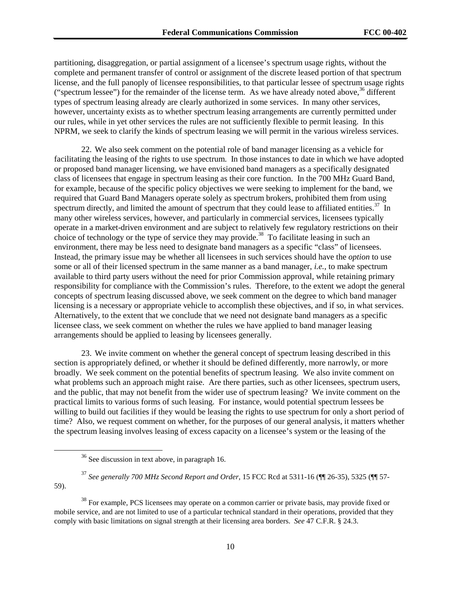partitioning, disaggregation, or partial assignment of a licensee's spectrum usage rights, without the complete and permanent transfer of control or assignment of the discrete leased portion of that spectrum license, and the full panoply of licensee responsibilities, to that particular lessee of spectrum usage rights ("spectrum lessee") for the remainder of the license term. As we have already noted above,  $36$  different types of spectrum leasing already are clearly authorized in some services. In many other services, however, uncertainty exists as to whether spectrum leasing arrangements are currently permitted under our rules, while in yet other services the rules are not sufficiently flexible to permit leasing. In this NPRM, we seek to clarify the kinds of spectrum leasing we will permit in the various wireless services.

22. We also seek comment on the potential role of band manager licensing as a vehicle for facilitating the leasing of the rights to use spectrum. In those instances to date in which we have adopted or proposed band manager licensing, we have envisioned band managers as a specifically designated class of licensees that engage in spectrum leasing as their core function. In the 700 MHz Guard Band, for example, because of the specific policy objectives we were seeking to implement for the band, we required that Guard Band Managers operate solely as spectrum brokers, prohibited them from using spectrum directly, and limited the amount of spectrum that they could lease to affiliated entities.<sup>37</sup> In many other wireless services, however, and particularly in commercial services, licensees typically operate in a market-driven environment and are subject to relatively few regulatory restrictions on their choice of technology or the type of service they may provide.<sup>38</sup> To facilitate leasing in such an environment, there may be less need to designate band managers as a specific "class" of licensees. Instead, the primary issue may be whether all licensees in such services should have the *option* to use some or all of their licensed spectrum in the same manner as a band manager, *i.e.*, to make spectrum available to third party users without the need for prior Commission approval, while retaining primary responsibility for compliance with the Commission's rules. Therefore, to the extent we adopt the general concepts of spectrum leasing discussed above, we seek comment on the degree to which band manager licensing is a necessary or appropriate vehicle to accomplish these objectives, and if so, in what services. Alternatively, to the extent that we conclude that we need not designate band managers as a specific licensee class, we seek comment on whether the rules we have applied to band manager leasing arrangements should be applied to leasing by licensees generally.

23. We invite comment on whether the general concept of spectrum leasing described in this section is appropriately defined, or whether it should be defined differently, more narrowly, or more broadly. We seek comment on the potential benefits of spectrum leasing. We also invite comment on what problems such an approach might raise. Are there parties, such as other licensees, spectrum users, and the public, that may not benefit from the wider use of spectrum leasing? We invite comment on the practical limits to various forms of such leasing. For instance, would potential spectrum lessees be willing to build out facilities if they would be leasing the rights to use spectrum for only a short period of time? Also, we request comment on whether, for the purposes of our general analysis, it matters whether the spectrum leasing involves leasing of excess capacity on a licensee's system or the leasing of the

59).

 $36$  See discussion in text above, in paragraph 16.

<sup>37</sup> *See generally 700 MHz Second Report and Order*, 15 FCC Rcd at 5311-16 (¶¶ 26-35), 5325 (¶¶ 57-

<sup>&</sup>lt;sup>38</sup> For example, PCS licensees may operate on a common carrier or private basis, may provide fixed or mobile service, and are not limited to use of a particular technical standard in their operations, provided that they comply with basic limitations on signal strength at their licensing area borders. *See* 47 C.F.R. § 24.3.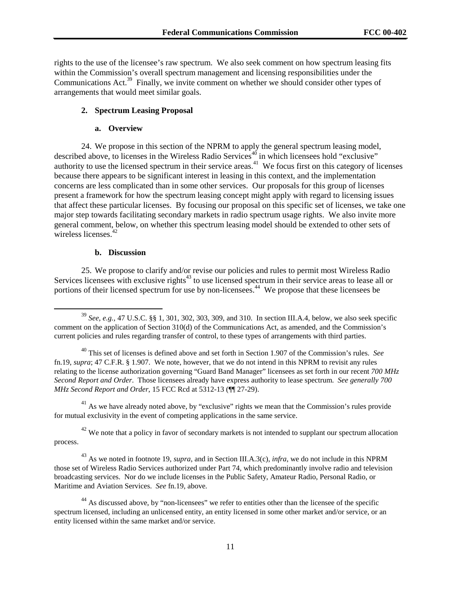rights to the use of the licensee's raw spectrum. We also seek comment on how spectrum leasing fits within the Commission's overall spectrum management and licensing responsibilities under the Communications Act.<sup>39</sup> Finally, we invite comment on whether we should consider other types of arrangements that would meet similar goals.

# **2. Spectrum Leasing Proposal**

### **a. Overview**

24. We propose in this section of the NPRM to apply the general spectrum leasing model, described above, to licenses in the Wireless Radio Services<sup>40</sup> in which licensees hold "exclusive" authority to use the licensed spectrum in their service areas.<sup>41</sup> We focus first on this category of licenses because there appears to be significant interest in leasing in this context, and the implementation concerns are less complicated than in some other services. Our proposals for this group of licenses present a framework for how the spectrum leasing concept might apply with regard to licensing issues that affect these particular licenses. By focusing our proposal on this specific set of licenses, we take one major step towards facilitating secondary markets in radio spectrum usage rights. We also invite more general comment, below, on whether this spectrum leasing model should be extended to other sets of wireless licenses.<sup>42</sup>

#### **b. Discussion**

25. We propose to clarify and/or revise our policies and rules to permit most Wireless Radio Services licensees with exclusive rights<sup>43</sup> to use licensed spectrum in their service areas to lease all or portions of their licensed spectrum for use by non-licensees.<sup>44</sup> We propose that these licensees be

 $41$  As we have already noted above, by "exclusive" rights we mean that the Commission's rules provide for mutual exclusivity in the event of competing applications in the same service.

 $42$  We note that a policy in favor of secondary markets is not intended to supplant our spectrum allocation process.

43 As we noted in footnote 19, *supra*, and in Section III.A.3(c), *infra*, we do not include in this NPRM those set of Wireless Radio Services authorized under Part 74, which predominantly involve radio and television broadcasting services. Nor do we include licenses in the Public Safety, Amateur Radio, Personal Radio, or Maritime and Aviation Services. *See* fn.19, above*.*

 <sup>39</sup> *See, e.g.,* 47 U.S.C. §§ 1, 301, 302, 303, 309, and 310. In section III.A.4, below, we also seek specific comment on the application of Section 310(d) of the Communications Act, as amended, and the Commission's current policies and rules regarding transfer of control, to these types of arrangements with third parties.

<sup>40</sup> This set of licenses is defined above and set forth in Section 1.907 of the Commission's rules. *See* fn.19, *supra*; 47 C.F.R. § 1.907. We note, however, that we do not intend in this NPRM to revisit any rules relating to the license authorization governing "Guard Band Manager" licensees as set forth in our recent *700 MHz Second Report and Order*. Those licensees already have express authority to lease spectrum. *See generally 700 MHz Second Report and Order*, 15 FCC Rcd at 5312-13 (¶¶ 27-29).

<sup>&</sup>lt;sup>44</sup> As discussed above, by "non-licensees" we refer to entities other than the licensee of the specific spectrum licensed, including an unlicensed entity, an entity licensed in some other market and/or service, or an entity licensed within the same market and/or service.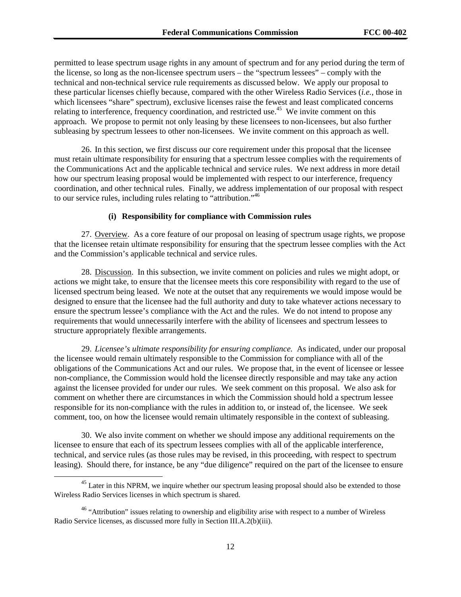permitted to lease spectrum usage rights in any amount of spectrum and for any period during the term of the license, so long as the non-licensee spectrum users – the "spectrum lessees" – comply with the technical and non-technical service rule requirements as discussed below. We apply our proposal to these particular licenses chiefly because, compared with the other Wireless Radio Services (*i.e.*, those in which licensees "share" spectrum), exclusive licenses raise the fewest and least complicated concerns relating to interference, frequency coordination, and restricted use.<sup>45</sup> We invite comment on this approach. We propose to permit not only leasing by these licensees to non-licensees, but also further subleasing by spectrum lessees to other non-licensees. We invite comment on this approach as well.

26. In this section, we first discuss our core requirement under this proposal that the licensee must retain ultimate responsibility for ensuring that a spectrum lessee complies with the requirements of the Communications Act and the applicable technical and service rules. We next address in more detail how our spectrum leasing proposal would be implemented with respect to our interference, frequency coordination, and other technical rules. Finally, we address implementation of our proposal with respect to our service rules, including rules relating to "attribution."<sup>46</sup>

#### **(i) Responsibility for compliance with Commission rules**

27. Overview. As a core feature of our proposal on leasing of spectrum usage rights, we propose that the licensee retain ultimate responsibility for ensuring that the spectrum lessee complies with the Act and the Commission's applicable technical and service rules.

28. Discussion. In this subsection, we invite comment on policies and rules we might adopt, or actions we might take, to ensure that the licensee meets this core responsibility with regard to the use of licensed spectrum being leased. We note at the outset that any requirements we would impose would be designed to ensure that the licensee had the full authority and duty to take whatever actions necessary to ensure the spectrum lessee's compliance with the Act and the rules. We do not intend to propose any requirements that would unnecessarily interfere with the ability of licensees and spectrum lessees to structure appropriately flexible arrangements.

29. *Licensee's ultimate responsibility for ensuring compliance.* As indicated, under our proposal the licensee would remain ultimately responsible to the Commission for compliance with all of the obligations of the Communications Act and our rules. We propose that, in the event of licensee or lessee non-compliance, the Commission would hold the licensee directly responsible and may take any action against the licensee provided for under our rules. We seek comment on this proposal. We also ask for comment on whether there are circumstances in which the Commission should hold a spectrum lessee responsible for its non-compliance with the rules in addition to, or instead of, the licensee. We seek comment, too, on how the licensee would remain ultimately responsible in the context of subleasing.

30. We also invite comment on whether we should impose any additional requirements on the licensee to ensure that each of its spectrum lessees complies with all of the applicable interference, technical, and service rules (as those rules may be revised, in this proceeding, with respect to spectrum leasing). Should there, for instance, be any "due diligence" required on the part of the licensee to ensure

<sup>&</sup>lt;sup>45</sup> Later in this NPRM, we inquire whether our spectrum leasing proposal should also be extended to those Wireless Radio Services licenses in which spectrum is shared.

 $46$  "Attribution" issues relating to ownership and eligibility arise with respect to a number of Wireless Radio Service licenses, as discussed more fully in Section III.A.2(b)(iii).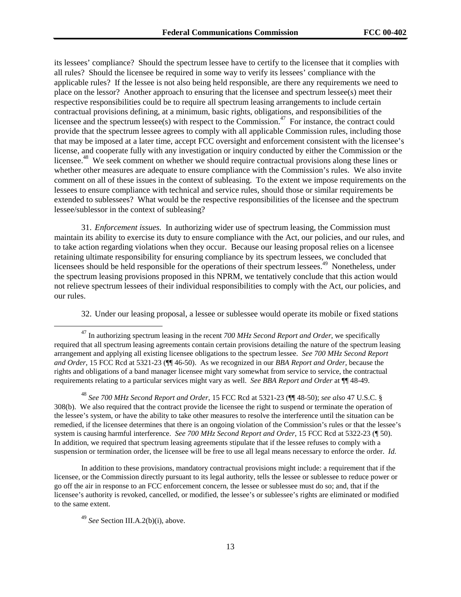its lessees' compliance? Should the spectrum lessee have to certify to the licensee that it complies with all rules? Should the licensee be required in some way to verify its lessees' compliance with the applicable rules? If the lessee is not also being held responsible, are there any requirements we need to place on the lessor? Another approach to ensuring that the licensee and spectrum lessee(s) meet their respective responsibilities could be to require all spectrum leasing arrangements to include certain contractual provisions defining, at a minimum, basic rights, obligations, and responsibilities of the licensee and the spectrum lessee(s) with respect to the Commission.<sup>47</sup> For instance, the contract could provide that the spectrum lessee agrees to comply with all applicable Commission rules, including those that may be imposed at a later time, accept FCC oversight and enforcement consistent with the licensee's license, and cooperate fully with any investigation or inquiry conducted by either the Commission or the licensee.<sup>48</sup> We seek comment on whether we should require contractual provisions along these lines or whether other measures are adequate to ensure compliance with the Commission's rules. We also invite comment on all of these issues in the context of subleasing. To the extent we impose requirements on the lessees to ensure compliance with technical and service rules, should those or similar requirements be extended to sublessees? What would be the respective responsibilities of the licensee and the spectrum lessee/sublessor in the context of subleasing?

31. *Enforcement issues.* In authorizing wider use of spectrum leasing, the Commission must maintain its ability to exercise its duty to ensure compliance with the Act, our policies, and our rules, and to take action regarding violations when they occur. Because our leasing proposal relies on a licensee retaining ultimate responsibility for ensuring compliance by its spectrum lessees, we concluded that licensees should be held responsible for the operations of their spectrum lessees.<sup>49</sup> Nonetheless, under the spectrum leasing provisions proposed in this NPRM, we tentatively conclude that this action would not relieve spectrum lessees of their individual responsibilities to comply with the Act, our policies, and our rules.

32. Under our leasing proposal, a lessee or sublessee would operate its mobile or fixed stations

<sup>48</sup> *See 700 MHz Second Report and Order*, 15 FCC Rcd at 5321-23 (¶¶ 48-50); *see also* 47 U.S.C. § 308(b). We also required that the contract provide the licensee the right to suspend or terminate the operation of the lessee's system, or have the ability to take other measures to resolve the interference until the situation can be remedied, if the licensee determines that there is an ongoing violation of the Commission's rules or that the lessee's system is causing harmful interference. *See 700 MHz Second Report and Order*, 15 FCC Rcd at 5322-23 (¶ 50). In addition, we required that spectrum leasing agreements stipulate that if the lessee refuses to comply with a suspension or termination order, the licensee will be free to use all legal means necessary to enforce the order. *Id.*

In addition to these provisions, mandatory contractual provisions might include: a requirement that if the licensee, or the Commission directly pursuant to its legal authority, tells the lessee or sublessee to reduce power or go off the air in response to an FCC enforcement concern, the lessee or sublessee must do so; and, that if the licensee's authority is revoked, cancelled, or modified, the lessee's or sublessee's rights are eliminated or modified to the same extent.

<sup>49</sup> *See* Section III.A.2(b)(i), above.

<sup>&</sup>lt;sup>47</sup> In authorizing spectrum leasing in the recent *700 MHz Second Report and Order*, we specifically required that all spectrum leasing agreements contain certain provisions detailing the nature of the spectrum leasing arrangement and applying all existing licensee obligations to the spectrum lessee. *See 700 MHz Second Report and Order*, 15 FCC Rcd at 5321-23 (¶¶ 46-50). As we recognized in our *BBA Report and Order*, because the rights and obligations of a band manager licensee might vary somewhat from service to service, the contractual requirements relating to a particular services might vary as well. *See BBA Report and Order* at ¶¶ 48-49.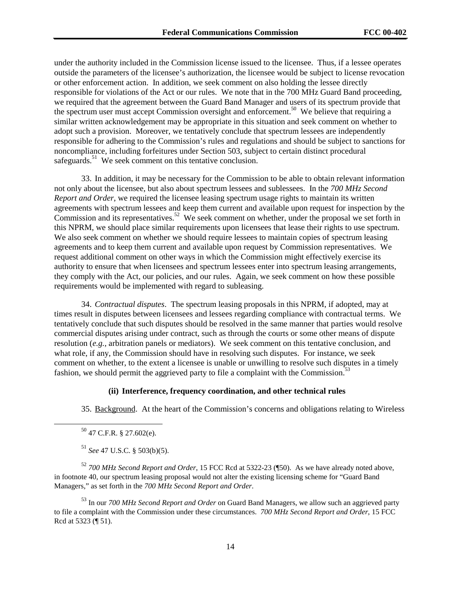under the authority included in the Commission license issued to the licensee. Thus, if a lessee operates outside the parameters of the licensee's authorization, the licensee would be subject to license revocation or other enforcement action. In addition, we seek comment on also holding the lessee directly responsible for violations of the Act or our rules. We note that in the 700 MHz Guard Band proceeding, we required that the agreement between the Guard Band Manager and users of its spectrum provide that the spectrum user must accept Commission oversight and enforcement.<sup>50</sup> We believe that requiring a similar written acknowledgement may be appropriate in this situation and seek comment on whether to adopt such a provision. Moreover, we tentatively conclude that spectrum lessees are independently responsible for adhering to the Commission's rules and regulations and should be subject to sanctions for noncompliance, including forfeitures under Section 503, subject to certain distinct procedural safeguards.<sup>51</sup> We seek comment on this tentative conclusion.

33. In addition, it may be necessary for the Commission to be able to obtain relevant information not only about the licensee, but also about spectrum lessees and sublessees. In the *700 MHz Second Report and Order*, we required the licensee leasing spectrum usage rights to maintain its written agreements with spectrum lessees and keep them current and available upon request for inspection by the Commission and its representatives.<sup>52</sup> We seek comment on whether, under the proposal we set forth in this NPRM, we should place similar requirements upon licensees that lease their rights to use spectrum. We also seek comment on whether we should require lessees to maintain copies of spectrum leasing agreements and to keep them current and available upon request by Commission representatives. We request additional comment on other ways in which the Commission might effectively exercise its authority to ensure that when licensees and spectrum lessees enter into spectrum leasing arrangements, they comply with the Act, our policies, and our rules. Again, we seek comment on how these possible requirements would be implemented with regard to subleasing.

34. *Contractual disputes*. The spectrum leasing proposals in this NPRM, if adopted, may at times result in disputes between licensees and lessees regarding compliance with contractual terms. We tentatively conclude that such disputes should be resolved in the same manner that parties would resolve commercial disputes arising under contract, such as through the courts or some other means of dispute resolution (*e.g.,* arbitration panels or mediators). We seek comment on this tentative conclusion, and what role, if any, the Commission should have in resolving such disputes. For instance, we seek comment on whether, to the extent a licensee is unable or unwilling to resolve such disputes in a timely fashion, we should permit the aggrieved party to file a complaint with the Commission.<sup>53</sup>

### **(ii) Interference, frequency coordination, and other technical rules**

35. Background. At the heart of the Commission's concerns and obligations relating to Wireless

<sup>52</sup> *700 MHz Second Report and Order*, 15 FCC Rcd at 5322-23 (¶50). As we have already noted above, in footnote 40, our spectrum leasing proposal would not alter the existing licensing scheme for "Guard Band Managers," as set forth in the *700 MHz Second Report and Order*.

53 In our *700 MHz Second Report and Order* on Guard Band Managers, we allow such an aggrieved party to file a complaint with the Commission under these circumstances. *700 MHz Second Report and Order*, 15 FCC Rcd at 5323 (¶ 51).

 $50$  47 C.F.R. § 27.602(e).

<sup>51</sup> *See* 47 U.S.C. § 503(b)(5).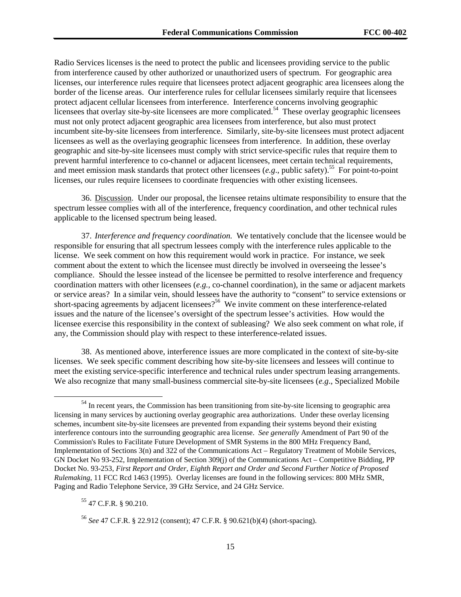Radio Services licenses is the need to protect the public and licensees providing service to the public from interference caused by other authorized or unauthorized users of spectrum. For geographic area licenses, our interference rules require that licensees protect adjacent geographic area licensees along the border of the license areas. Our interference rules for cellular licensees similarly require that licensees protect adjacent cellular licensees from interference. Interference concerns involving geographic licensees that overlay site-by-site licensees are more complicated.<sup>54</sup> These overlay geographic licensees must not only protect adjacent geographic area licensees from interference, but also must protect incumbent site-by-site licensees from interference. Similarly, site-by-site licensees must protect adjacent licensees as well as the overlaying geographic licensees from interference. In addition, these overlay geographic and site-by-site licensees must comply with strict service-specific rules that require them to prevent harmful interference to co-channel or adjacent licensees, meet certain technical requirements, and meet emission mask standards that protect other licensees  $(e.g.,$  public safety).<sup>55</sup> For point-to-point licenses, our rules require licensees to coordinate frequencies with other existing licensees.

36. Discussion. Under our proposal, the licensee retains ultimate responsibility to ensure that the spectrum lessee complies with all of the interference, frequency coordination, and other technical rules applicable to the licensed spectrum being leased.

37. *Interference and frequency coordination.* We tentatively conclude that the licensee would be responsible for ensuring that all spectrum lessees comply with the interference rules applicable to the license. We seek comment on how this requirement would work in practice. For instance, we seek comment about the extent to which the licensee must directly be involved in overseeing the lessee's compliance. Should the lessee instead of the licensee be permitted to resolve interference and frequency coordination matters with other licensees (*e.g.,* co-channel coordination), in the same or adjacent markets or service areas? In a similar vein, should lessees have the authority to "consent" to service extensions or short-spacing agreements by adjacent licensees?<sup>56</sup> We invite comment on these interference-related issues and the nature of the licensee's oversight of the spectrum lessee's activities. How would the licensee exercise this responsibility in the context of subleasing? We also seek comment on what role, if any, the Commission should play with respect to these interference-related issues.

38. As mentioned above, interference issues are more complicated in the context of site-by-site licenses. We seek specific comment describing how site-by-site licensees and lessees will continue to meet the existing service-specific interference and technical rules under spectrum leasing arrangements. We also recognize that many small-business commercial site-by-site licensees (*e.g*., Specialized Mobile

55 47 C.F.R. § 90.210.

<sup>&</sup>lt;sup>54</sup> In recent years, the Commission has been transitioning from site-by-site licensing to geographic area licensing in many services by auctioning overlay geographic area authorizations. Under these overlay licensing schemes, incumbent site-by-site licensees are prevented from expanding their systems beyond their existing interference contours into the surrounding geographic area license. *See generally* Amendment of Part 90 of the Commission's Rules to Facilitate Future Development of SMR Systems in the 800 MHz Frequency Band, Implementation of Sections 3(n) and 322 of the Communications Act – Regulatory Treatment of Mobile Services, GN Docket No 93-252, Implementation of Section 309(j) of the Communications Act – Competitive Bidding, PP Docket No. 93-253, *First Report and Order, Eighth Report and Order and Second Further Notice of Proposed Rulemaking*, 11 FCC Rcd 1463 (1995). Overlay licenses are found in the following services: 800 MHz SMR, Paging and Radio Telephone Service, 39 GHz Service, and 24 GHz Service.

<sup>56</sup> *See* 47 C.F.R. § 22.912 (consent); 47 C.F.R. § 90.621(b)(4) (short-spacing).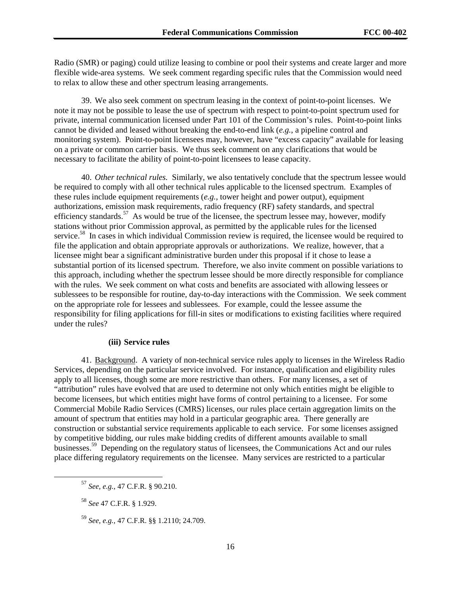Radio (SMR) or paging) could utilize leasing to combine or pool their systems and create larger and more flexible wide-area systems. We seek comment regarding specific rules that the Commission would need to relax to allow these and other spectrum leasing arrangements.

39. We also seek comment on spectrum leasing in the context of point-to-point licenses. We note it may not be possible to lease the use of spectrum with respect to point-to-point spectrum used for private, internal communication licensed under Part 101 of the Commission's rules. Point-to-point links cannot be divided and leased without breaking the end-to-end link (*e.g.*, a pipeline control and monitoring system). Point-to-point licensees may, however, have "excess capacity" available for leasing on a private or common carrier basis. We thus seek comment on any clarifications that would be necessary to facilitate the ability of point-to-point licensees to lease capacity.

40. *Other technical rules.* Similarly, we also tentatively conclude that the spectrum lessee would be required to comply with all other technical rules applicable to the licensed spectrum. Examples of these rules include equipment requirements (*e.g.*, tower height and power output), equipment authorizations, emission mask requirements, radio frequency (RF) safety standards, and spectral efficiency standards.<sup>57</sup> As would be true of the licensee, the spectrum lessee may, however, modify stations without prior Commission approval, as permitted by the applicable rules for the licensed service.<sup>58</sup> In cases in which individual Commission review is required, the licensee would be required to file the application and obtain appropriate approvals or authorizations. We realize, however, that a licensee might bear a significant administrative burden under this proposal if it chose to lease a substantial portion of its licensed spectrum. Therefore, we also invite comment on possible variations to this approach, including whether the spectrum lessee should be more directly responsible for compliance with the rules. We seek comment on what costs and benefits are associated with allowing lessees or sublessees to be responsible for routine, day-to-day interactions with the Commission. We seek comment on the appropriate role for lessees and sublessees. For example, could the lessee assume the responsibility for filing applications for fill-in sites or modifications to existing facilities where required under the rules?

#### **(iii) Service rules**

41. Background. A variety of non-technical service rules apply to licenses in the Wireless Radio Services, depending on the particular service involved. For instance, qualification and eligibility rules apply to all licenses, though some are more restrictive than others. For many licenses, a set of "attribution" rules have evolved that are used to determine not only which entities might be eligible to become licensees, but which entities might have forms of control pertaining to a licensee. For some Commercial Mobile Radio Services (CMRS) licenses, our rules place certain aggregation limits on the amount of spectrum that entities may hold in a particular geographic area. There generally are construction or substantial service requirements applicable to each service. For some licenses assigned by competitive bidding, our rules make bidding credits of different amounts available to small businesses.<sup>59</sup> Depending on the regulatory status of licensees, the Communications Act and our rules place differing regulatory requirements on the licensee. Many services are restricted to a particular

 <sup>57</sup> *See, e.g.,* 47 C.F.R. § 90.210.

<sup>58</sup> *See* 47 C.F.R. § 1.929.

<sup>59</sup> *See, e.g.,* 47 C.F.R. §§ 1.2110; 24.709.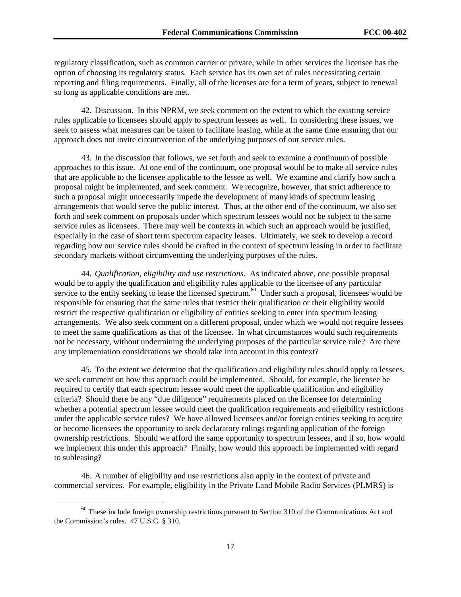regulatory classification, such as common carrier or private, while in other services the licensee has the option of choosing its regulatory status. Each service has its own set of rules necessitating certain reporting and filing requirements. Finally, all of the licenses are for a term of years, subject to renewal so long as applicable conditions are met.

42. Discussion. In this NPRM, we seek comment on the extent to which the existing service rules applicable to licensees should apply to spectrum lessees as well. In considering these issues, we seek to assess what measures can be taken to facilitate leasing, while at the same time ensuring that our approach does not invite circumvention of the underlying purposes of our service rules.

43. In the discussion that follows, we set forth and seek to examine a continuum of possible approaches to this issue. At one end of the continuum, one proposal would be to make all service rules that are applicable to the licensee applicable to the lessee as well. We examine and clarify how such a proposal might be implemented, and seek comment. We recognize, however, that strict adherence to such a proposal might unnecessarily impede the development of many kinds of spectrum leasing arrangements that would serve the public interest. Thus, at the other end of the continuum, we also set forth and seek comment on proposals under which spectrum lessees would not be subject to the same service rules as licensees. There may well be contexts in which such an approach would be justified, especially in the case of short term spectrum capacity leases. Ultimately, we seek to develop a record regarding how our service rules should be crafted in the context of spectrum leasing in order to facilitate secondary markets without circumventing the underlying purposes of the rules.

44. *Qualification, eligibility and use restrictions.* As indicated above, one possible proposal would be to apply the qualification and eligibility rules applicable to the licensee of any particular service to the entity seeking to lease the licensed spectrum.<sup>60</sup> Under such a proposal, licensees would be responsible for ensuring that the same rules that restrict their qualification or their eligibility would restrict the respective qualification or eligibility of entities seeking to enter into spectrum leasing arrangements. We also seek comment on a different proposal, under which we would not require lessees to meet the same qualifications as that of the licensee. In what circumstances would such requirements not be necessary, without undermining the underlying purposes of the particular service rule? Are there any implementation considerations we should take into account in this context?

45. To the extent we determine that the qualification and eligibility rules should apply to lessees, we seek comment on how this approach could be implemented. Should, for example, the licensee be required to certify that each spectrum lessee would meet the applicable qualification and eligibility criteria? Should there be any "due diligence" requirements placed on the licensee for determining whether a potential spectrum lessee would meet the qualification requirements and eligibility restrictions under the applicable service rules? We have allowed licensees and/or foreign entities seeking to acquire or become licensees the opportunity to seek declaratory rulings regarding application of the foreign ownership restrictions. Should we afford the same opportunity to spectrum lessees, and if so, how would we implement this under this approach? Finally, how would this approach be implemented with regard to subleasing?

46. A number of eligibility and use restrictions also apply in the context of private and commercial services. For example, eligibility in the Private Land Mobile Radio Services (PLMRS) is

 $60$  These include foreign ownership restrictions pursuant to Section 310 of the Communications Act and the Commission's rules. 47 U.S.C. § 310.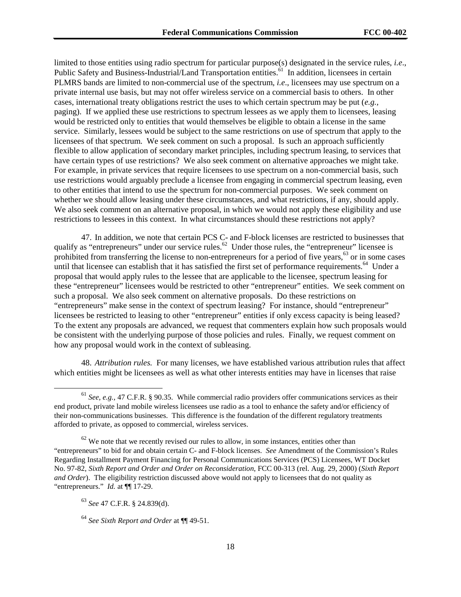limited to those entities using radio spectrum for particular purpose(s) designated in the service rules, *i.e*., Public Safety and Business-Industrial/Land Transportation entities.<sup>61</sup> In addition, licensees in certain PLMRS bands are limited to non-commercial use of the spectrum, *i.e*., licensees may use spectrum on a private internal use basis, but may not offer wireless service on a commercial basis to others. In other cases, international treaty obligations restrict the uses to which certain spectrum may be put (*e.g.,* paging). If we applied these use restrictions to spectrum lessees as we apply them to licensees, leasing would be restricted only to entities that would themselves be eligible to obtain a license in the same service. Similarly, lessees would be subject to the same restrictions on use of spectrum that apply to the licensees of that spectrum. We seek comment on such a proposal. Is such an approach sufficiently flexible to allow application of secondary market principles, including spectrum leasing, to services that have certain types of use restrictions? We also seek comment on alternative approaches we might take. For example, in private services that require licensees to use spectrum on a non-commercial basis, such use restrictions would arguably preclude a licensee from engaging in commercial spectrum leasing, even to other entities that intend to use the spectrum for non-commercial purposes. We seek comment on whether we should allow leasing under these circumstances, and what restrictions, if any, should apply. We also seek comment on an alternative proposal, in which we would not apply these eligibility and use restrictions to lessees in this context. In what circumstances should these restrictions not apply?

47. In addition, we note that certain PCS C- and F-block licenses are restricted to businesses that qualify as "entrepreneurs" under our service rules.<sup>62</sup> Under those rules, the "entrepreneur" licensee is prohibited from transferring the license to non-entrepreneurs for a period of five years,<sup>63</sup> or in some cases until that licensee can establish that it has satisfied the first set of performance requirements.<sup>64</sup> Under a proposal that would apply rules to the lessee that are applicable to the licensee, spectrum leasing for these "entrepreneur" licensees would be restricted to other "entrepreneur" entities. We seek comment on such a proposal. We also seek comment on alternative proposals. Do these restrictions on "entrepreneurs" make sense in the context of spectrum leasing? For instance, should "entrepreneur" licensees be restricted to leasing to other "entrepreneur" entities if only excess capacity is being leased? To the extent any proposals are advanced, we request that commenters explain how such proposals would be consistent with the underlying purpose of those policies and rules. Finally, we request comment on how any proposal would work in the context of subleasing.

48. *Attribution rules.* For many licenses, we have established various attribution rules that affect which entities might be licensees as well as what other interests entities may have in licenses that raise

 <sup>61</sup> *See, e.g.,* 47 C.F.R. § 90.35. While commercial radio providers offer communications services as their end product, private land mobile wireless licensees use radio as a tool to enhance the safety and/or efficiency of their non-communications businesses. This difference is the foundation of the different regulatory treatments afforded to private, as opposed to commercial, wireless services.

 $62$  We note that we recently revised our rules to allow, in some instances, entities other than "entrepreneurs" to bid for and obtain certain C- and F-block licenses. *See* Amendment of the Commission's Rules Regarding Installment Payment Financing for Personal Communications Services (PCS) Licensees, WT Docket No. 97-82, *Sixth Report and Order and Order on Reconsideration*, FCC 00-313 (rel. Aug. 29, 2000) (*Sixth Report and Order*). The eligibility restriction discussed above would not apply to licensees that do not quality as "entrepreneurs." *Id.* at ¶¶ 17-29.

<sup>63</sup> *See* 47 C.F.R. § 24.839(d).

<sup>64</sup> *See Sixth Report and Order* at ¶¶ 49-51.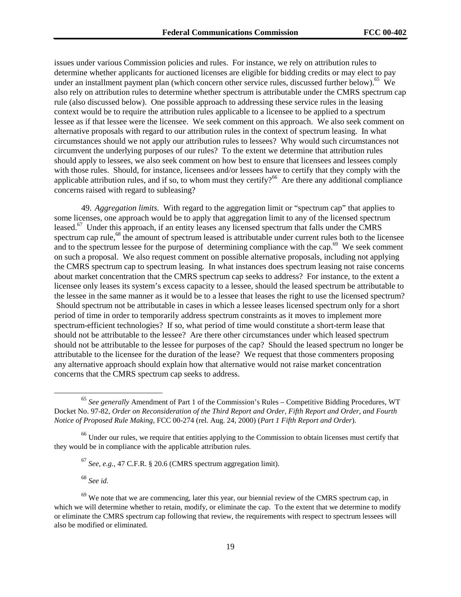issues under various Commission policies and rules. For instance, we rely on attribution rules to determine whether applicants for auctioned licenses are eligible for bidding credits or may elect to pay under an installment payment plan (which concern other service rules, discussed further below).<sup>65</sup> We also rely on attribution rules to determine whether spectrum is attributable under the CMRS spectrum cap rule (also discussed below). One possible approach to addressing these service rules in the leasing context would be to require the attribution rules applicable to a licensee to be applied to a spectrum lessee as if that lessee were the licensee. We seek comment on this approach. We also seek comment on alternative proposals with regard to our attribution rules in the context of spectrum leasing. In what circumstances should we not apply our attribution rules to lessees? Why would such circumstances not circumvent the underlying purposes of our rules? To the extent we determine that attribution rules should apply to lessees, we also seek comment on how best to ensure that licensees and lessees comply with those rules. Should, for instance, licensees and/or lessees have to certify that they comply with the applicable attribution rules, and if so, to whom must they certify?<sup>66</sup> Are there any additional compliance concerns raised with regard to subleasing?

49. *Aggregation limits.* With regard to the aggregation limit or "spectrum cap" that applies to some licenses, one approach would be to apply that aggregation limit to any of the licensed spectrum leased.<sup>67</sup> Under this approach, if an entity leases any licensed spectrum that falls under the CMRS spectrum cap rule,<sup>68</sup> the amount of spectrum leased is attributable under current rules both to the licensee and to the spectrum lessee for the purpose of determining compliance with the cap.<sup>69</sup> We seek comment on such a proposal. We also request comment on possible alternative proposals, including not applying the CMRS spectrum cap to spectrum leasing. In what instances does spectrum leasing not raise concerns about market concentration that the CMRS spectrum cap seeks to address? For instance, to the extent a licensee only leases its system's excess capacity to a lessee, should the leased spectrum be attributable to the lessee in the same manner as it would be to a lessee that leases the right to use the licensed spectrum? Should spectrum not be attributable in cases in which a lessee leases licensed spectrum only for a short period of time in order to temporarily address spectrum constraints as it moves to implement more spectrum-efficient technologies? If so, what period of time would constitute a short-term lease that should not be attributable to the lessee? Are there other circumstances under which leased spectrum should not be attributable to the lessee for purposes of the cap? Should the leased spectrum no longer be attributable to the licensee for the duration of the lease? We request that those commenters proposing any alternative approach should explain how that alternative would not raise market concentration concerns that the CMRS spectrum cap seeks to address.

<sup>68</sup> *See id.*

 <sup>65</sup> *See generally* Amendment of Part 1 of the Commission's Rules – Competitive Bidding Procedures, WT Docket No. 97-82, *Order on Reconsideration of the Third Report and Order, Fifth Report and Order, and Fourth Notice of Proposed Rule Making*, FCC 00-274 (rel. Aug. 24, 2000) (*Part 1 Fifth Report and Order*).

<sup>&</sup>lt;sup>66</sup> Under our rules, we require that entities applying to the Commission to obtain licenses must certify that they would be in compliance with the applicable attribution rules.

<sup>67</sup> *See, e.g.,* 47 C.F.R. § 20.6 (CMRS spectrum aggregation limit).

<sup>&</sup>lt;sup>69</sup> We note that we are commencing, later this year, our biennial review of the CMRS spectrum cap, in which we will determine whether to retain, modify, or eliminate the cap. To the extent that we determine to modify or eliminate the CMRS spectrum cap following that review, the requirements with respect to spectrum lessees will also be modified or eliminated.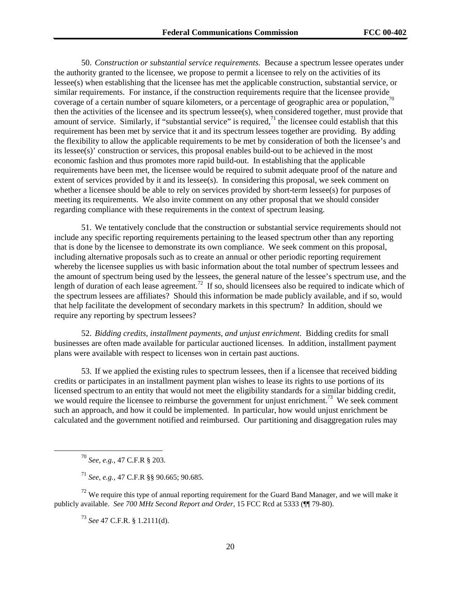50. *Construction or substantial service requirements.* Because a spectrum lessee operates under the authority granted to the licensee, we propose to permit a licensee to rely on the activities of its lessee(s) when establishing that the licensee has met the applicable construction, substantial service, or similar requirements. For instance, if the construction requirements require that the licensee provide coverage of a certain number of square kilometers, or a percentage of geographic area or population, $\frac{70}{10}$ then the activities of the licensee and its spectrum lessee(s), when considered together, must provide that amount of service. Similarly, if "substantial service" is required,  $\frac{71}{1}$  the licensee could establish that this requirement has been met by service that it and its spectrum lessees together are providing. By adding the flexibility to allow the applicable requirements to be met by consideration of both the licensee's and its lessee(s)' construction or services, this proposal enables build-out to be achieved in the most economic fashion and thus promotes more rapid build-out. In establishing that the applicable requirements have been met, the licensee would be required to submit adequate proof of the nature and extent of services provided by it and its lessee(s). In considering this proposal, we seek comment on whether a licensee should be able to rely on services provided by short-term lessee(s) for purposes of meeting its requirements. We also invite comment on any other proposal that we should consider regarding compliance with these requirements in the context of spectrum leasing.

51. We tentatively conclude that the construction or substantial service requirements should not include any specific reporting requirements pertaining to the leased spectrum other than any reporting that is done by the licensee to demonstrate its own compliance. We seek comment on this proposal, including alternative proposals such as to create an annual or other periodic reporting requirement whereby the licensee supplies us with basic information about the total number of spectrum lessees and the amount of spectrum being used by the lessees, the general nature of the lessee's spectrum use, and the length of duration of each lease agreement.<sup>72</sup> If so, should licensees also be required to indicate which of the spectrum lessees are affiliates? Should this information be made publicly available, and if so, would that help facilitate the development of secondary markets in this spectrum? In addition, should we require any reporting by spectrum lessees?

52. *Bidding credits, installment payments, and unjust enrichment*. Bidding credits for small businesses are often made available for particular auctioned licenses. In addition, installment payment plans were available with respect to licenses won in certain past auctions.

53. If we applied the existing rules to spectrum lessees, then if a licensee that received bidding credits or participates in an installment payment plan wishes to lease its rights to use portions of its licensed spectrum to an entity that would not meet the eligibility standards for a similar bidding credit, we would require the licensee to reimburse the government for unjust enrichment.<sup>73</sup> We seek comment such an approach, and how it could be implemented. In particular, how would unjust enrichment be calculated and the government notified and reimbursed. Our partitioning and disaggregation rules may

 $72$  We require this type of annual reporting requirement for the Guard Band Manager, and we will make it publicly available. *See 700 MHz Second Report and Order*, 15 FCC Rcd at 5333 (¶¶ 79-80).

<sup>73</sup> *See* 47 C.F.R. § 1.2111(d).

 <sup>70</sup> *See, e.g.,* 47 C.F.R § 203.

<sup>71</sup> *See, e.g.,* 47 C.F.R §§ 90.665; 90.685.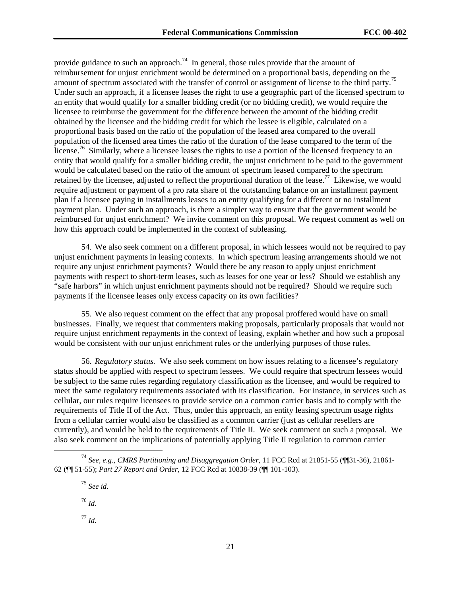provide guidance to such an approach.<sup>74</sup> In general, those rules provide that the amount of reimbursement for unjust enrichment would be determined on a proportional basis, depending on the amount of spectrum associated with the transfer of control or assignment of license to the third party.<sup>75</sup> Under such an approach, if a licensee leases the right to use a geographic part of the licensed spectrum to an entity that would qualify for a smaller bidding credit (or no bidding credit), we would require the licensee to reimburse the government for the difference between the amount of the bidding credit obtained by the licensee and the bidding credit for which the lessee is eligible, calculated on a proportional basis based on the ratio of the population of the leased area compared to the overall population of the licensed area times the ratio of the duration of the lease compared to the term of the license.<sup>76</sup> Similarly, where a licensee leases the rights to use a portion of the licensed frequency to an entity that would qualify for a smaller bidding credit, the unjust enrichment to be paid to the government would be calculated based on the ratio of the amount of spectrum leased compared to the spectrum retained by the licensee, adjusted to reflect the proportional duration of the lease.<sup>77</sup> Likewise, we would require adjustment or payment of a pro rata share of the outstanding balance on an installment payment plan if a licensee paying in installments leases to an entity qualifying for a different or no installment payment plan. Under such an approach, is there a simpler way to ensure that the government would be reimbursed for unjust enrichment? We invite comment on this proposal. We request comment as well on how this approach could be implemented in the context of subleasing.

54. We also seek comment on a different proposal, in which lessees would not be required to pay unjust enrichment payments in leasing contexts. In which spectrum leasing arrangements should we not require any unjust enrichment payments? Would there be any reason to apply unjust enrichment payments with respect to short-term leases, such as leases for one year or less? Should we establish any "safe harbors" in which unjust enrichment payments should not be required? Should we require such payments if the licensee leases only excess capacity on its own facilities?

55. We also request comment on the effect that any proposal proffered would have on small businesses. Finally, we request that commenters making proposals, particularly proposals that would not require unjust enrichment repayments in the context of leasing, explain whether and how such a proposal would be consistent with our unjust enrichment rules or the underlying purposes of those rules.

56. *Regulatory status.* We also seek comment on how issues relating to a licensee's regulatory status should be applied with respect to spectrum lessees. We could require that spectrum lessees would be subject to the same rules regarding regulatory classification as the licensee, and would be required to meet the same regulatory requirements associated with its classification. For instance, in services such as cellular, our rules require licensees to provide service on a common carrier basis and to comply with the requirements of Title II of the Act. Thus, under this approach, an entity leasing spectrum usage rights from a cellular carrier would also be classified as a common carrier (just as cellular resellers are currently), and would be held to the requirements of Title II. We seek comment on such a proposal. We also seek comment on the implications of potentially applying Title II regulation to common carrier

<sup>75</sup> *See id.*

<sup>76</sup> *Id*.

<sup>77</sup> *Id.*

 <sup>74</sup> *See, e.g., CMRS Partitioning and Disaggregation Order*, 11 FCC Rcd at 21851-55 (¶¶31-36), 21861- 62 (¶¶ 51-55); *Part 27 Report and Order*, 12 FCC Rcd at 10838-39 (¶¶ 101-103).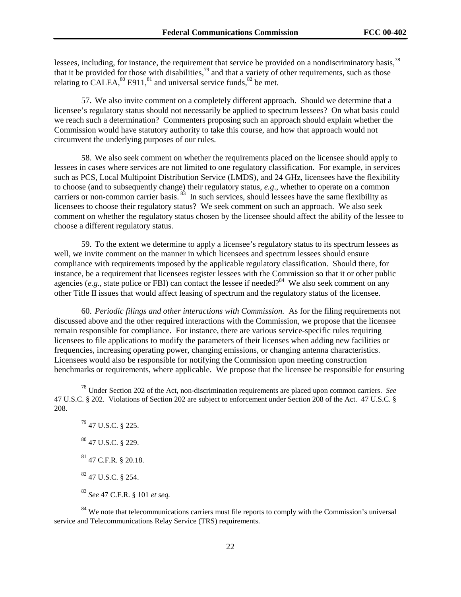lessees, including, for instance, the requirement that service be provided on a nondiscriminatory basis,  $^{78}$ that it be provided for those with disabilities,  $\frac{79}{2}$  and that a variety of other requirements, such as those relating to CALEA, $^{80}$  E911, $^{81}$  and universal service funds, $^{82}$  be met.

57. We also invite comment on a completely different approach. Should we determine that a licensee's regulatory status should not necessarily be applied to spectrum lessees? On what basis could we reach such a determination? Commenters proposing such an approach should explain whether the Commission would have statutory authority to take this course, and how that approach would not circumvent the underlying purposes of our rules.

58. We also seek comment on whether the requirements placed on the licensee should apply to lessees in cases where services are not limited to one regulatory classification. For example, in services such as PCS, Local Multipoint Distribution Service (LMDS), and 24 GHz, licensees have the flexibility to choose (and to subsequently change) their regulatory status, *e.g*., whether to operate on a common carriers or non-common carrier basis.<sup>83</sup> In such services, should lessees have the same flexibility as licensees to choose their regulatory status? We seek comment on such an approach. We also seek comment on whether the regulatory status chosen by the licensee should affect the ability of the lessee to choose a different regulatory status.

59. To the extent we determine to apply a licensee's regulatory status to its spectrum lessees as well, we invite comment on the manner in which licensees and spectrum lessees should ensure compliance with requirements imposed by the applicable regulatory classification. Should there, for instance, be a requirement that licensees register lessees with the Commission so that it or other public agencies (*e.g.*, state police or FBI) can contact the lessee if needed?<sup>84</sup> We also seek comment on any other Title II issues that would affect leasing of spectrum and the regulatory status of the licensee.

60. *Periodic filings and other interactions with Commission.* As for the filing requirements not discussed above and the other required interactions with the Commission, we propose that the licensee remain responsible for compliance. For instance, there are various service-specific rules requiring licensees to file applications to modify the parameters of their licenses when adding new facilities or frequencies, increasing operating power, changing emissions, or changing antenna characteristics. Licensees would also be responsible for notifying the Commission upon meeting construction benchmarks or requirements, where applicable. We propose that the licensee be responsible for ensuring

 $^{79}$  47 U.S.C. § 225. 80 47 U.S.C. § 229. 81 47 C.F.R. § 20.18. 82 47 U.S.C. § 254. <sup>83</sup> *See* 47 C.F.R. § 101 *et seq.*

<sup>84</sup> We note that telecommunications carriers must file reports to comply with the Commission's universal service and Telecommunications Relay Service (TRS) requirements.

 <sup>78</sup> Under Section 202 of the Act, non-discrimination requirements are placed upon common carriers. *See* 47 U.S.C. § 202. Violations of Section 202 are subject to enforcement under Section 208 of the Act. 47 U.S.C. § 208.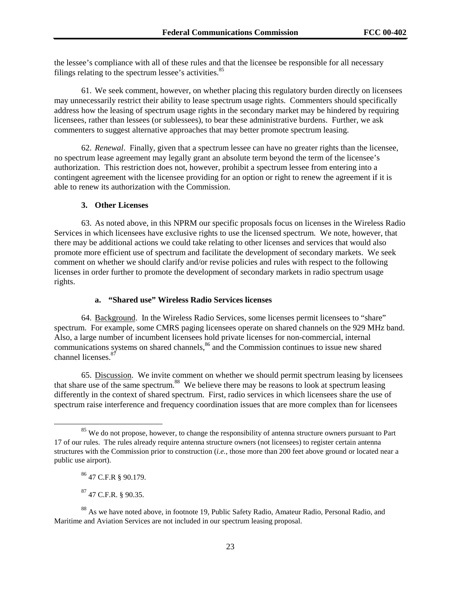the lessee's compliance with all of these rules and that the licensee be responsible for all necessary filings relating to the spectrum lessee's activities. $85$ 

61. We seek comment, however, on whether placing this regulatory burden directly on licensees may unnecessarily restrict their ability to lease spectrum usage rights. Commenters should specifically address how the leasing of spectrum usage rights in the secondary market may be hindered by requiring licensees, rather than lessees (or sublessees), to bear these administrative burdens. Further, we ask commenters to suggest alternative approaches that may better promote spectrum leasing.

62. *Renewal*. Finally, given that a spectrum lessee can have no greater rights than the licensee, no spectrum lease agreement may legally grant an absolute term beyond the term of the licensee's authorization. This restriction does not, however, prohibit a spectrum lessee from entering into a contingent agreement with the licensee providing for an option or right to renew the agreement if it is able to renew its authorization with the Commission.

#### **3. Other Licenses**

63. As noted above, in this NPRM our specific proposals focus on licenses in the Wireless Radio Services in which licensees have exclusive rights to use the licensed spectrum. We note, however, that there may be additional actions we could take relating to other licenses and services that would also promote more efficient use of spectrum and facilitate the development of secondary markets. We seek comment on whether we should clarify and/or revise policies and rules with respect to the following licenses in order further to promote the development of secondary markets in radio spectrum usage rights.

### **a. "Shared use" Wireless Radio Services licenses**

64. Background. In the Wireless Radio Services, some licenses permit licensees to "share" spectrum. For example, some CMRS paging licensees operate on shared channels on the 929 MHz band. Also, a large number of incumbent licensees hold private licenses for non-commercial, internal communications systems on shared channels, $86$  and the Commission continues to issue new shared channel licenses.<sup>87</sup>

65. Discussion. We invite comment on whether we should permit spectrum leasing by licensees that share use of the same spectrum.<sup>88</sup> We believe there may be reasons to look at spectrum leasing differently in the context of shared spectrum. First, radio services in which licensees share the use of spectrum raise interference and frequency coordination issues that are more complex than for licensees

87 47 C.F.R. § 90.35.

<sup>&</sup>lt;sup>85</sup> We do not propose, however, to change the responsibility of antenna structure owners pursuant to Part 17 of our rules. The rules already require antenna structure owners (not licensees) to register certain antenna structures with the Commission prior to construction (*i.e.*, those more than 200 feet above ground or located near a public use airport).

<sup>86 47</sup> C.F.R § 90.179.

<sup>&</sup>lt;sup>88</sup> As we have noted above, in footnote 19, Public Safety Radio, Amateur Radio, Personal Radio, and Maritime and Aviation Services are not included in our spectrum leasing proposal.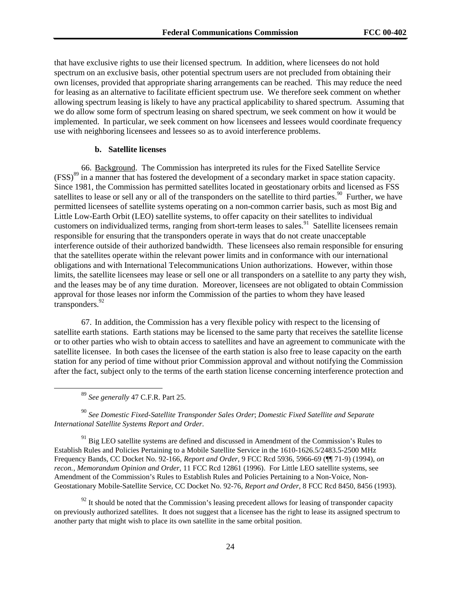that have exclusive rights to use their licensed spectrum. In addition, where licensees do not hold spectrum on an exclusive basis, other potential spectrum users are not precluded from obtaining their own licenses, provided that appropriate sharing arrangements can be reached. This may reduce the need for leasing as an alternative to facilitate efficient spectrum use. We therefore seek comment on whether allowing spectrum leasing is likely to have any practical applicability to shared spectrum. Assuming that we do allow some form of spectrum leasing on shared spectrum, we seek comment on how it would be implemented. In particular, we seek comment on how licensees and lessees would coordinate frequency use with neighboring licensees and lessees so as to avoid interference problems.

#### **b. Satellite licenses**

66. Background. The Commission has interpreted its rules for the Fixed Satellite Service (FSS)89 in a manner that has fostered the development of a secondary market in space station capacity. Since 1981, the Commission has permitted satellites located in geostationary orbits and licensed as FSS satellites to lease or sell any or all of the transponders on the satellite to third parties.<sup>90</sup> Further, we have permitted licensees of satellite systems operating on a non-common carrier basis, such as most Big and Little Low-Earth Orbit (LEO) satellite systems, to offer capacity on their satellites to individual customers on individualized terms, ranging from short-term leases to sales.<sup>91</sup> Satellite licensees remain responsible for ensuring that the transponders operate in ways that do not create unacceptable interference outside of their authorized bandwidth. These licensees also remain responsible for ensuring that the satellites operate within the relevant power limits and in conformance with our international obligations and with International Telecommunications Union authorizations. However, within those limits, the satellite licensees may lease or sell one or all transponders on a satellite to any party they wish, and the leases may be of any time duration. Moreover, licensees are not obligated to obtain Commission approval for those leases nor inform the Commission of the parties to whom they have leased transponders.<sup>92</sup>

67. In addition, the Commission has a very flexible policy with respect to the licensing of satellite earth stations. Earth stations may be licensed to the same party that receives the satellite license or to other parties who wish to obtain access to satellites and have an agreement to communicate with the satellite licensee. In both cases the licensee of the earth station is also free to lease capacity on the earth station for any period of time without prior Commission approval and without notifying the Commission after the fact, subject only to the terms of the earth station license concerning interference protection and

89 *See generally* 47 C.F.R. Part 25.

<sup>90</sup> *See Domestic Fixed-Satellite Transponder Sales Order*; *Domestic Fixed Satellite and Separate International Satellite Systems Report and Order*.

<sup>91</sup> Big LEO satellite systems are defined and discussed in Amendment of the Commission's Rules to Establish Rules and Policies Pertaining to a Mobile Satellite Service in the 1610-1626.5/2483.5-2500 MHz Frequency Bands*,* CC Docket No. 92-166, *Report and Order*, 9 FCC Rcd 5936, 5966-69 (¶¶ 71-9) (1994)*, on recon., Memorandum Opinion and Order*, 11 FCC Rcd 12861 (1996). For Little LEO satellite systems, see Amendment of the Commission's Rules to Establish Rules and Policies Pertaining to a Non-Voice, Non-Geostationary Mobile-Satellite Service*,* CC Docket No. 92-76, *Report and Order*, 8 FCC Rcd 8450, 8456 (1993).

 $^{92}$  It should be noted that the Commission's leasing precedent allows for leasing of transponder capacity on previously authorized satellites. It does not suggest that a licensee has the right to lease its assigned spectrum to another party that might wish to place its own satellite in the same orbital position.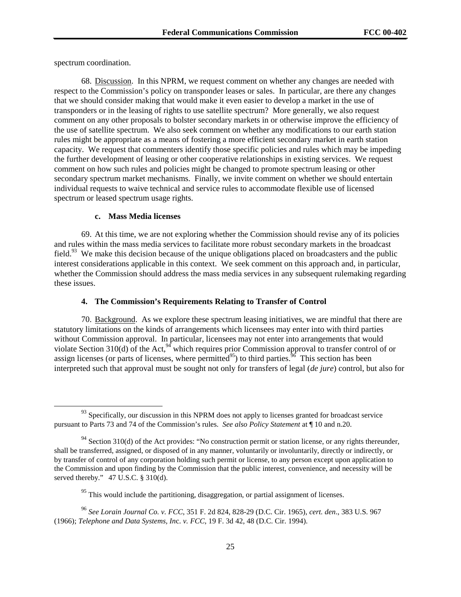spectrum coordination.

68. Discussion. In this NPRM, we request comment on whether any changes are needed with respect to the Commission's policy on transponder leases or sales. In particular, are there any changes that we should consider making that would make it even easier to develop a market in the use of transponders or in the leasing of rights to use satellite spectrum? More generally, we also request comment on any other proposals to bolster secondary markets in or otherwise improve the efficiency of the use of satellite spectrum. We also seek comment on whether any modifications to our earth station rules might be appropriate as a means of fostering a more efficient secondary market in earth station capacity. We request that commenters identify those specific policies and rules which may be impeding the further development of leasing or other cooperative relationships in existing services. We request comment on how such rules and policies might be changed to promote spectrum leasing or other secondary spectrum market mechanisms. Finally, we invite comment on whether we should entertain individual requests to waive technical and service rules to accommodate flexible use of licensed spectrum or leased spectrum usage rights.

### **c. Mass Media licenses**

69. At this time, we are not exploring whether the Commission should revise any of its policies and rules within the mass media services to facilitate more robust secondary markets in the broadcast field.<sup>93</sup> We make this decision because of the unique obligations placed on broadcasters and the public interest considerations applicable in this context. We seek comment on this approach and, in particular, whether the Commission should address the mass media services in any subsequent rulemaking regarding these issues.

# **4. The Commission's Requirements Relating to Transfer of Control**

70. Background. As we explore these spectrum leasing initiatives, we are mindful that there are statutory limitations on the kinds of arrangements which licensees may enter into with third parties without Commission approval. In particular, licensees may not enter into arrangements that would violate Section 310(d) of the Act, $9^4$  which requires prior Commission approval to transfer control of or assign licenses (or parts of licenses, where permitted<sup>95</sup>) to third parties.<sup>96</sup> This section has been interpreted such that approval must be sought not only for transfers of legal (*de jure*) control, but also for

 $\frac{93}{93}$  Specifically, our discussion in this NPRM does not apply to licenses granted for broadcast service pursuant to Parts 73 and 74 of the Commission's rules. *See also Policy Statement* at ¶ 10 and n.20.

<sup>&</sup>lt;sup>94</sup> Section 310(d) of the Act provides: "No construction permit or station license, or any rights thereunder, shall be transferred, assigned, or disposed of in any manner, voluntarily or involuntarily, directly or indirectly, or by transfer of control of any corporation holding such permit or license, to any person except upon application to the Commission and upon finding by the Commission that the public interest, convenience, and necessity will be served thereby." 47 U.S.C. § 310(d).

 $\frac{95}{95}$  This would include the partitioning, disaggregation, or partial assignment of licenses.

<sup>96</sup> *See Lorain Journal Co. v. FCC*, 351 F. 2d 824, 828-29 (D.C. Cir. 1965), *cert. den*., 383 U.S. 967 (1966); *Telephone and Data Systems, In*c. *v. FCC*, 19 F. 3d 42, 48 (D.C. Cir. 1994).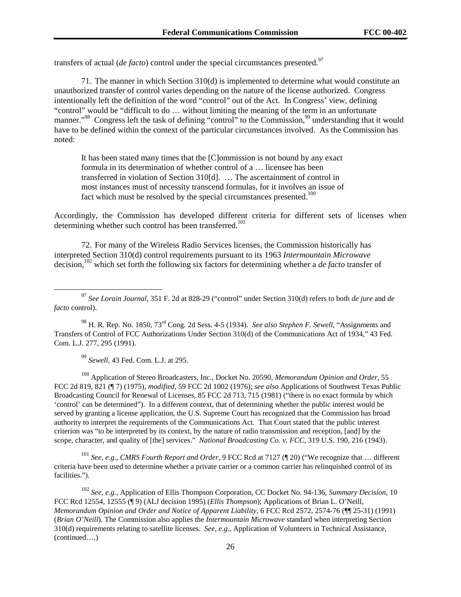transfers of actual (*de facto*) control under the special circumstances presented.<sup>97</sup>

71. The manner in which Section 310(d) is implemented to determine what would constitute an unauthorized transfer of control varies depending on the nature of the license authorized. Congress intentionally left the definition of the word "control" out of the Act. In Congress' view, defining "control" would be "difficult to do … without limiting the meaning of the term in an unfortunate manner."<sup>98</sup> Congress left the task of defining "control" to the Commission,<sup>99</sup> understanding that it would have to be defined within the context of the particular circumstances involved. As the Commission has noted:

It has been stated many times that the [C]ommission is not bound by any exact formula in its determination of whether control of a … licensee has been transferred in violation of Section 310[d]. … The ascertainment of control in most instances must of necessity transcend formulas, for it involves an issue of fact which must be resolved by the special circumstances presented.<sup>100</sup>

Accordingly, the Commission has developed different criteria for different sets of licenses when determining whether such control has been transferred.<sup>101</sup>

72. For many of the Wireless Radio Services licenses, the Commission historically has interpreted Section 310(d) control requirements pursuant to its 1963 *Intermountain Microwave* decision,102 which set forth the following six factors for determining whether a *de facto* transfer of

98 H. R. Rep. No. 1850, 73rd Cong. 2d Sess. 4-5 (1934). *See also Stephen F. Sewell*, "Assignments and Transfers of Control of FCC Authorizations Under Section 310(d) of the Communications Act of 1934," 43 Fed. Com. L.J. 277, 295 (1991).

<sup>99</sup> *Sewell*, 43 Fed. Com. L.J. at 295.

100 Application of Stereo Broadcasters, Inc., Docket No. 20590, *Memorandum Opinion and Order*, 55 FCC 2d 819, 821 (¶ 7) (1975), *modified*, 59 FCC 2d 1002 (1976); *see also* Applications of Southwest Texas Public Broadcasting Council for Renewal of Licenses*,* 85 FCC 2d 713, 715 (1981) ("there is no exact formula by which 'control' can be determined"). In a different context, that of determining whether the public interest would be served by granting a license application, the U.S. Supreme Court has recognized that the Commission has broad authority to interpret the requirements of the Communications Act. That Court stated that the public interest criterion was "to be interpreted by its context, by the nature of radio transmission and reception, [and] by the scope, character, and quality of [the] services." *National Broadcasting Co. v. FCC*, 319 U.S. 190, 216 (1943).

<sup>101</sup> *See, e.g., CMRS Fourth Report and Order*, 9 FCC Rcd at 7127 (¶ 20) ("We recognize that … different criteria have been used to determine whether a private carrier or a common carrier has relinquished control of its facilities.").

<sup>102</sup> *See, e.g.,* Application of Ellis Thompson Corporation*,* CC Docket No. 94-136, *Summary Decision*, 10 FCC Rcd 12554, 12555 (¶ 9) (ALJ decision 1995) (*Ellis Thompson*); Applications of Brian L. O'Neill, *Memorandum Opinion and Order and Notice of Apparent Liability*, 6 FCC Rcd 2572, 2574-76 (¶¶ 25-31) (1991) (*Brian O'Neill*)*.* The Commission also applies the *Intermountain Microwave* standard when interpreting Section 310(d) requirements relating to satellite licenses. *See, e.g.,* Application of Volunteers in Technical Assistance, (continued….)

 <sup>97</sup> *See Lorain Journal*, 351 F. 2d at 828-29 ("control" under Section 310(d) refers to both *de jure* and *de facto* control).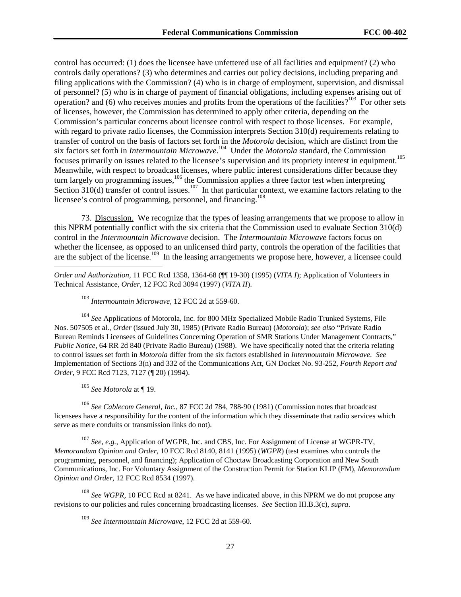control has occurred: (1) does the licensee have unfettered use of all facilities and equipment? (2) who controls daily operations? (3) who determines and carries out policy decisions, including preparing and filing applications with the Commission? (4) who is in charge of employment, supervision, and dismissal of personnel? (5) who is in charge of payment of financial obligations, including expenses arising out of operation? and (6) who receives monies and profits from the operations of the facilities?<sup>103</sup> For other sets of licenses, however, the Commission has determined to apply other criteria, depending on the Commission's particular concerns about licensee control with respect to those licenses. For example, with regard to private radio licenses, the Commission interprets Section 310(d) requirements relating to transfer of control on the basis of factors set forth in the *Motorola* decision, which are distinct from the six factors set forth in *Intermountain Microwave*. 104 Under the *Motorola* standard, the Commission focuses primarily on issues related to the licensee's supervision and its propriety interest in equipment.<sup>105</sup> Meanwhile, with respect to broadcast licenses, where public interest considerations differ because they turn largely on programming issues,  $106$  the Commission applies a three factor test when interpreting Section  $310(d)$  transfer of control issues.<sup>107</sup> In that particular context, we examine factors relating to the licensee's control of programming, personnel, and financing.<sup>108</sup>

73. Discussion. We recognize that the types of leasing arrangements that we propose to allow in this NPRM potentially conflict with the six criteria that the Commission used to evaluate Section 310(d) control in the *Intermountain Microwave* decision. The *Intermountain Microwave* factors focus on whether the licensee, as opposed to an unlicensed third party, controls the operation of the facilities that are the subject of the license.<sup>109</sup> In the leasing arrangements we propose here, however, a licensee could

*Order and Authorization*, 11 FCC Rcd 1358, 1364-68 (¶¶ 19-30) (1995) (*VITA I*); Application of Volunteers in Technical Assistance, *Order*, 12 FCC Rcd 3094 (1997) (*VITA II*).

<sup>103</sup> *Intermountain Microwave*, 12 FCC 2d at 559-60.

<sup>104</sup> *See* Applications of Motorola, Inc. for 800 MHz Specialized Mobile Radio Trunked Systems, File Nos. 507505 et al., *Order* (issued July 30, 1985) (Private Radio Bureau) (*Motorola*); *see also* "Private Radio Bureau Reminds Licensees of Guidelines Concerning Operation of SMR Stations Under Management Contracts," *Public Notice*, 64 RR 2d 840 (Private Radio Bureau) (1988). We have specifically noted that the criteria relating to control issues set forth in *Motorola* differ from the six factors established in *Intermountain Microwave*. *See* Implementation of Sections 3(n) and 332 of the Communications Act, GN Docket No. 93-252, *Fourth Report and Order*, 9 FCC Rcd 7123, 7127 (¶ 20) (1994).

<sup>105</sup> *See Motorola* at ¶ 19.

l

<sup>106</sup> *See Cablecom General, Inc.*, 87 FCC 2d 784, 788-90 (1981) (Commission notes that broadcast licensees have a responsibility for the content of the information which they disseminate that radio services which serve as mere conduits or transmission links do not).

<sup>107</sup> *See, e.g.,* Application of WGPR, Inc. and CBS, Inc. For Assignment of License at WGPR-TV, *Memorandum Opinion and Order*, 10 FCC Rcd 8140, 8141 (1995) (*WGPR*) (test examines who controls the programming, personnel, and financing); Application of Choctaw Broadcasting Corporation and New South Communications, Inc. For Voluntary Assignment of the Construction Permit for Station KLIP (FM), *Memorandum Opinion and Order*, 12 FCC Rcd 8534 (1997).

<sup>108</sup> *See WGPR*, 10 FCC Rcd at 8241. As we have indicated above, in this NPRM we do not propose any revisions to our policies and rules concerning broadcasting licenses. *See* Section III.B.3(c), *supra*.

<sup>109</sup> *See Intermountain Microwave*, 12 FCC 2d at 559-60.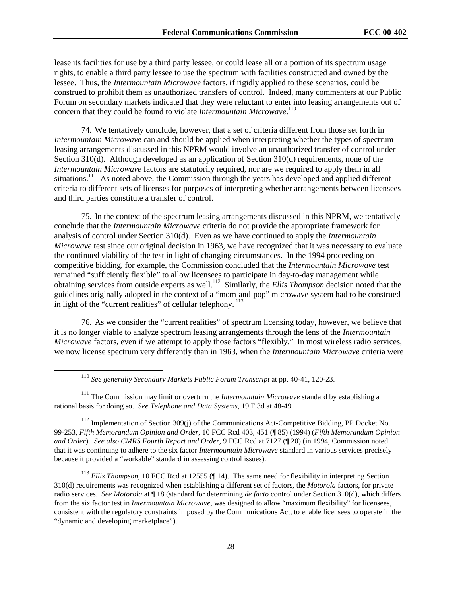lease its facilities for use by a third party lessee, or could lease all or a portion of its spectrum usage rights, to enable a third party lessee to use the spectrum with facilities constructed and owned by the lessee. Thus, the *Intermountain Microwave* factors, if rigidly applied to these scenarios, could be construed to prohibit them as unauthorized transfers of control. Indeed, many commenters at our Public Forum on secondary markets indicated that they were reluctant to enter into leasing arrangements out of concern that they could be found to violate *Intermountain Microwave*. 110

74. We tentatively conclude, however, that a set of criteria different from those set forth in *Intermountain Microwave* can and should be applied when interpreting whether the types of spectrum leasing arrangements discussed in this NPRM would involve an unauthorized transfer of control under Section 310(d). Although developed as an application of Section 310(d) requirements, none of the *Intermountain Microwave* factors are statutorily required, nor are we required to apply them in all situations.<sup>111</sup> As noted above, the Commission through the years has developed and applied different criteria to different sets of licenses for purposes of interpreting whether arrangements between licensees and third parties constitute a transfer of control.

75. In the context of the spectrum leasing arrangements discussed in this NPRM, we tentatively conclude that the *Intermountain Microwave* criteria do not provide the appropriate framework for analysis of control under Section 310(d). Even as we have continued to apply the *Intermountain Microwave* test since our original decision in 1963, we have recognized that it was necessary to evaluate the continued viability of the test in light of changing circumstances. In the 1994 proceeding on competitive bidding, for example, the Commission concluded that the *Intermountain Microwave* test remained "sufficiently flexible" to allow licensees to participate in day-to-day management while obtaining services from outside experts as well.112 Similarly, the *Ellis Thompson* decision noted that the guidelines originally adopted in the context of a "mom-and-pop" microwave system had to be construed in light of the "current realities" of cellular telephony.<sup>113</sup>

76. As we consider the "current realities" of spectrum licensing today, however, we believe that it is no longer viable to analyze spectrum leasing arrangements through the lens of the *Intermountain Microwave* factors, even if we attempt to apply those factors "flexibly." In most wireless radio services, we now license spectrum very differently than in 1963, when the *Intermountain Microwave* criteria were

110 *See generally Secondary Markets Public Forum Transcript* at pp. 40-41, 120-23.

111 The Commission may limit or overturn the *Intermountain Microwave* standard by establishing a rational basis for doing so. *See Telephone and Data Systems*, 19 F.3d at 48-49.

<sup>112</sup> Implementation of Section 309(j) of the Communications Act-Competitive Bidding, PP Docket No. 99-253, *Fifth Memorandum Opinion and Order*, 10 FCC Rcd 403, 451 (¶ 85) (1994) (*Fifth Memorandum Opinion and Order*). *See also CMRS Fourth Report and Order*, 9 FCC Rcd at 7127 (¶ 20) (in 1994, Commission noted that it was continuing to adhere to the six factor *Intermountain Microwave* standard in various services precisely because it provided a "workable" standard in assessing control issues).

<sup>113</sup> *Ellis Thompson*, 10 FCC Rcd at 12555 (¶ 14). The same need for flexibility in interpreting Section 310(d) requirements was recognized when establishing a different set of factors, the *Motorola* factors, for private radio services. *See Motorola* at ¶ 18 (standard for determining *de facto* control under Section 310(d), which differs from the six factor test in *Intermountain Microwave*, was designed to allow "maximum flexibility" for licensees, consistent with the regulatory constraints imposed by the Communications Act, to enable licensees to operate in the "dynamic and developing marketplace").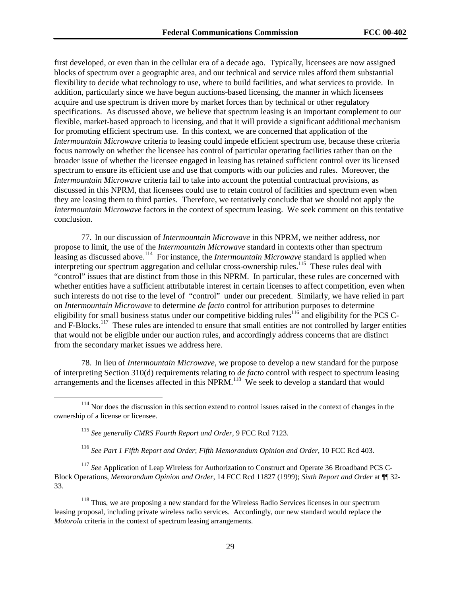first developed, or even than in the cellular era of a decade ago. Typically, licensees are now assigned blocks of spectrum over a geographic area, and our technical and service rules afford them substantial flexibility to decide what technology to use, where to build facilities, and what services to provide. In addition, particularly since we have begun auctions-based licensing, the manner in which licensees acquire and use spectrum is driven more by market forces than by technical or other regulatory specifications. As discussed above, we believe that spectrum leasing is an important complement to our flexible, market-based approach to licensing, and that it will provide a significant additional mechanism for promoting efficient spectrum use. In this context, we are concerned that application of the *Intermountain Microwave* criteria to leasing could impede efficient spectrum use, because these criteria focus narrowly on whether the licensee has control of particular operating facilities rather than on the broader issue of whether the licensee engaged in leasing has retained sufficient control over its licensed spectrum to ensure its efficient use and use that comports with our policies and rules. Moreover, the *Intermountain Microwave* criteria fail to take into account the potential contractual provisions, as discussed in this NPRM, that licensees could use to retain control of facilities and spectrum even when they are leasing them to third parties. Therefore, we tentatively conclude that we should not apply the *Intermountain Microwave* factors in the context of spectrum leasing. We seek comment on this tentative conclusion.

77. In our discussion of *Intermountain Microwave* in this NPRM, we neither address, nor propose to limit, the use of the *Intermountain Microwave* standard in contexts other than spectrum leasing as discussed above.114 For instance, the *Intermountain Microwave* standard is applied when interpreting our spectrum aggregation and cellular cross-ownership rules.<sup>115</sup> These rules deal with "control" issues that are distinct from those in this NPRM. In particular, these rules are concerned with whether entities have a sufficient attributable interest in certain licenses to affect competition, even when such interests do not rise to the level of "control" under our precedent. Similarly, we have relied in part on *Intermountain Microwave* to determine *de facto* control for attribution purposes to determine eligibility for small business status under our competitive bidding rules<sup>116</sup> and eligibility for the PCS Cand F-Blocks.<sup>117</sup> These rules are intended to ensure that small entities are not controlled by larger entities that would not be eligible under our auction rules, and accordingly address concerns that are distinct from the secondary market issues we address here.

78. In lieu of *Intermountain Microwave*, we propose to develop a new standard for the purpose of interpreting Section 310(d) requirements relating to *de facto* control with respect to spectrum leasing arrangements and the licenses affected in this NPRM.<sup>118</sup> We seek to develop a standard that would

<sup>116</sup> *See Part 1 Fifth Report and Order*; *Fifth Memorandum Opinion and Order*, 10 FCC Rcd 403.

<sup>117</sup> See Application of Leap Wireless for Authorization to Construct and Operate 36 Broadband PCS C-Block Operations, *Memorandum Opinion and Order*, 14 FCC Rcd 11827 (1999); *Sixth Report and Order* at ¶¶ 32- 33.

 $118$  Thus, we are proposing a new standard for the Wireless Radio Services licenses in our spectrum leasing proposal, including private wireless radio services. Accordingly, our new standard would replace the *Motorola* criteria in the context of spectrum leasing arrangements.

<sup>&</sup>lt;sup>114</sup> Nor does the discussion in this section extend to control issues raised in the context of changes in the ownership of a license or licensee.

<sup>115</sup> *See generally CMRS Fourth Report and Order*, 9 FCC Rcd 7123.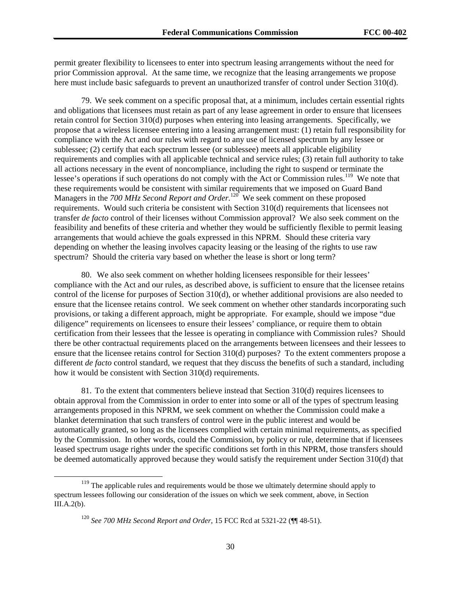permit greater flexibility to licensees to enter into spectrum leasing arrangements without the need for prior Commission approval. At the same time, we recognize that the leasing arrangements we propose here must include basic safeguards to prevent an unauthorized transfer of control under Section 310(d).

79. We seek comment on a specific proposal that, at a minimum, includes certain essential rights and obligations that licensees must retain as part of any lease agreement in order to ensure that licensees retain control for Section 310(d) purposes when entering into leasing arrangements. Specifically, we propose that a wireless licensee entering into a leasing arrangement must: (1) retain full responsibility for compliance with the Act and our rules with regard to any use of licensed spectrum by any lessee or sublessee; (2) certify that each spectrum lessee (or sublessee) meets all applicable eligibility requirements and complies with all applicable technical and service rules; (3) retain full authority to take all actions necessary in the event of noncompliance, including the right to suspend or terminate the lessee's operations if such operations do not comply with the Act or Commission rules.<sup>119</sup> We note that these requirements would be consistent with similar requirements that we imposed on Guard Band Managers in the *700 MHz Second Report and Order*.<sup>120</sup> We seek comment on these proposed requirements. Would such criteria be consistent with Section 310(d) requirements that licensees not transfer *de facto* control of their licenses without Commission approval? We also seek comment on the feasibility and benefits of these criteria and whether they would be sufficiently flexible to permit leasing arrangements that would achieve the goals expressed in this NPRM. Should these criteria vary depending on whether the leasing involves capacity leasing or the leasing of the rights to use raw spectrum? Should the criteria vary based on whether the lease is short or long term?

80. We also seek comment on whether holding licensees responsible for their lessees' compliance with the Act and our rules, as described above, is sufficient to ensure that the licensee retains control of the license for purposes of Section 310(d), or whether additional provisions are also needed to ensure that the licensee retains control. We seek comment on whether other standards incorporating such provisions, or taking a different approach, might be appropriate. For example, should we impose "due diligence" requirements on licensees to ensure their lessees' compliance, or require them to obtain certification from their lessees that the lessee is operating in compliance with Commission rules? Should there be other contractual requirements placed on the arrangements between licensees and their lessees to ensure that the licensee retains control for Section 310(d) purposes? To the extent commenters propose a different *de facto* control standard, we request that they discuss the benefits of such a standard, including how it would be consistent with Section 310(d) requirements.

81. To the extent that commenters believe instead that Section 310(d) requires licensees to obtain approval from the Commission in order to enter into some or all of the types of spectrum leasing arrangements proposed in this NPRM, we seek comment on whether the Commission could make a blanket determination that such transfers of control were in the public interest and would be automatically granted, so long as the licensees complied with certain minimal requirements, as specified by the Commission. In other words, could the Commission, by policy or rule, determine that if licensees leased spectrum usage rights under the specific conditions set forth in this NPRM, those transfers should be deemed automatically approved because they would satisfy the requirement under Section 310(d) that

<sup>&</sup>lt;sup>119</sup> The applicable rules and requirements would be those we ultimately determine should apply to spectrum lessees following our consideration of the issues on which we seek comment, above, in Section III.A.2(b).

<sup>120</sup> *See 700 MHz Second Report and Order*, 15 FCC Rcd at 5321-22 (¶¶ 48-51).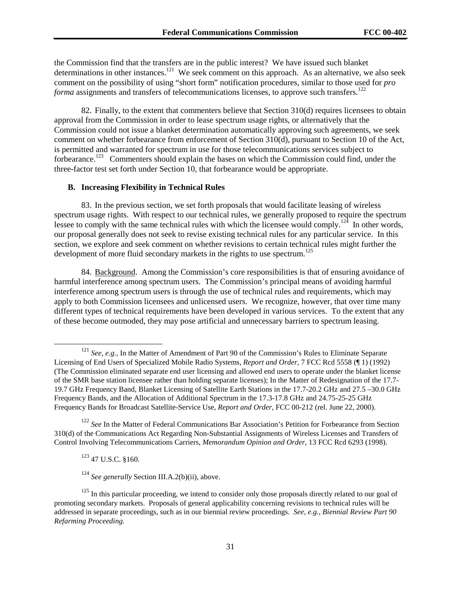the Commission find that the transfers are in the public interest? We have issued such blanket determinations in other instances.<sup>121</sup> We seek comment on this approach. As an alternative, we also seek comment on the possibility of using "short form" notification procedures, similar to those used for *pro forma* assignments and transfers of telecommunications licenses, to approve such transfers.<sup>122</sup>

82. Finally, to the extent that commenters believe that Section 310(d) requires licensees to obtain approval from the Commission in order to lease spectrum usage rights, or alternatively that the Commission could not issue a blanket determination automatically approving such agreements, we seek comment on whether forbearance from enforcement of Section 310(d), pursuant to Section 10 of the Act, is permitted and warranted for spectrum in use for those telecommunications services subject to forbearance.<sup>123</sup> Commenters should explain the bases on which the Commission could find, under the three-factor test set forth under Section 10, that forbearance would be appropriate.

#### **B. Increasing Flexibility in Technical Rules**

83. In the previous section, we set forth proposals that would facilitate leasing of wireless spectrum usage rights. With respect to our technical rules, we generally proposed to require the spectrum lessee to comply with the same technical rules with which the licensee would comply.<sup>124</sup> In other words, our proposal generally does not seek to revise existing technical rules for any particular service. In this section, we explore and seek comment on whether revisions to certain technical rules might further the development of more fluid secondary markets in the rights to use spectrum.<sup>125</sup>

84. Background. Among the Commission's core responsibilities is that of ensuring avoidance of harmful interference among spectrum users. The Commission's principal means of avoiding harmful interference among spectrum users is through the use of technical rules and requirements, which may apply to both Commission licensees and unlicensed users. We recognize, however, that over time many different types of technical requirements have been developed in various services. To the extent that any of these become outmoded, they may pose artificial and unnecessary barriers to spectrum leasing.

123 47 U.S.C. §160.

<sup>124</sup> *See generally* Section III.A.2(b)(ii), above.

<sup>&</sup>lt;sup>121</sup> *See, e.g.,* In the Matter of Amendment of Part 90 of the Commission's Rules to Eliminate Separate Licensing of End Users of Specialized Mobile Radio Systems, *Report and Order*, 7 FCC Rcd 5558 (¶ 1) (1992) (The Commission eliminated separate end user licensing and allowed end users to operate under the blanket license of the SMR base station licensee rather than holding separate licenses); In the Matter of Redesignation of the 17.7- 19.7 GHz Frequency Band, Blanket Licensing of Satellite Earth Stations in the 17.7-20.2 GHz and 27.5 –30.0 GHz Frequency Bands, and the Allocation of Additional Spectrum in the 17.3-17.8 GHz and 24.75-25-25 GHz Frequency Bands for Broadcast Satellite-Service Use, *Report and Order*, FCC 00-212 (rel. June 22, 2000).

<sup>&</sup>lt;sup>122</sup> See In the Matter of Federal Communications Bar Association's Petition for Forbearance from Section 310(d) of the Communications Act Regarding Non-Substantial Assignments of Wireless Licenses and Transfers of Control Involving Telecommunications Carriers, *Memorandum Opinion and Order*, 13 FCC Rcd 6293 (1998).

 $125$  In this particular proceeding, we intend to consider only those proposals directly related to our goal of promoting secondary markets. Proposals of general applicability concerning revisions to technical rules will be addressed in separate proceedings, such as in our biennial review proceedings. *See, e.g., Biennial Review Part 90 Refarming Proceeding.*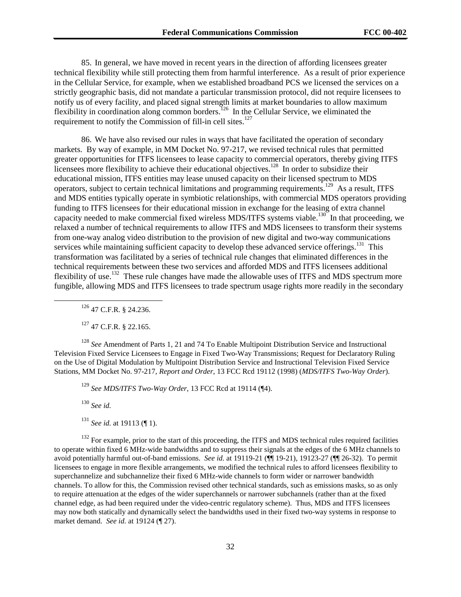85. In general, we have moved in recent years in the direction of affording licensees greater technical flexibility while still protecting them from harmful interference. As a result of prior experience in the Cellular Service, for example, when we established broadband PCS we licensed the services on a strictly geographic basis, did not mandate a particular transmission protocol, did not require licensees to notify us of every facility, and placed signal strength limits at market boundaries to allow maximum flexibility in coordination along common borders.<sup>126</sup> In the Cellular Service, we eliminated the requirement to notify the Commission of fill-in cell sites.<sup>12</sup>

86. We have also revised our rules in ways that have facilitated the operation of secondary markets. By way of example, in MM Docket No. 97-217, we revised technical rules that permitted greater opportunities for ITFS licensees to lease capacity to commercial operators, thereby giving ITFS licensees more flexibility to achieve their educational objectives.<sup>128</sup> In order to subsidize their educational mission, ITFS entities may lease unused capacity on their licensed spectrum to MDS operators, subject to certain technical limitations and programming requirements.129 As a result, ITFS and MDS entities typically operate in symbiotic relationships, with commercial MDS operators providing funding to ITFS licensees for their educational mission in exchange for the leasing of extra channel capacity needed to make commercial fixed wireless MDS/ITFS systems viable.<sup>130</sup> In that proceeding, we relaxed a number of technical requirements to allow ITFS and MDS licensees to transform their systems from one-way analog video distribution to the provision of new digital and two-way communications services while maintaining sufficient capacity to develop these advanced service offerings.<sup>131</sup> This transformation was facilitated by a series of technical rule changes that eliminated differences in the technical requirements between these two services and afforded MDS and ITFS licensees additional flexibility of use.<sup>132</sup> These rule changes have made the allowable uses of ITFS and MDS spectrum more fungible, allowing MDS and ITFS licensees to trade spectrum usage rights more readily in the secondary

 $126$  47 C.F.R. § 24.236.

 $127$  47 C.F.R. § 22.165.

<sup>128</sup> *See* Amendment of Parts 1, 21 and 74 To Enable Multipoint Distribution Service and Instructional Television Fixed Service Licensees to Engage in Fixed Two-Way Transmissions; Request for Declaratory Ruling on the Use of Digital Modulation by Multipoint Distribution Service and Instructional Television Fixed Service Stations, MM Docket No. 97-217, *Report and Order*, 13 FCC Rcd 19112 (1998) (*MDS/ITFS Two-Way Order*).

<sup>129</sup> *See MDS/ITFS Two-Way Order,* 13 FCC Rcd at 19114 (¶4).

<sup>130</sup> *See id.*

<sup>131</sup> *See id.* at 19113 (¶ 1).

<sup>132</sup> For example, prior to the start of this proceeding, the ITFS and MDS technical rules required facilities to operate within fixed 6 MHz-wide bandwidths and to suppress their signals at the edges of the 6 MHz channels to avoid potentially harmful out-of-band emissions. *See id.* at 19119-21 (¶¶ 19-21), 19123-27 (¶¶ 26-32). To permit licensees to engage in more flexible arrangements, we modified the technical rules to afford licensees flexibility to superchannelize and subchannelize their fixed 6 MHz-wide channels to form wider or narrower bandwidth channels. To allow for this, the Commission revised other technical standards, such as emissions masks, so as only to require attenuation at the edges of the wider superchannels or narrower subchannels (rather than at the fixed channel edge, as had been required under the video-centric regulatory scheme). Thus, MDS and ITFS licensees may now both statically and dynamically select the bandwidths used in their fixed two-way systems in response to market demand. *See id.* at 19124 (¶ 27).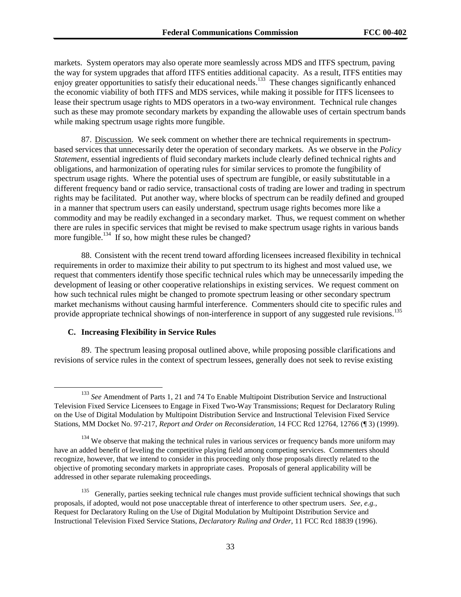markets. System operators may also operate more seamlessly across MDS and ITFS spectrum, paving the way for system upgrades that afford ITFS entities additional capacity. As a result, ITFS entities may enjoy greater opportunities to satisfy their educational needs.<sup>133</sup> These changes significantly enhanced the economic viability of both ITFS and MDS services, while making it possible for ITFS licensees to lease their spectrum usage rights to MDS operators in a two-way environment. Technical rule changes such as these may promote secondary markets by expanding the allowable uses of certain spectrum bands while making spectrum usage rights more fungible.

87. Discussion. We seek comment on whether there are technical requirements in spectrumbased services that unnecessarily deter the operation of secondary markets. As we observe in the *Policy Statement*, essential ingredients of fluid secondary markets include clearly defined technical rights and obligations, and harmonization of operating rules for similar services to promote the fungibility of spectrum usage rights. Where the potential uses of spectrum are fungible, or easily substitutable in a different frequency band or radio service, transactional costs of trading are lower and trading in spectrum rights may be facilitated. Put another way, where blocks of spectrum can be readily defined and grouped in a manner that spectrum users can easily understand, spectrum usage rights becomes more like a commodity and may be readily exchanged in a secondary market. Thus, we request comment on whether there are rules in specific services that might be revised to make spectrum usage rights in various bands more fungible.<sup>134</sup> If so, how might these rules be changed?

88. Consistent with the recent trend toward affording licensees increased flexibility in technical requirements in order to maximize their ability to put spectrum to its highest and most valued use, we request that commenters identify those specific technical rules which may be unnecessarily impeding the development of leasing or other cooperative relationships in existing services. We request comment on how such technical rules might be changed to promote spectrum leasing or other secondary spectrum market mechanisms without causing harmful interference. Commenters should cite to specific rules and provide appropriate technical showings of non-interference in support of any suggested rule revisions.<sup>135</sup>

#### **C. Increasing Flexibility in Service Rules**

89. The spectrum leasing proposal outlined above, while proposing possible clarifications and revisions of service rules in the context of spectrum lessees, generally does not seek to revise existing

<sup>&</sup>lt;sup>133</sup> See Amendment of Parts 1, 21 and 74 To Enable Multipoint Distribution Service and Instructional Television Fixed Service Licensees to Engage in Fixed Two-Way Transmissions; Request for Declaratory Ruling on the Use of Digital Modulation by Multipoint Distribution Service and Instructional Television Fixed Service Stations, MM Docket No. 97-217, *Report and Order on Reconsideration*, 14 FCC Rcd 12764, 12766 (¶ 3) (1999).

 $134$  We observe that making the technical rules in various services or frequency bands more uniform may have an added benefit of leveling the competitive playing field among competing services. Commenters should recognize, however, that we intend to consider in this proceeding only those proposals directly related to the objective of promoting secondary markets in appropriate cases. Proposals of general applicability will be addressed in other separate rulemaking proceedings.

<sup>&</sup>lt;sup>135</sup> Generally, parties seeking technical rule changes must provide sufficient technical showings that such proposals, if adopted, would not pose unacceptable threat of interference to other spectrum users. *See, e.g.,* Request for Declaratory Ruling on the Use of Digital Modulation by Multipoint Distribution Service and Instructional Television Fixed Service Stations, *Declaratory Ruling and Order*, 11 FCC Rcd 18839 (1996).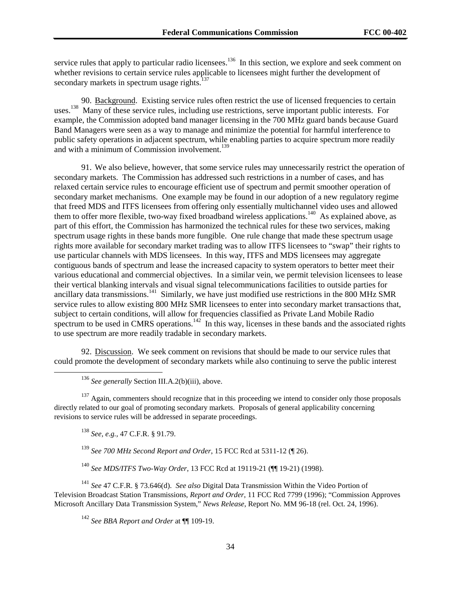service rules that apply to particular radio licensees.<sup>136</sup> In this section, we explore and seek comment on whether revisions to certain service rules applicable to licensees might further the development of secondary markets in spectrum usage rights.<sup>137</sup>

90. Background. Existing service rules often restrict the use of licensed frequencies to certain uses.<sup>138</sup> Many of these service rules, including use restrictions, serve important public interests. For example, the Commission adopted band manager licensing in the 700 MHz guard bands because Guard Band Managers were seen as a way to manage and minimize the potential for harmful interference to public safety operations in adjacent spectrum, while enabling parties to acquire spectrum more readily and with a minimum of Commission involvement.<sup>139</sup>

91. We also believe, however, that some service rules may unnecessarily restrict the operation of secondary markets. The Commission has addressed such restrictions in a number of cases, and has relaxed certain service rules to encourage efficient use of spectrum and permit smoother operation of secondary market mechanisms. One example may be found in our adoption of a new regulatory regime that freed MDS and ITFS licensees from offering only essentially multichannel video uses and allowed them to offer more flexible, two-way fixed broadband wireless applications.<sup>140</sup> As explained above, as part of this effort, the Commission has harmonized the technical rules for these two services, making spectrum usage rights in these bands more fungible. One rule change that made these spectrum usage rights more available for secondary market trading was to allow ITFS licensees to "swap" their rights to use particular channels with MDS licensees. In this way, ITFS and MDS licensees may aggregate contiguous bands of spectrum and lease the increased capacity to system operators to better meet their various educational and commercial objectives. In a similar vein, we permit television licensees to lease their vertical blanking intervals and visual signal telecommunications facilities to outside parties for ancillary data transmissions.<sup>141</sup> Similarly, we have just modified use restrictions in the 800 MHz SMR service rules to allow existing 800 MHz SMR licensees to enter into secondary market transactions that, subject to certain conditions, will allow for frequencies classified as Private Land Mobile Radio spectrum to be used in CMRS operations.<sup>142</sup> In this way, licenses in these bands and the associated rights to use spectrum are more readily tradable in secondary markets.

92. Discussion. We seek comment on revisions that should be made to our service rules that could promote the development of secondary markets while also continuing to serve the public interest

<sup>136</sup> See generally Section III.A.2(b)(iii), above.

<sup>137</sup> Again, commenters should recognize that in this proceeding we intend to consider only those proposals directly related to our goal of promoting secondary markets. Proposals of general applicability concerning revisions to service rules will be addressed in separate proceedings.

<sup>138</sup> *See, e.g.,* 47 C.F.R. § 91.79.

<sup>139</sup> *See 700 MHz Second Report and Order*, 15 FCC Rcd at 5311-12 (¶ 26).

<sup>140</sup> *See MDS/ITFS Two-Way Order*, 13 FCC Rcd at 19119-21 (¶¶ 19-21) (1998).

<sup>141</sup> *See* 47 C.F.R. § 73.646(d). *See also* Digital Data Transmission Within the Video Portion of Television Broadcast Station Transmissions*, Report and Order*, 11 FCC Rcd 7799 (1996); "Commission Approves Microsoft Ancillary Data Transmission System," *News Release*, Report No. MM 96-18 (rel. Oct. 24, 1996).

<sup>142</sup> *See BBA Report and Order* at ¶¶ 109-19.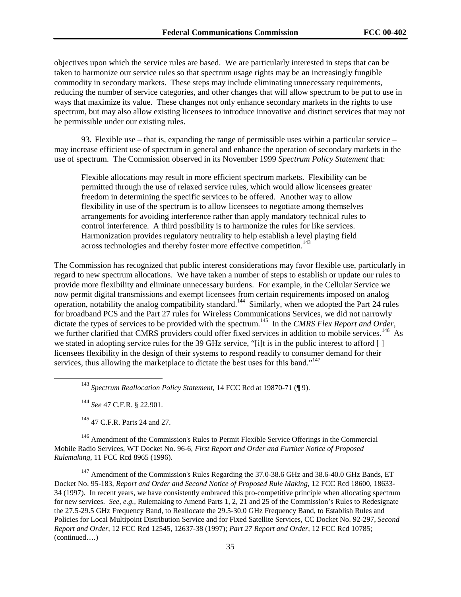objectives upon which the service rules are based. We are particularly interested in steps that can be taken to harmonize our service rules so that spectrum usage rights may be an increasingly fungible commodity in secondary markets. These steps may include eliminating unnecessary requirements, reducing the number of service categories, and other changes that will allow spectrum to be put to use in ways that maximize its value. These changes not only enhance secondary markets in the rights to use spectrum, but may also allow existing licensees to introduce innovative and distinct services that may not be permissible under our existing rules.

93. Flexible use – that is, expanding the range of permissible uses within a particular service – may increase efficient use of spectrum in general and enhance the operation of secondary markets in the use of spectrum. The Commission observed in its November 1999 *Spectrum Policy Statement* that:

Flexible allocations may result in more efficient spectrum markets. Flexibility can be permitted through the use of relaxed service rules, which would allow licensees greater freedom in determining the specific services to be offered. Another way to allow flexibility in use of the spectrum is to allow licensees to negotiate among themselves arrangements for avoiding interference rather than apply mandatory technical rules to control interference. A third possibility is to harmonize the rules for like services. Harmonization provides regulatory neutrality to help establish a level playing field across technologies and thereby foster more effective competition.<sup>143</sup>

The Commission has recognized that public interest considerations may favor flexible use, particularly in regard to new spectrum allocations. We have taken a number of steps to establish or update our rules to provide more flexibility and eliminate unnecessary burdens. For example, in the Cellular Service we now permit digital transmissions and exempt licensees from certain requirements imposed on analog operation, notability the analog compatibility standard.144 Similarly, when we adopted the Part 24 rules for broadband PCS and the Part 27 rules for Wireless Communications Services, we did not narrowly dictate the types of services to be provided with the spectrum.145 In the *CMRS Flex Report and Order*, we further clarified that CMRS providers could offer fixed services in addition to mobile services.<sup>146</sup> As we stated in adopting service rules for the 39 GHz service, "[i]t is in the public interest to afford [ ] licensees flexibility in the design of their systems to respond readily to consumer demand for their services, thus allowing the marketplace to dictate the best uses for this band."<sup>147</sup>

143 *Spectrum Reallocation Policy Statement*, 14 FCC Rcd at 19870-71 (¶ 9).

<sup>144</sup> *See* 47 C.F.R. § 22.901.

145 47 C.F.R. Parts 24 and 27.

 $146$  Amendment of the Commission's Rules to Permit Flexible Service Offerings in the Commercial Mobile Radio Services, WT Docket No. 96-6, *First Report and Order and Further Notice of Proposed Rulemaking*, 11 FCC Rcd 8965 (1996).

 $147$  Amendment of the Commission's Rules Regarding the 37.0-38.6 GHz and 38.6-40.0 GHz Bands, ET Docket No. 95-183, *Report and Order and Second Notice of Proposed Rule Making*, 12 FCC Rcd 18600, 18633- 34 (1997). In recent years, we have consistently embraced this pro-competitive principle when allocating spectrum for new services. *See, e.g.,* Rulemaking to Amend Parts 1, 2, 21 and 25 of the Commission's Rules to Redesignate the 27.5-29.5 GHz Frequency Band, to Reallocate the 29.5-30.0 GHz Frequency Band, to Establish Rules and Policies for Local Multipoint Distribution Service and for Fixed Satellite Services, CC Docket No. 92-297, *Second Report and Order*, 12 FCC Rcd 12545, 12637-38 (1997); *Part 27 Report and Order*, 12 FCC Rcd 10785; (continued….)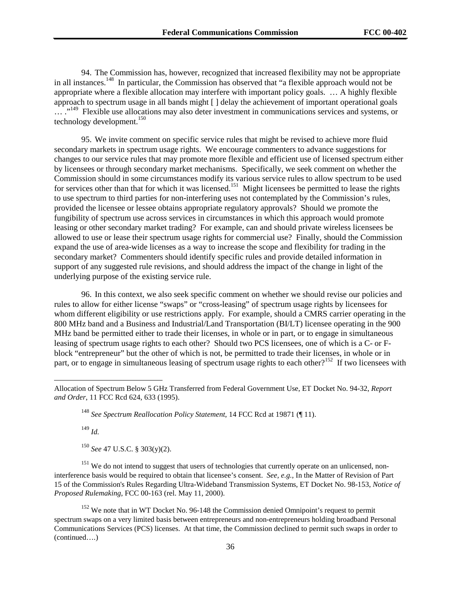94. The Commission has, however, recognized that increased flexibility may not be appropriate in all instances.<sup>148</sup> In particular, the Commission has observed that "a flexible approach would not be appropriate where a flexible allocation may interfere with important policy goals. … A highly flexible approach to spectrum usage in all bands might [ ] delay the achievement of important operational goals  $\ldots$ <sup>149</sup> Flexible use allocations may also deter investment in communications services and systems, or technology development.<sup>150</sup>

95. We invite comment on specific service rules that might be revised to achieve more fluid secondary markets in spectrum usage rights. We encourage commenters to advance suggestions for changes to our service rules that may promote more flexible and efficient use of licensed spectrum either by licensees or through secondary market mechanisms. Specifically, we seek comment on whether the Commission should in some circumstances modify its various service rules to allow spectrum to be used for services other than that for which it was licensed.<sup>151</sup> Might licensees be permitted to lease the rights to use spectrum to third parties for non-interfering uses not contemplated by the Commission's rules, provided the licensee or lessee obtains appropriate regulatory approvals? Should we promote the fungibility of spectrum use across services in circumstances in which this approach would promote leasing or other secondary market trading? For example, can and should private wireless licensees be allowed to use or lease their spectrum usage rights for commercial use? Finally, should the Commission expand the use of area-wide licenses as a way to increase the scope and flexibility for trading in the secondary market? Commenters should identify specific rules and provide detailed information in support of any suggested rule revisions, and should address the impact of the change in light of the underlying purpose of the existing service rule.

96. In this context, we also seek specific comment on whether we should revise our policies and rules to allow for either license "swaps" or "cross-leasing" of spectrum usage rights by licensees for whom different eligibility or use restrictions apply. For example, should a CMRS carrier operating in the 800 MHz band and a Business and Industrial/Land Transportation (BI/LT) licensee operating in the 900 MHz band be permitted either to trade their licenses, in whole or in part, or to engage in simultaneous leasing of spectrum usage rights to each other? Should two PCS licensees, one of which is a C- or Fblock "entrepreneur" but the other of which is not, be permitted to trade their licenses, in whole or in part, or to engage in simultaneous leasing of spectrum usage rights to each other?<sup>152</sup> If two licensees with

<sup>149</sup> *Id.*

 $\overline{\phantom{a}}$ 

<sup>150</sup> *See* 47 U.S.C. § 303(y)(2).

<sup>151</sup> We do not intend to suggest that users of technologies that currently operate on an unlicensed, noninterference basis would be required to obtain that licensee's consent. *See, e.g.,* In the Matter of Revision of Part 15 of the Commission's Rules Regarding Ultra-Wideband Transmission Systems, ET Docket No. 98-153, *Notice of Proposed Rulemaking*, FCC 00-163 (rel. May 11, 2000).

<sup>152</sup> We note that in WT Docket No. 96-148 the Commission denied Omnipoint's request to permit spectrum swaps on a very limited basis between entrepreneurs and non-entrepreneurs holding broadband Personal Communications Services (PCS) licenses. At that time, the Commission declined to permit such swaps in order to (continued….)

Allocation of Spectrum Below 5 GHz Transferred from Federal Government Use, ET Docket No. 94-32, *Report and Order*, 11 FCC Rcd 624, 633 (1995).

<sup>148</sup> *See Spectrum Reallocation Policy Statement*, 14 FCC Rcd at 19871 (¶ 11).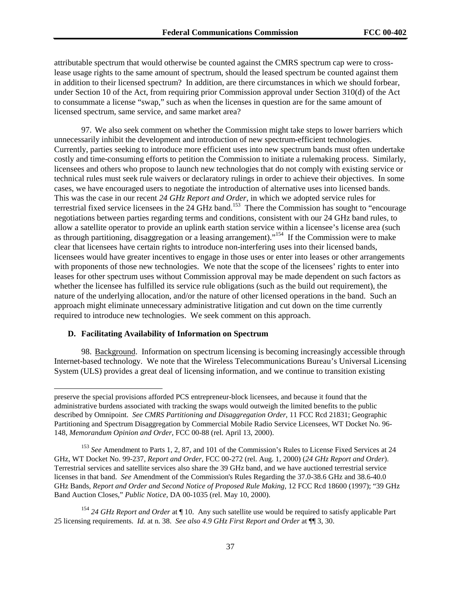attributable spectrum that would otherwise be counted against the CMRS spectrum cap were to crosslease usage rights to the same amount of spectrum, should the leased spectrum be counted against them in addition to their licensed spectrum? In addition, are there circumstances in which we should forbear, under Section 10 of the Act, from requiring prior Commission approval under Section 310(d) of the Act to consummate a license "swap," such as when the licenses in question are for the same amount of licensed spectrum, same service, and same market area?

97. We also seek comment on whether the Commission might take steps to lower barriers which unnecessarily inhibit the development and introduction of new spectrum-efficient technologies. Currently, parties seeking to introduce more efficient uses into new spectrum bands must often undertake costly and time-consuming efforts to petition the Commission to initiate a rulemaking process. Similarly, licensees and others who propose to launch new technologies that do not comply with existing service or technical rules must seek rule waivers or declaratory rulings in order to achieve their objectives. In some cases, we have encouraged users to negotiate the introduction of alternative uses into licensed bands. This was the case in our recent *24 GHz Report and Order*, in which we adopted service rules for terrestrial fixed service licensees in the  $24$  GHz band.<sup>153</sup> There the Commission has sought to "encourage" negotiations between parties regarding terms and conditions, consistent with our 24 GHz band rules, to allow a satellite operator to provide an uplink earth station service within a licensee's license area (such as through partitioning, disaggregation or a leasing arrangement)."154 If the Commission were to make clear that licensees have certain rights to introduce non-interfering uses into their licensed bands, licensees would have greater incentives to engage in those uses or enter into leases or other arrangements with proponents of those new technologies. We note that the scope of the licensees' rights to enter into leases for other spectrum uses without Commission approval may be made dependent on such factors as whether the licensee has fulfilled its service rule obligations (such as the build out requirement), the nature of the underlying allocation, and/or the nature of other licensed operations in the band. Such an approach might eliminate unnecessary administrative litigation and cut down on the time currently required to introduce new technologies. We seek comment on this approach.

#### **D. Facilitating Availability of Information on Spectrum**

 $\overline{a}$ 

98. Background. Information on spectrum licensing is becoming increasingly accessible through Internet-based technology. We note that the Wireless Telecommunications Bureau's Universal Licensing System (ULS) provides a great deal of licensing information, and we continue to transition existing

preserve the special provisions afforded PCS entrepreneur-block licensees, and because it found that the administrative burdens associated with tracking the swaps would outweigh the limited benefits to the public described by Omnipoint. *See CMRS Partitioning and Disaggregation Order*, 11 FCC Rcd 21831; Geographic Partitioning and Spectrum Disaggregation by Commercial Mobile Radio Service Licensees, WT Docket No. 96- 148, *Memorandum Opinion and Order*, FCC 00-88 (rel. April 13, 2000).

<sup>&</sup>lt;sup>153</sup> See Amendment to Parts 1, 2, 87, and 101 of the Commission's Rules to License Fixed Services at 24 GHz, WT Docket No. 99-237, *Report and Order*, FCC 00-272 (rel. Aug. 1, 2000) (*24 GHz Report and Order*). Terrestrial services and satellite services also share the 39 GHz band, and we have auctioned terrestrial service licenses in that band. *See* Amendment of the Commission's Rules Regarding the 37.0-38.6 GHz and 38.6-40.0 GHz Bands, *Report and Order and Second Notice of Proposed Rule Making*, 12 FCC Rcd 18600 (1997); "39 GHz Band Auction Closes," *Public Notice*, DA 00-1035 (rel. May 10, 2000).

<sup>&</sup>lt;sup>154</sup> 24 GHz Report and Order at ¶ 10. Any such satellite use would be required to satisfy applicable Part 25 licensing requirements. *Id.* at n. 38. *See also 4.9 GHz First Report and Order* at ¶¶ 3, 30.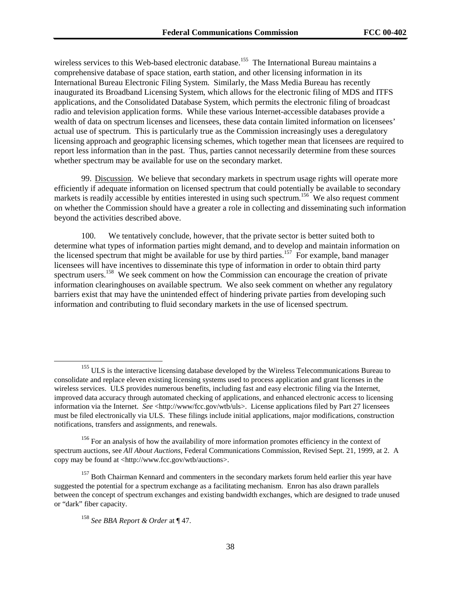wireless services to this Web-based electronic database.<sup>155</sup> The International Bureau maintains a comprehensive database of space station, earth station, and other licensing information in its International Bureau Electronic Filing System. Similarly, the Mass Media Bureau has recently inaugurated its Broadband Licensing System, which allows for the electronic filing of MDS and ITFS applications, and the Consolidated Database System, which permits the electronic filing of broadcast radio and television application forms. While these various Internet-accessible databases provide a wealth of data on spectrum licenses and licensees, these data contain limited information on licensees' actual use of spectrum. This is particularly true as the Commission increasingly uses a deregulatory licensing approach and geographic licensing schemes, which together mean that licensees are required to report less information than in the past. Thus, parties cannot necessarily determine from these sources whether spectrum may be available for use on the secondary market.

99. Discussion. We believe that secondary markets in spectrum usage rights will operate more efficiently if adequate information on licensed spectrum that could potentially be available to secondary markets is readily accessible by entities interested in using such spectrum.<sup>156</sup> We also request comment on whether the Commission should have a greater a role in collecting and disseminating such information beyond the activities described above.

100. We tentatively conclude, however, that the private sector is better suited both to determine what types of information parties might demand, and to develop and maintain information on the licensed spectrum that might be available for use by third parties.<sup>157</sup> For example, band manager licensees will have incentives to disseminate this type of information in order to obtain third party spectrum users.<sup>158</sup> We seek comment on how the Commission can encourage the creation of private information clearinghouses on available spectrum. We also seek comment on whether any regulatory barriers exist that may have the unintended effect of hindering private parties from developing such information and contributing to fluid secondary markets in the use of licensed spectrum.

<sup>&</sup>lt;sup>155</sup> ULS is the interactive licensing database developed by the Wireless Telecommunications Bureau to consolidate and replace eleven existing licensing systems used to process application and grant licenses in the wireless services. ULS provides numerous benefits, including fast and easy electronic filing via the Internet, improved data accuracy through automated checking of applications, and enhanced electronic access to licensing information via the Internet. *See* <http://www/fcc.gov/wtb/uls>. License applications filed by Part 27 licensees must be filed electronically via ULS. These filings include initial applications, major modifications, construction notifications, transfers and assignments, and renewals.

<sup>&</sup>lt;sup>156</sup> For an analysis of how the availability of more information promotes efficiency in the context of spectrum auctions, see *All About Auctions,* Federal Communications Commission, Revised Sept. 21, 1999, at 2. A copy may be found at <http://www.fcc.gov/wtb/auctions>.

 $157$  Both Chairman Kennard and commenters in the secondary markets forum held earlier this year have suggested the potential for a spectrum exchange as a facilitating mechanism. Enron has also drawn parallels between the concept of spectrum exchanges and existing bandwidth exchanges, which are designed to trade unused or "dark" fiber capacity.

<sup>158</sup> *See BBA Report & Order* at ¶ 47.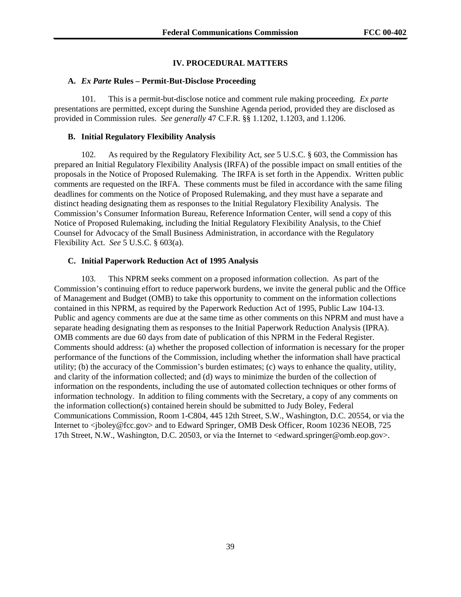### **IV. PROCEDURAL MATTERS**

#### **A.** *Ex Parte* **Rules – Permit-But-Disclose Proceeding**

101. This is a permit-but-disclose notice and comment rule making proceeding. *Ex parte* presentations are permitted, except during the Sunshine Agenda period, provided they are disclosed as provided in Commission rules. *See generally* 47 C.F.R. §§ 1.1202, 1.1203, and 1.1206.

#### **B. Initial Regulatory Flexibility Analysis**

102. As required by the Regulatory Flexibility Act, *see* 5 U.S.C. § 603, the Commission has prepared an Initial Regulatory Flexibility Analysis (IRFA) of the possible impact on small entities of the proposals in the Notice of Proposed Rulemaking*.* The IRFA is set forth in the Appendix. Written public comments are requested on the IRFA. These comments must be filed in accordance with the same filing deadlines for comments on the Notice of Proposed Rulemaking, and they must have a separate and distinct heading designating them as responses to the Initial Regulatory Flexibility Analysis. The Commission's Consumer Information Bureau, Reference Information Center, will send a copy of this Notice of Proposed Rulemaking, including the Initial Regulatory Flexibility Analysis, to the Chief Counsel for Advocacy of the Small Business Administration, in accordance with the Regulatory Flexibility Act. *See* 5 U.S.C. § 603(a).

# **C. Initial Paperwork Reduction Act of 1995 Analysis**

103. This NPRM seeks comment on a proposed information collection. As part of the Commission's continuing effort to reduce paperwork burdens, we invite the general public and the Office of Management and Budget (OMB) to take this opportunity to comment on the information collections contained in this NPRM, as required by the Paperwork Reduction Act of 1995, Public Law 104-13. Public and agency comments are due at the same time as other comments on this NPRM and must have a separate heading designating them as responses to the Initial Paperwork Reduction Analysis (IPRA). OMB comments are due 60 days from date of publication of this NPRM in the Federal Register. Comments should address: (a) whether the proposed collection of information is necessary for the proper performance of the functions of the Commission, including whether the information shall have practical utility; (b) the accuracy of the Commission's burden estimates; (c) ways to enhance the quality, utility, and clarity of the information collected; and (d) ways to minimize the burden of the collection of information on the respondents, including the use of automated collection techniques or other forms of information technology. In addition to filing comments with the Secretary, a copy of any comments on the information collection(s) contained herein should be submitted to Judy Boley, Federal Communications Commission, Room 1-C804, 445 12th Street, S.W., Washington, D.C. 20554, or via the Internet to <jboley@fcc.gov> and to Edward Springer, OMB Desk Officer, Room 10236 NEOB, 725 17th Street, N.W., Washington, D.C. 20503, or via the Internet to <edward.springer@omb.eop.gov>.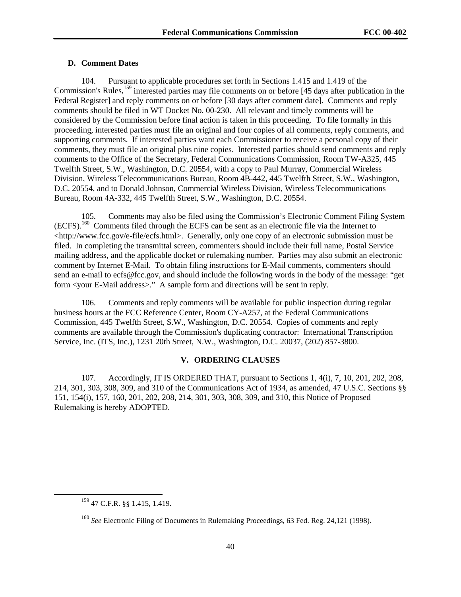# **D. Comment Dates**

104. Pursuant to applicable procedures set forth in Sections 1.415 and 1.419 of the Commission's Rules,<sup>159</sup> interested parties may file comments on or before [45 days after publication in the Federal Register] and reply comments on or before [30 days after comment date]. Comments and reply comments should be filed in WT Docket No. 00-230. All relevant and timely comments will be considered by the Commission before final action is taken in this proceeding. To file formally in this proceeding, interested parties must file an original and four copies of all comments, reply comments, and supporting comments. If interested parties want each Commissioner to receive a personal copy of their comments, they must file an original plus nine copies. Interested parties should send comments and reply comments to the Office of the Secretary, Federal Communications Commission, Room TW-A325, 445 Twelfth Street, S.W., Washington, D.C. 20554, with a copy to Paul Murray, Commercial Wireless Division, Wireless Telecommunications Bureau, Room 4B-442, 445 Twelfth Street, S.W., Washington, D.C. 20554, and to Donald Johnson, Commercial Wireless Division, Wireless Telecommunications Bureau, Room 4A-332, 445 Twelfth Street, S.W., Washington, D.C. 20554.

105. Comments may also be filed using the Commission's Electronic Comment Filing System (ECFS).160 Comments filed through the ECFS can be sent as an electronic file via the Internet to <http://www.fcc.gov/e-file/ecfs.html>. Generally, only one copy of an electronic submission must be filed. In completing the transmittal screen, commenters should include their full name, Postal Service mailing address, and the applicable docket or rulemaking number. Parties may also submit an electronic comment by Internet E-Mail. To obtain filing instructions for E-Mail comments, commenters should send an e-mail to ecfs@fcc.gov, and should include the following words in the body of the message: "get form <your E-Mail address>." A sample form and directions will be sent in reply.

106. Comments and reply comments will be available for public inspection during regular business hours at the FCC Reference Center, Room CY-A257, at the Federal Communications Commission, 445 Twelfth Street, S.W., Washington, D.C. 20554. Copies of comments and reply comments are available through the Commission's duplicating contractor: International Transcription Service, Inc. (ITS, Inc.), 1231 20th Street, N.W., Washington, D.C. 20037, (202) 857-3800.

### **V. ORDERING CLAUSES**

107. Accordingly, IT IS ORDERED THAT, pursuant to Sections 1, 4(i), 7, 10, 201, 202, 208, 214, 301, 303, 308, 309, and 310 of the Communications Act of 1934, as amended, 47 U.S.C. Sections §§ 151, 154(i), 157, 160, 201, 202, 208, 214, 301, 303, 308, 309, and 310, this Notice of Proposed Rulemaking is hereby ADOPTED.

 <sup>159 47</sup> C.F.R. §§ 1.415, 1.419.

<sup>160</sup> *See* Electronic Filing of Documents in Rulemaking Proceedings, 63 Fed. Reg. 24,121 (1998).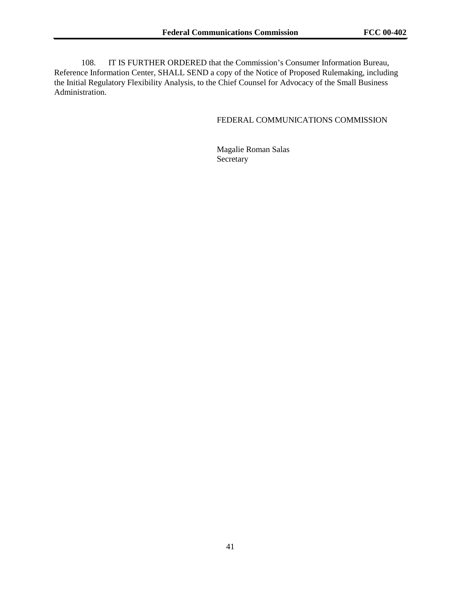108. IT IS FURTHER ORDERED that the Commission's Consumer Information Bureau, Reference Information Center, SHALL SEND a copy of the Notice of Proposed Rulemaking, including the Initial Regulatory Flexibility Analysis, to the Chief Counsel for Advocacy of the Small Business Administration.

# FEDERAL COMMUNICATIONS COMMISSION

Magalie Roman Salas Secretary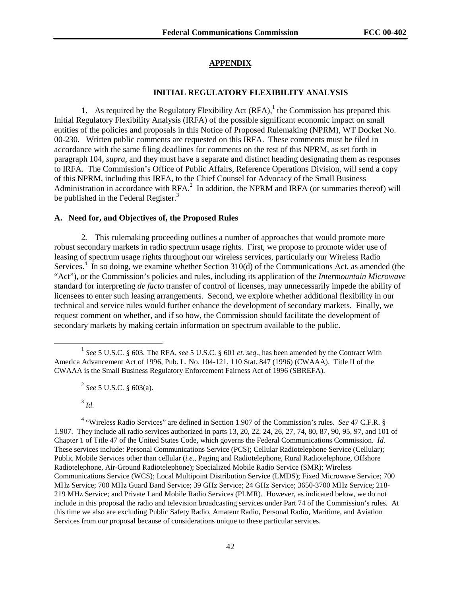#### **APPENDIX**

#### **INITIAL REGULATORY FLEXIBILITY ANALYSIS**

1. As required by the Regulatory Flexibility Act  $(RFA)$ , the Commission has prepared this Initial Regulatory Flexibility Analysis (IRFA) of the possible significant economic impact on small entities of the policies and proposals in this Notice of Proposed Rulemaking (NPRM), WT Docket No. 00-230. Written public comments are requested on this IRFA. These comments must be filed in accordance with the same filing deadlines for comments on the rest of this NPRM, as set forth in paragraph 104, *supra*, and they must have a separate and distinct heading designating them as responses to IRFA. The Commission's Office of Public Affairs, Reference Operations Division, will send a copy of this NPRM, including this IRFA, to the Chief Counsel for Advocacy of the Small Business Administration in accordance with  $RFA$ <sup>2</sup> In addition, the NPRM and IRFA (or summaries thereof) will be published in the Federal Register.<sup>3</sup>

#### **A. Need for, and Objectives of, the Proposed Rules**

2. This rulemaking proceeding outlines a number of approaches that would promote more robust secondary markets in radio spectrum usage rights. First, we propose to promote wider use of leasing of spectrum usage rights throughout our wireless services, particularly our Wireless Radio Services.<sup>4</sup> In so doing, we examine whether Section 310(d) of the Communications Act, as amended (the "Act"), or the Commission's policies and rules, including its application of the *Intermountain Microwave* standard for interpreting *de facto* transfer of control of licenses, may unnecessarily impede the ability of licensees to enter such leasing arrangements. Second, we explore whether additional flexibility in our technical and service rules would further enhance the development of secondary markets. Finally, we request comment on whether, and if so how, the Commission should facilitate the development of secondary markets by making certain information on spectrum available to the public.

<sup>3</sup> *Id*.

4 "Wireless Radio Services" are defined in Section 1.907 of the Commission's rules. *See* 47 C.F.R. § 1.907. They include all radio services authorized in parts 13, 20, 22, 24, 26, 27, 74, 80, 87, 90, 95, 97, and 101 of Chapter 1 of Title 47 of the United States Code, which governs the Federal Communications Commission. *Id.* These services include: Personal Communications Service (PCS); Cellular Radiotelephone Service (Cellular); Public Mobile Services other than cellular (*i.e*., Paging and Radiotelephone, Rural Radiotelephone, Offshore Radiotelephone, Air-Ground Radiotelephone); Specialized Mobile Radio Service (SMR); Wireless Communications Service (WCS); Local Multipoint Distribution Service (LMDS); Fixed Microwave Service; 700 MHz Service; 700 MHz Guard Band Service; 39 GHz Service; 24 GHz Service; 3650-3700 MHz Service; 218- 219 MHz Service; and Private Land Mobile Radio Services (PLMR). However, as indicated below, we do not include in this proposal the radio and television broadcasting services under Part 74 of the Commission's rules. At this time we also are excluding Public Safety Radio, Amateur Radio, Personal Radio, Maritime, and Aviation Services from our proposal because of considerations unique to these particular services.

 <sup>1</sup> *See* 5 U.S.C. § 603. The RFA, *see* 5 U.S.C. § 601 *et. seq*., has been amended by the Contract With America Advancement Act of 1996, Pub. L. No. 104-121, 110 Stat. 847 (1996) (CWAAA). Title II of the CWAAA is the Small Business Regulatory Enforcement Fairness Act of 1996 (SBREFA).

<sup>2</sup> *See* 5 U.S.C. § 603(a).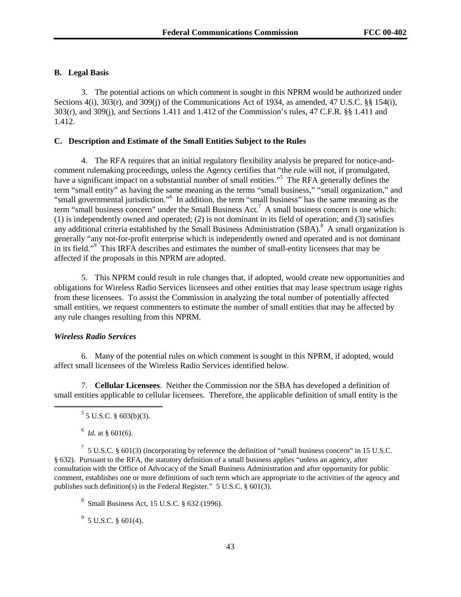### **B. Legal Basis**

3. The potential actions on which comment is sought in this NPRM would be authorized under Sections 4(i), 303(r), and 309(j) of the Communications Act of 1934, as amended, 47 U.S.C. §§ 154(i), 303(r), and 309(j), and Sections 1.411 and 1.412 of the Commission's rules, 47 C.F.R. §§ 1.411 and 1.412.

#### **C. Description and Estimate of the Small Entities Subject to the Rules**

4. The RFA requires that an initial regulatory flexibility analysis be prepared for notice-andcomment rulemaking proceedings, unless the Agency certifies that "the rule will not, if promulgated, have a significant impact on a substantial number of small entities."<sup>5</sup> The RFA generally defines the term "small entity" as having the same meaning as the terms "small business," "small organization," and "small governmental jurisdiction."<sup>6</sup> In addition, the term "small business" has the same meaning as the term "small business concern" under the Small Business Act.<sup>7</sup> A small business concern is one which: (1) is independently owned and operated; (2) is not dominant in its field of operation; and (3) satisfies any additional criteria established by the Small Business Administration  $(SBA)$ .<sup>8</sup> A small organization is generally "any not-for-profit enterprise which is independently owned and operated and is not dominant in its field."<sup>9</sup> This IRFA describes and estimates the number of small-entity licensees that may be affected if the proposals in this NPRM are adopted.

5. This NPRM could result in rule changes that, if adopted, would create new opportunities and obligations for Wireless Radio Services licensees and other entities that may lease spectrum usage rights from these licensees. To assist the Commission in analyzing the total number of potentially affected small entities, we request commenters to estimate the number of small entities that may be affected by any rule changes resulting from this NPRM*.*

# *Wireless Radio Services*

6. Many of the potential rules on which comment is sought in this NPRM, if adopted, would affect small licensees of the Wireless Radio Services identified below.

7. **Cellular Licensees**. Neither the Commission nor the SBA has developed a definition of small entities applicable to cellular licensees. Therefore, the applicable definition of small entity is the

 $\frac{1}{5}$  $5$  5 U.S.C. § 603(b)(3).

 $\frac{6}{1}$  *Id.* at § 601(6).

 $^7$  5 U.S.C. § 601(3) (incorporating by reference the definition of "small business concern" in 15 U.S.C. § 632). Pursuant to the RFA, the statutory definition of a small business applies "unless an agency, after consultation with the Office of Advocacy of the Small Business Administration and after opportunity for public comment, establishes one or more definitions of such term which are appropriate to the activities of the agency and publishes such definition(s) in the Federal Register." 5 U.S.C. § 601(3).

8 Small Business Act, 15 U.S.C. § 632 (1996).

 $9^9$  5 U.S.C. § 601(4).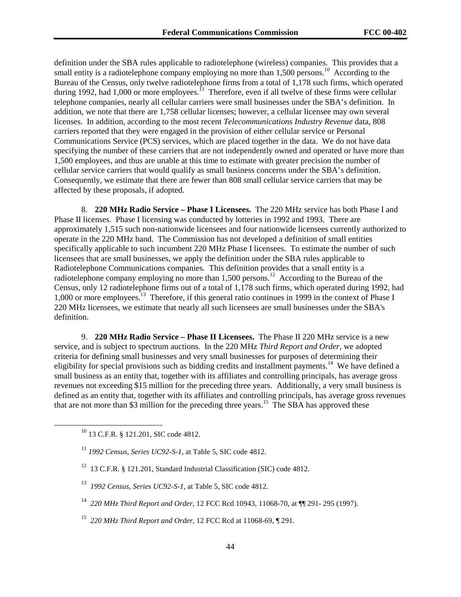definition under the SBA rules applicable to radiotelephone (wireless) companies. This provides that a small entity is a radiotelephone company employing no more than  $1,500$  persons.<sup>10</sup> According to the Bureau of the Census, only twelve radiotelephone firms from a total of 1,178 such firms, which operated during 1992, had 1,000 or more employees.<sup>11</sup> Therefore, even if all twelve of these firms were cellular telephone companies, nearly all cellular carriers were small businesses under the SBA's definition. In addition, we note that there are 1,758 cellular licenses; however, a cellular licensee may own several licenses. In addition, according to the most recent *Telecommunications Industry Revenue* data, 808 carriers reported that they were engaged in the provision of either cellular service or Personal Communications Service (PCS) services, which are placed together in the data. We do not have data specifying the number of these carriers that are not independently owned and operated or have more than 1,500 employees, and thus are unable at this time to estimate with greater precision the number of cellular service carriers that would qualify as small business concerns under the SBA's definition. Consequently, we estimate that there are fewer than 808 small cellular service carriers that may be affected by these proposals, if adopted.

8. **220 MHz Radio Service – Phase I Licensees.** The 220 MHz service has both Phase I and Phase II licenses. Phase I licensing was conducted by lotteries in 1992 and 1993. There are approximately 1,515 such non-nationwide licensees and four nationwide licensees currently authorized to operate in the 220 MHz band. The Commission has not developed a definition of small entities specifically applicable to such incumbent 220 MHz Phase I licensees. To estimate the number of such licensees that are small businesses, we apply the definition under the SBA rules applicable to Radiotelephone Communications companies. This definition provides that a small entity is a radiotelephone company employing no more than 1,500 persons.<sup>12</sup> According to the Bureau of the Census, only 12 radiotelephone firms out of a total of 1,178 such firms, which operated during 1992, had 1,000 or more employees.<sup>13</sup> Therefore, if this general ratio continues in 1999 in the context of Phase I 220 MHz licensees, we estimate that nearly all such licensees are small businesses under the SBA's definition.

9. **220 MHz Radio Service – Phase II Licensees.** The Phase II 220 MHz service is a new service, and is subject to spectrum auctions. In the 220 MHz *Third Report and Order*, we adopted criteria for defining small businesses and very small businesses for purposes of determining their eligibility for special provisions such as bidding credits and installment payments.<sup>14</sup> We have defined a small business as an entity that, together with its affiliates and controlling principals, has average gross revenues not exceeding \$15 million for the preceding three years. Additionally, a very small business is defined as an entity that, together with its affiliates and controlling principals, has average gross revenues that are not more than \$3 million for the preceding three years.<sup>15</sup> The SBA has approved these

- <sup>12</sup> 13 C.F.R. § 121.201, Standard Industrial Classification (SIC) code 4812.
- 13 *1992 Census, Series UC92-S-1*, at Table 5, SIC code 4812.
- 14 *220 MHz Third Report and Order*, 12 FCC Rcd 10943, 11068-70, at ¶¶ 291- 295 (1997).
- 15 *220 MHz Third Report and Order*, 12 FCC Rcd at 11068-69, ¶ 291.

 $^{10}$  13 C.F.R. § 121.201, SIC code 4812.

<sup>11</sup> *1992 Census, Series UC92-S-1*, at Table 5, SIC code 4812.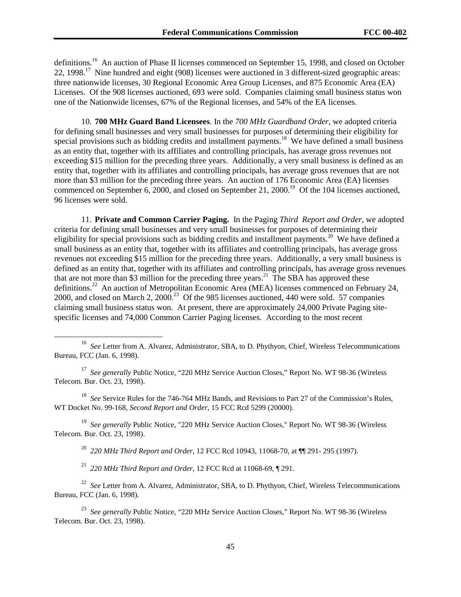definitions.<sup>16</sup> An auction of Phase II licenses commenced on September 15, 1998, and closed on October 22, 1998.<sup>17</sup> Nine hundred and eight (908) licenses were auctioned in 3 different-sized geographic areas: three nationwide licenses, 30 Regional Economic Area Group Licenses, and 875 Economic Area (EA) Licenses. Of the 908 licenses auctioned, 693 were sold. Companies claiming small business status won one of the Nationwide licenses, 67% of the Regional licenses, and 54% of the EA licenses.

10. **700 MHz Guard Band Licensees**. In the *700 MHz Guardband Order*, we adopted criteria for defining small businesses and very small businesses for purposes of determining their eligibility for special provisions such as bidding credits and installment payments.<sup>18</sup> We have defined a small business as an entity that, together with its affiliates and controlling principals, has average gross revenues not exceeding \$15 million for the preceding three years. Additionally, a very small business is defined as an entity that, together with its affiliates and controlling principals, has average gross revenues that are not more than \$3 million for the preceding three years. An auction of 176 Economic Area (EA) licenses commenced on September 6, 2000, and closed on September 21, 2000.<sup>19</sup> Of the 104 licenses auctioned, 96 licenses were sold.

11. **Private and Common Carrier Paging.** In the Paging *Third Report and Order*, we adopted criteria for defining small businesses and very small businesses for purposes of determining their eligibility for special provisions such as bidding credits and installment payments.<sup>20</sup> We have defined a small business as an entity that, together with its affiliates and controlling principals, has average gross revenues not exceeding \$15 million for the preceding three years. Additionally, a very small business is defined as an entity that, together with its affiliates and controlling principals, has average gross revenues that are not more than \$3 million for the preceding three years.<sup>21</sup> The SBA has approved these definitions.<sup>22</sup> An auction of Metropolitan Economic Area (MEA) licenses commenced on February 24, 2000, and closed on March 2,  $2000<sup>23</sup>$  Of the 985 licenses auctioned, 440 were sold. 57 companies claiming small business status won. At present, there are approximately 24,000 Private Paging sitespecific licenses and 74,000 Common Carrier Paging licenses. According to the most recent

<sup>17</sup> See generally Public Notice, "220 MHz Service Auction Closes," Report No. WT 98-36 (Wireless Telecom. Bur. Oct. 23, 1998).

18 *See* Service Rules for the 746-764 MHz Bands, and Revisions to Part 27 of the Commission's Rules, WT Docket No. 99-168, *Second Report and Order*, 15 FCC Rcd 5299 (20000).

19 *See generally* Public Notice, "220 MHz Service Auction Closes," Report No. WT 98-36 (Wireless Telecom. Bur. Oct. 23, 1998).

20 *220 MHz Third Report and Order*, 12 FCC Rcd 10943, 11068-70, at ¶¶ 291- 295 (1997).

21 *220 MHz Third Report and Order*, 12 FCC Rcd at 11068-69, ¶ 291.

<sup>22</sup> See Letter from A. Alvarez, Administrator, SBA, to D. Phythyon, Chief, Wireless Telecommunications Bureau, FCC (Jan. 6, 1998).

23 *See generally* Public Notice, "220 MHz Service Auction Closes," Report No. WT 98-36 (Wireless Telecom. Bur. Oct. 23, 1998).

<sup>&</sup>lt;sup>16</sup> *See* Letter from A. Alvarez, Administrator, SBA, to D. Phythyon, Chief, Wireless Telecommunications Bureau, FCC (Jan. 6, 1998).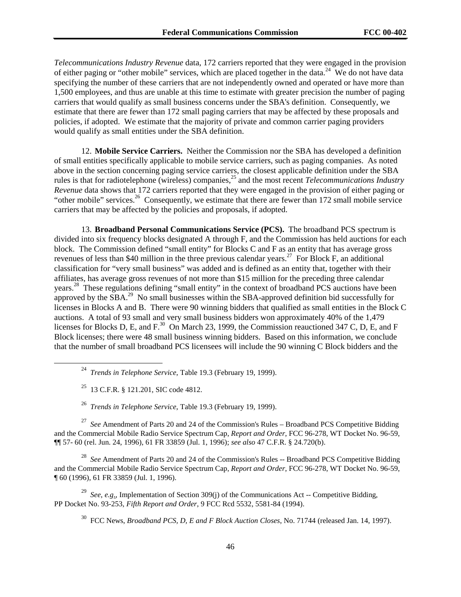*Telecommunications Industry Revenue* data, 172 carriers reported that they were engaged in the provision of either paging or "other mobile" services, which are placed together in the data.<sup>24</sup> We do not have data specifying the number of these carriers that are not independently owned and operated or have more than 1,500 employees, and thus are unable at this time to estimate with greater precision the number of paging carriers that would qualify as small business concerns under the SBA's definition. Consequently, we estimate that there are fewer than 172 small paging carriers that may be affected by these proposals and policies, if adopted. We estimate that the majority of private and common carrier paging providers would qualify as small entities under the SBA definition.

12. **Mobile Service Carriers.** Neither the Commission nor the SBA has developed a definition of small entities specifically applicable to mobile service carriers, such as paging companies. As noted above in the section concerning paging service carriers, the closest applicable definition under the SBA rules is that for radiotelephone (wireless) companies,25 and the most recent *Telecommunications Industry Revenue* data shows that 172 carriers reported that they were engaged in the provision of either paging or "other mobile" services.<sup>26</sup> Consequently, we estimate that there are fewer than 172 small mobile service carriers that may be affected by the policies and proposals, if adopted.

13. **Broadband Personal Communications Service (PCS).** The broadband PCS spectrum is divided into six frequency blocks designated A through F, and the Commission has held auctions for each block. The Commission defined "small entity" for Blocks C and F as an entity that has average gross revenues of less than \$40 million in the three previous calendar years.<sup>27</sup> For Block F, an additional classification for "very small business" was added and is defined as an entity that, together with their affiliates, has average gross revenues of not more than \$15 million for the preceding three calendar years.<sup>28</sup> These regulations defining "small entity" in the context of broadband PCS auctions have been approved by the SBA.29 No small businesses within the SBA-approved definition bid successfully for licenses in Blocks A and B. There were 90 winning bidders that qualified as small entities in the Block C auctions. A total of 93 small and very small business bidders won approximately 40% of the 1,479 licenses for Blocks D, E, and F.<sup>30</sup> On March 23, 1999, the Commission reauctioned 347 C, D, E, and F Block licenses; there were 48 small business winning bidders. Based on this information, we conclude that the number of small broadband PCS licensees will include the 90 winning C Block bidders and the

 $^{25}$  13 C.F.R. § 121.201, SIC code 4812.

26 *Trends in Telephone Service*, Table 19.3 (February 19, 1999).

<sup>27</sup> *See* Amendment of Parts 20 and 24 of the Commission's Rules – Broadband PCS Competitive Bidding and the Commercial Mobile Radio Service Spectrum Cap, *Report and Order*, FCC 96-278, WT Docket No. 96-59, ¶¶ 57- 60 (rel. Jun. 24, 1996), 61 FR 33859 (Jul. 1, 1996); *see also* 47 C.F.R. § 24.720(b).

<sup>28</sup> *See* Amendment of Parts 20 and 24 of the Commission's Rules -- Broadband PCS Competitive Bidding and the Commercial Mobile Radio Service Spectrum Cap, *Report and Order*, FCC 96-278, WT Docket No. 96-59, ¶ 60 (1996), 61 FR 33859 (Jul. 1, 1996).

29 *See*, *e.g*., Implementation of Section 309(j) of the Communications Act -- Competitive Bidding, PP Docket No. 93-253, *Fifth Report and Order*, 9 FCC Rcd 5532, 5581-84 (1994).

30 FCC News, *Broadband PCS, D, E and F Block Auction Closes*, No. 71744 (released Jan. 14, 1997).

 <sup>24</sup> *Trends in Telephone Service*, Table 19.3 (February 19, 1999).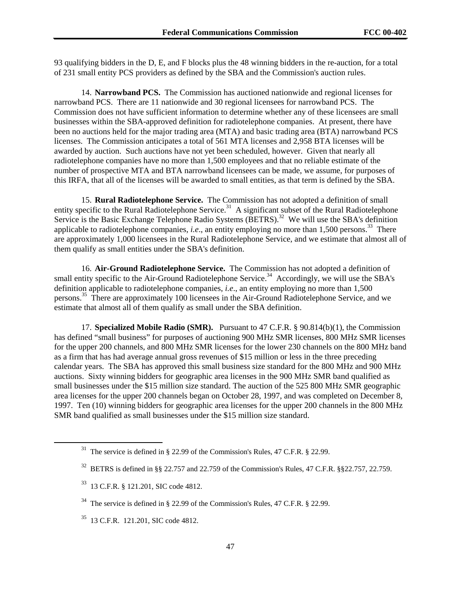93 qualifying bidders in the D, E, and F blocks plus the 48 winning bidders in the re-auction, for a total of 231 small entity PCS providers as defined by the SBA and the Commission's auction rules.

14. **Narrowband PCS.** The Commission has auctioned nationwide and regional licenses for narrowband PCS. There are 11 nationwide and 30 regional licensees for narrowband PCS. The Commission does not have sufficient information to determine whether any of these licensees are small businesses within the SBA-approved definition for radiotelephone companies. At present, there have been no auctions held for the major trading area (MTA) and basic trading area (BTA) narrowband PCS licenses. The Commission anticipates a total of 561 MTA licenses and 2,958 BTA licenses will be awarded by auction. Such auctions have not yet been scheduled, however. Given that nearly all radiotelephone companies have no more than 1,500 employees and that no reliable estimate of the number of prospective MTA and BTA narrowband licensees can be made, we assume, for purposes of this IRFA, that all of the licenses will be awarded to small entities, as that term is defined by the SBA.

15. **Rural Radiotelephone Service.** The Commission has not adopted a definition of small entity specific to the Rural Radiotelephone Service.<sup>31</sup> A significant subset of the Rural Radiotelephone Service is the Basic Exchange Telephone Radio Systems (BETRS).<sup>32</sup> We will use the SBA's definition applicable to radiotelephone companies, *i.e.*, an entity employing no more than 1,500 persons.<sup>33</sup> There are approximately 1,000 licensees in the Rural Radiotelephone Service, and we estimate that almost all of them qualify as small entities under the SBA's definition.

16. **Air-Ground Radiotelephone Service.** The Commission has not adopted a definition of small entity specific to the Air-Ground Radiotelephone Service.<sup>34</sup> Accordingly, we will use the SBA's definition applicable to radiotelephone companies, *i.e*., an entity employing no more than 1,500 persons.<sup>35</sup> There are approximately 100 licensees in the Air-Ground Radiotelephone Service, and we estimate that almost all of them qualify as small under the SBA definition.

17. **Specialized Mobile Radio (SMR).** Pursuant to 47 C.F.R. § 90.814(b)(1), the Commission has defined "small business" for purposes of auctioning 900 MHz SMR licenses, 800 MHz SMR licenses for the upper 200 channels, and 800 MHz SMR licenses for the lower 230 channels on the 800 MHz band as a firm that has had average annual gross revenues of \$15 million or less in the three preceding calendar years. The SBA has approved this small business size standard for the 800 MHz and 900 MHz auctions. Sixty winning bidders for geographic area licenses in the 900 MHz SMR band qualified as small businesses under the \$15 million size standard. The auction of the 525 800 MHz SMR geographic area licenses for the upper 200 channels began on October 28, 1997, and was completed on December 8, 1997. Ten (10) winning bidders for geographic area licenses for the upper 200 channels in the 800 MHz SMR band qualified as small businesses under the \$15 million size standard.

The service is defined in § 22.99 of the Commission's Rules, 47 C.F.R. § 22.99.

 $32$  BETRS is defined in §§ 22.757 and 22.759 of the Commission's Rules, 47 C.F.R. §§22.757, 22.759.

<sup>33 13</sup> C.F.R. § 121.201, SIC code 4812.

 $34$  The service is defined in § 22.99 of the Commission's Rules, 47 C.F.R. § 22.99.

<sup>&</sup>lt;sup>35</sup> 13 C.F.R. 121.201, SIC code 4812.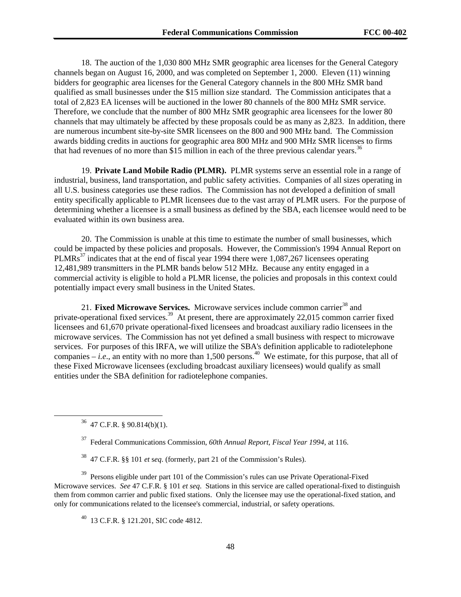18. The auction of the 1,030 800 MHz SMR geographic area licenses for the General Category channels began on August 16, 2000, and was completed on September 1, 2000. Eleven (11) winning bidders for geographic area licenses for the General Category channels in the 800 MHz SMR band qualified as small businesses under the \$15 million size standard. The Commission anticipates that a total of 2,823 EA licenses will be auctioned in the lower 80 channels of the 800 MHz SMR service. Therefore, we conclude that the number of 800 MHz SMR geographic area licensees for the lower 80 channels that may ultimately be affected by these proposals could be as many as 2,823. In addition, there are numerous incumbent site-by-site SMR licensees on the 800 and 900 MHz band. The Commission awards bidding credits in auctions for geographic area 800 MHz and 900 MHz SMR licenses to firms that had revenues of no more than \$15 million in each of the three previous calendar years.<sup>36</sup>

19. **Private Land Mobile Radio (PLMR).** PLMR systems serve an essential role in a range of industrial, business, land transportation, and public safety activities. Companies of all sizes operating in all U.S. business categories use these radios. The Commission has not developed a definition of small entity specifically applicable to PLMR licensees due to the vast array of PLMR users. For the purpose of determining whether a licensee is a small business as defined by the SBA, each licensee would need to be evaluated within its own business area.

20. The Commission is unable at this time to estimate the number of small businesses, which could be impacted by these policies and proposals. However, the Commission's 1994 Annual Report on PLMRs<sup>37</sup> indicates that at the end of fiscal year 1994 there were 1,087,267 licensees operating 12,481,989 transmitters in the PLMR bands below 512 MHz. Because any entity engaged in a commercial activity is eligible to hold a PLMR license, the policies and proposals in this context could potentially impact every small business in the United States.

21. **Fixed Microwave Services.** Microwave services include common carrier<sup>38</sup> and private-operational fixed services.<sup>39</sup> At present, there are approximately 22,015 common carrier fixed licensees and 61,670 private operational-fixed licensees and broadcast auxiliary radio licensees in the microwave services. The Commission has not yet defined a small business with respect to microwave services. For purposes of this IRFA, we will utilize the SBA's definition applicable to radiotelephone companies – *i.e.*, an entity with no more than 1,500 persons.<sup>40</sup> We estimate, for this purpose, that all of these Fixed Microwave licensees (excluding broadcast auxiliary licensees) would qualify as small entities under the SBA definition for radiotelephone companies.

 $36$  47 C.F.R. § 90.814(b)(1).

37 Federal Communications Commission, *60th Annual Report, Fiscal Year 1994*, at 116.

38 47 C.F.R. §§ 101 *et* s*eq*. (formerly, part 21 of the Commission's Rules).

<sup>39</sup> Persons eligible under part 101 of the Commission's rules can use Private Operational-Fixed Microwave services. *See* 47 C.F.R. § 101 *et seq*. Stations in this service are called operational-fixed to distinguish them from common carrier and public fixed stations. Only the licensee may use the operational-fixed station, and only for communications related to the licensee's commercial, industrial, or safety operations.

 $^{40}$  13 C.F.R. § 121.201, SIC code 4812.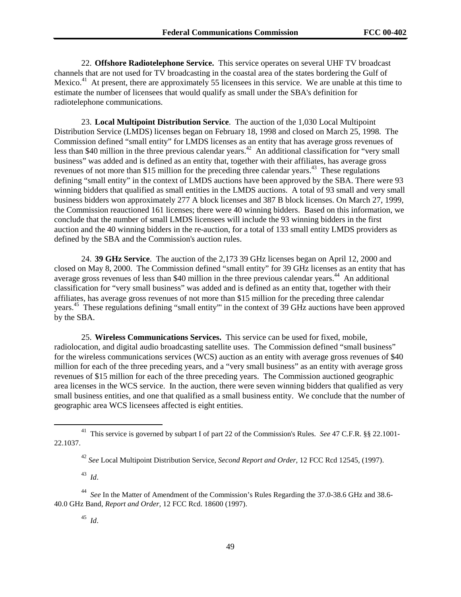22. **Offshore Radiotelephone Service.** This service operates on several UHF TV broadcast channels that are not used for TV broadcasting in the coastal area of the states bordering the Gulf of Mexico. $4<sup>1</sup>$  At present, there are approximately 55 licensees in this service. We are unable at this time to estimate the number of licensees that would qualify as small under the SBA's definition for radiotelephone communications.

23. **Local Multipoint Distribution Service**. The auction of the 1,030 Local Multipoint Distribution Service (LMDS) licenses began on February 18, 1998 and closed on March 25, 1998. The Commission defined "small entity" for LMDS licenses as an entity that has average gross revenues of less than \$40 million in the three previous calendar years.<sup>42</sup> An additional classification for "very small" business" was added and is defined as an entity that, together with their affiliates, has average gross revenues of not more than \$15 million for the preceding three calendar years.<sup>43</sup> These regulations defining "small entity" in the context of LMDS auctions have been approved by the SBA. There were 93 winning bidders that qualified as small entities in the LMDS auctions. A total of 93 small and very small business bidders won approximately 277 A block licenses and 387 B block licenses. On March 27, 1999, the Commission reauctioned 161 licenses; there were 40 winning bidders. Based on this information, we conclude that the number of small LMDS licensees will include the 93 winning bidders in the first auction and the 40 winning bidders in the re-auction, for a total of 133 small entity LMDS providers as defined by the SBA and the Commission's auction rules.

24. **39 GHz Service**. The auction of the 2,173 39 GHz licenses began on April 12, 2000 and closed on May 8, 2000. The Commission defined "small entity" for 39 GHz licenses as an entity that has average gross revenues of less than \$40 million in the three previous calendar years.<sup>44</sup> An additional classification for "very small business" was added and is defined as an entity that, together with their affiliates, has average gross revenues of not more than \$15 million for the preceding three calendar years. 45 These regulations defining "small entity"' in the context of 39 GHz auctions have been approved by the SBA.

25. **Wireless Communications Services.** This service can be used for fixed, mobile, radiolocation, and digital audio broadcasting satellite uses. The Commission defined "small business" for the wireless communications services (WCS) auction as an entity with average gross revenues of \$40 million for each of the three preceding years, and a "very small business" as an entity with average gross revenues of \$15 million for each of the three preceding years. The Commission auctioned geographic area licenses in the WCS service. In the auction, there were seven winning bidders that qualified as very small business entities, and one that qualified as a small business entity. We conclude that the number of geographic area WCS licensees affected is eight entities.

43 *Id*.

44 *See* In the Matter of Amendment of the Commission's Rules Regarding the 37.0-38.6 GHz and 38.6- 40.0 GHz Band*, Report and Order*, 12 FCC Rcd. 18600 (1997).

45 *Id*.

<sup>&</sup>lt;sup>41</sup> This service is governed by subpart I of part 22 of the Commission's Rules. *See* 47 C.F.R. §§ 22.1001-22.1037.

<sup>42</sup> *See* Local Multipoint Distribution Service, *Second Report and Order*, 12 FCC Rcd 12545, (1997).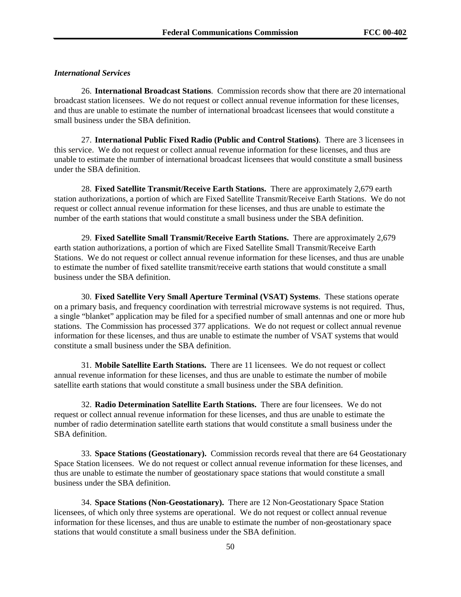#### *International Services*

26. **International Broadcast Stations**. Commission records show that there are 20 international broadcast station licensees. We do not request or collect annual revenue information for these licenses, and thus are unable to estimate the number of international broadcast licensees that would constitute a small business under the SBA definition.

27. **International Public Fixed Radio (Public and Control Stations)**. There are 3 licensees in this service. We do not request or collect annual revenue information for these licenses, and thus are unable to estimate the number of international broadcast licensees that would constitute a small business under the SBA definition.

28. **Fixed Satellite Transmit/Receive Earth Stations.** There are approximately 2,679 earth station authorizations, a portion of which are Fixed Satellite Transmit/Receive Earth Stations. We do not request or collect annual revenue information for these licenses, and thus are unable to estimate the number of the earth stations that would constitute a small business under the SBA definition.

29. **Fixed Satellite Small Transmit/Receive Earth Stations.** There are approximately 2,679 earth station authorizations, a portion of which are Fixed Satellite Small Transmit/Receive Earth Stations. We do not request or collect annual revenue information for these licenses, and thus are unable to estimate the number of fixed satellite transmit/receive earth stations that would constitute a small business under the SBA definition.

30. **Fixed Satellite Very Small Aperture Terminal (VSAT) Systems**. These stations operate on a primary basis, and frequency coordination with terrestrial microwave systems is not required. Thus, a single "blanket" application may be filed for a specified number of small antennas and one or more hub stations. The Commission has processed 377 applications. We do not request or collect annual revenue information for these licenses, and thus are unable to estimate the number of VSAT systems that would constitute a small business under the SBA definition.

31. **Mobile Satellite Earth Stations.** There are 11 licensees. We do not request or collect annual revenue information for these licenses, and thus are unable to estimate the number of mobile satellite earth stations that would constitute a small business under the SBA definition.

32. **Radio Determination Satellite Earth Stations.** There are four licensees. We do not request or collect annual revenue information for these licenses, and thus are unable to estimate the number of radio determination satellite earth stations that would constitute a small business under the SBA definition.

33. **Space Stations (Geostationary).** Commission records reveal that there are 64 Geostationary Space Station licensees. We do not request or collect annual revenue information for these licenses, and thus are unable to estimate the number of geostationary space stations that would constitute a small business under the SBA definition.

34. **Space Stations (Non-Geostationary).** There are 12 Non-Geostationary Space Station licensees, of which only three systems are operational. We do not request or collect annual revenue information for these licenses, and thus are unable to estimate the number of non-geostationary space stations that would constitute a small business under the SBA definition.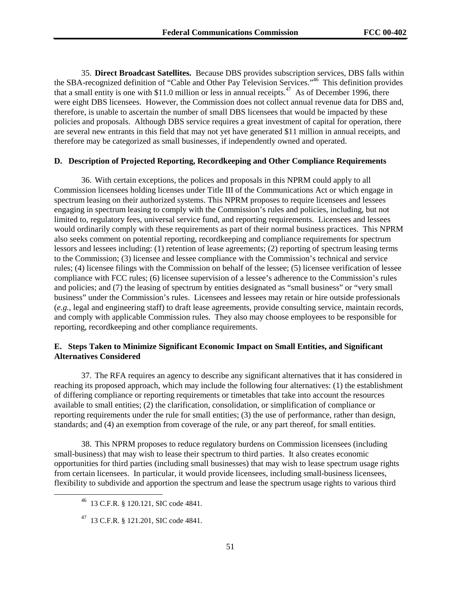35. **Direct Broadcast Satellites.** Because DBS provides subscription services, DBS falls within the SBA-recognized definition of "Cable and Other Pay Television Services."46 This definition provides that a small entity is one with \$11.0 million or less in annual receipts.<sup>47</sup> As of December 1996, there were eight DBS licensees. However, the Commission does not collect annual revenue data for DBS and, therefore, is unable to ascertain the number of small DBS licensees that would be impacted by these policies and proposals. Although DBS service requires a great investment of capital for operation, there are several new entrants in this field that may not yet have generated \$11 million in annual receipts, and therefore may be categorized as small businesses, if independently owned and operated.

### **D. Description of Projected Reporting, Recordkeeping and Other Compliance Requirements**

36. With certain exceptions, the polices and proposals in this NPRM could apply to all Commission licensees holding licenses under Title III of the Communications Act or which engage in spectrum leasing on their authorized systems. This NPRM proposes to require licensees and lessees engaging in spectrum leasing to comply with the Commission's rules and policies, including, but not limited to, regulatory fees, universal service fund, and reporting requirements. Licensees and lessees would ordinarily comply with these requirements as part of their normal business practices. This NPRM also seeks comment on potential reporting, recordkeeping and compliance requirements for spectrum lessors and lessees including: (1) retention of lease agreements; (2) reporting of spectrum leasing terms to the Commission; (3) licensee and lessee compliance with the Commission's technical and service rules; (4) licensee filings with the Commission on behalf of the lessee; (5) licensee verification of lessee compliance with FCC rules; (6) licensee supervision of a lessee's adherence to the Commission's rules and policies; and (7) the leasing of spectrum by entities designated as "small business" or "very small business" under the Commission's rules. Licensees and lessees may retain or hire outside professionals (*e.g.*, legal and engineering staff) to draft lease agreements, provide consulting service, maintain records, and comply with applicable Commission rules. They also may choose employees to be responsible for reporting, recordkeeping and other compliance requirements.

### **E. Steps Taken to Minimize Significant Economic Impact on Small Entities, and Significant Alternatives Considered**

37. The RFA requires an agency to describe any significant alternatives that it has considered in reaching its proposed approach, which may include the following four alternatives: (1) the establishment of differing compliance or reporting requirements or timetables that take into account the resources available to small entities; (2) the clarification, consolidation, or simplification of compliance or reporting requirements under the rule for small entities; (3) the use of performance, rather than design, standards; and (4) an exemption from coverage of the rule, or any part thereof, for small entities.

38. This NPRM proposes to reduce regulatory burdens on Commission licensees (including small-business) that may wish to lease their spectrum to third parties. It also creates economic opportunities for third parties (including small businesses) that may wish to lease spectrum usage rights from certain licensees. In particular, it would provide licensees, including small-business licensees, flexibility to subdivide and apportion the spectrum and lease the spectrum usage rights to various third

 <sup>46 13</sup> C.F.R. § 120.121, SIC code 4841.

 $^{47}$  13 C.F.R. § 121.201, SIC code 4841.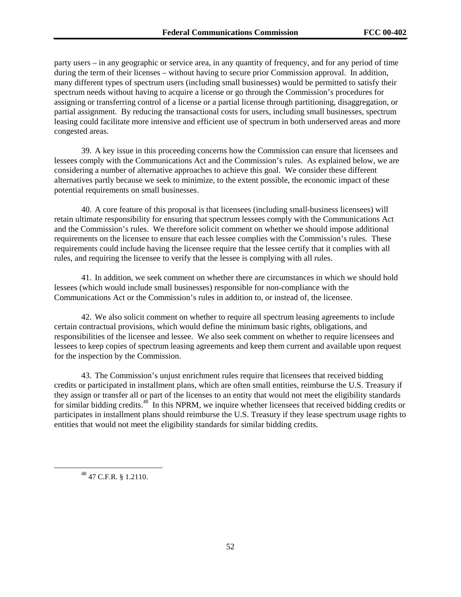party users – in any geographic or service area, in any quantity of frequency, and for any period of time during the term of their licenses – without having to secure prior Commission approval. In addition, many different types of spectrum users (including small businesses) would be permitted to satisfy their spectrum needs without having to acquire a license or go through the Commission's procedures for assigning or transferring control of a license or a partial license through partitioning, disaggregation, or partial assignment. By reducing the transactional costs for users, including small businesses, spectrum leasing could facilitate more intensive and efficient use of spectrum in both underserved areas and more congested areas.

39. A key issue in this proceeding concerns how the Commission can ensure that licensees and lessees comply with the Communications Act and the Commission's rules. As explained below, we are considering a number of alternative approaches to achieve this goal. We consider these different alternatives partly because we seek to minimize, to the extent possible, the economic impact of these potential requirements on small businesses.

40. A core feature of this proposal is that licensees (including small-business licensees) will retain ultimate responsibility for ensuring that spectrum lessees comply with the Communications Act and the Commission's rules. We therefore solicit comment on whether we should impose additional requirements on the licensee to ensure that each lessee complies with the Commission's rules. These requirements could include having the licensee require that the lessee certify that it complies with all rules, and requiring the licensee to verify that the lessee is complying with all rules.

41. In addition, we seek comment on whether there are circumstances in which we should hold lessees (which would include small businesses) responsible for non-compliance with the Communications Act or the Commission's rules in addition to, or instead of, the licensee.

42. We also solicit comment on whether to require all spectrum leasing agreements to include certain contractual provisions, which would define the minimum basic rights, obligations, and responsibilities of the licensee and lessee. We also seek comment on whether to require licensees and lessees to keep copies of spectrum leasing agreements and keep them current and available upon request for the inspection by the Commission.

43. The Commission's unjust enrichment rules require that licensees that received bidding credits or participated in installment plans, which are often small entities, reimburse the U.S. Treasury if they assign or transfer all or part of the licenses to an entity that would not meet the eligibility standards for similar bidding credits.48 In this NPRM*,* we inquire whether licensees that received bidding credits or participates in installment plans should reimburse the U.S. Treasury if they lease spectrum usage rights to entities that would not meet the eligibility standards for similar bidding credits.

48 47 C.F.R. § 1.2110.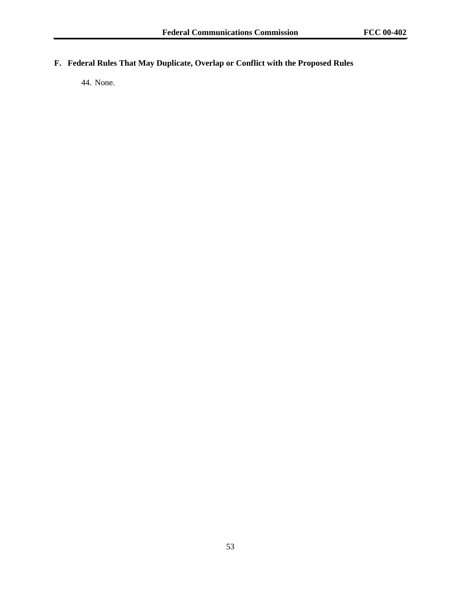# **F. Federal Rules That May Duplicate, Overlap or Conflict with the Proposed Rules**

44. None.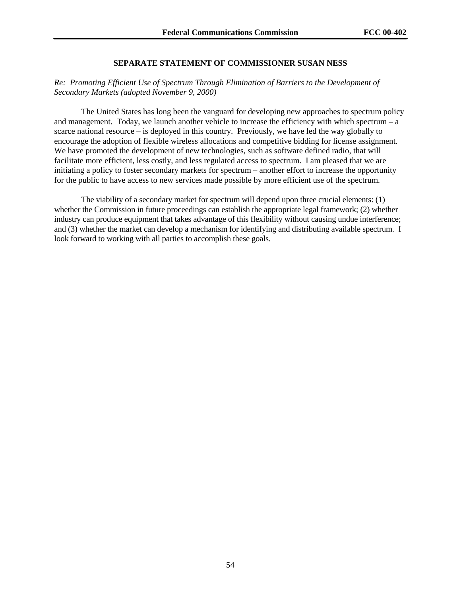# **SEPARATE STATEMENT OF COMMISSIONER SUSAN NESS**

# *Re: Promoting Efficient Use of Spectrum Through Elimination of Barriers to the Development of Secondary Markets (adopted November 9, 2000)*

The United States has long been the vanguard for developing new approaches to spectrum policy and management. Today, we launch another vehicle to increase the efficiency with which spectrum – a scarce national resource – is deployed in this country. Previously, we have led the way globally to encourage the adoption of flexible wireless allocations and competitive bidding for license assignment. We have promoted the development of new technologies, such as software defined radio, that will facilitate more efficient, less costly, and less regulated access to spectrum. I am pleased that we are initiating a policy to foster secondary markets for spectrum – another effort to increase the opportunity for the public to have access to new services made possible by more efficient use of the spectrum.

The viability of a secondary market for spectrum will depend upon three crucial elements: (1) whether the Commission in future proceedings can establish the appropriate legal framework; (2) whether industry can produce equipment that takes advantage of this flexibility without causing undue interference; and (3) whether the market can develop a mechanism for identifying and distributing available spectrum. I look forward to working with all parties to accomplish these goals.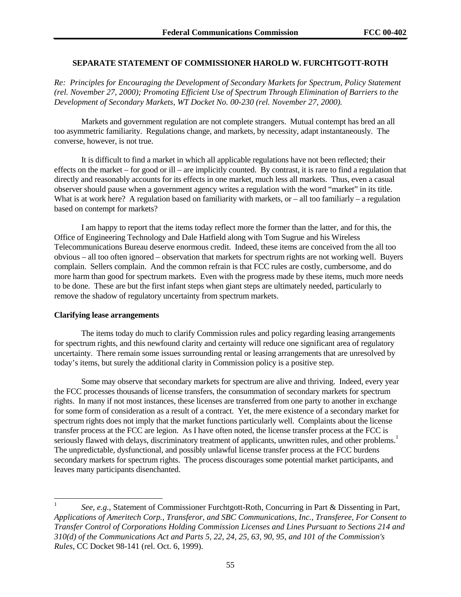# **SEPARATE STATEMENT OF COMMISSIONER HAROLD W. FURCHTGOTT-ROTH**

*Re: Principles for Encouraging the Development of Secondary Markets for Spectrum, Policy Statement (rel. November 27, 2000); Promoting Efficient Use of Spectrum Through Elimination of Barriers to the Development of Secondary Markets, WT Docket No. 00-230 (rel. November 27, 2000).* 

Markets and government regulation are not complete strangers. Mutual contempt has bred an all too asymmetric familiarity. Regulations change, and markets, by necessity, adapt instantaneously. The converse, however, is not true.

It is difficult to find a market in which all applicable regulations have not been reflected; their effects on the market – for good or ill – are implicitly counted. By contrast, it is rare to find a regulation that directly and reasonably accounts for its effects in one market, much less all markets. Thus, even a casual observer should pause when a government agency writes a regulation with the word "market" in its title. What is at work here? A regulation based on familiarity with markets, or  $-$  all too familiarly  $-$  a regulation based on contempt for markets?

I am happy to report that the items today reflect more the former than the latter, and for this, the Office of Engineering Technology and Dale Hatfield along with Tom Sugrue and his Wireless Telecommunications Bureau deserve enormous credit. Indeed, these items are conceived from the all too obvious – all too often ignored – observation that markets for spectrum rights are not working well. Buyers complain. Sellers complain. And the common refrain is that FCC rules are costly, cumbersome, and do more harm than good for spectrum markets. Even with the progress made by these items, much more needs to be done. These are but the first infant steps when giant steps are ultimately needed, particularly to remove the shadow of regulatory uncertainty from spectrum markets.

### **Clarifying lease arrangements**

l

The items today do much to clarify Commission rules and policy regarding leasing arrangements for spectrum rights, and this newfound clarity and certainty will reduce one significant area of regulatory uncertainty. There remain some issues surrounding rental or leasing arrangements that are unresolved by today's items, but surely the additional clarity in Commission policy is a positive step.

Some may observe that secondary markets for spectrum are alive and thriving. Indeed, every year the FCC processes thousands of license transfers, the consummation of secondary markets for spectrum rights. In many if not most instances, these licenses are transferred from one party to another in exchange for some form of consideration as a result of a contract. Yet, the mere existence of a secondary market for spectrum rights does not imply that the market functions particularly well. Complaints about the license transfer process at the FCC are legion. As I have often noted, the license transfer process at the FCC is seriously flawed with delays, discriminatory treatment of applicants, unwritten rules, and other problems.<sup>1</sup> The unpredictable, dysfunctional, and possibly unlawful license transfer process at the FCC burdens secondary markets for spectrum rights. The process discourages some potential market participants, and leaves many participants disenchanted.

<sup>1</sup> *See*, *e.g.*, Statement of Commissioner Furchtgott-Roth, Concurring in Part & Dissenting in Part, *Applications of Ameritech Corp., Transferor, and SBC Communications, Inc., Transferee, For Consent to Transfer Control of Corporations Holding Commission Licenses and Lines Pursuant to Sections 214 and 310(d) of the Communications Act and Parts 5, 22, 24, 25, 63, 90, 95, and 101 of the Commission's Rules*, CC Docket 98-141 (rel. Oct. 6, 1999).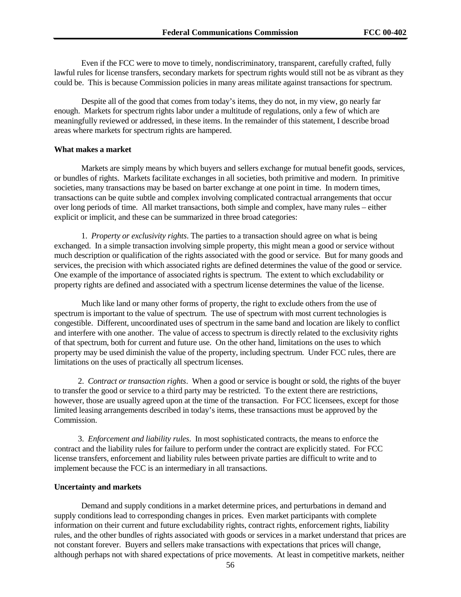Even if the FCC were to move to timely, nondiscriminatory, transparent, carefully crafted, fully lawful rules for license transfers, secondary markets for spectrum rights would still not be as vibrant as they could be. This is because Commission policies in many areas militate against transactions for spectrum.

Despite all of the good that comes from today's items, they do not, in my view, go nearly far enough. Markets for spectrum rights labor under a multitude of regulations, only a few of which are meaningfully reviewed or addressed, in these items. In the remainder of this statement, I describe broad areas where markets for spectrum rights are hampered.

#### **What makes a market**

Markets are simply means by which buyers and sellers exchange for mutual benefit goods, services, or bundles of rights. Markets facilitate exchanges in all societies, both primitive and modern. In primitive societies, many transactions may be based on barter exchange at one point in time. In modern times, transactions can be quite subtle and complex involving complicated contractual arrangements that occur over long periods of time. All market transactions, both simple and complex, have many rules – either explicit or implicit, and these can be summarized in three broad categories:

1. *Property or exclusivity rights*. The parties to a transaction should agree on what is being exchanged. In a simple transaction involving simple property, this might mean a good or service without much description or qualification of the rights associated with the good or service. But for many goods and services, the precision with which associated rights are defined determines the value of the good or service. One example of the importance of associated rights is spectrum. The extent to which excludability or property rights are defined and associated with a spectrum license determines the value of the license.

Much like land or many other forms of property, the right to exclude others from the use of spectrum is important to the value of spectrum. The use of spectrum with most current technologies is congestible. Different, uncoordinated uses of spectrum in the same band and location are likely to conflict and interfere with one another. The value of access to spectrum is directly related to the exclusivity rights of that spectrum, both for current and future use. On the other hand, limitations on the uses to which property may be used diminish the value of the property, including spectrum. Under FCC rules, there are limitations on the uses of practically all spectrum licenses.

2. *Contract or transaction rights*. When a good or service is bought or sold, the rights of the buyer to transfer the good or service to a third party may be restricted. To the extent there are restrictions, however, those are usually agreed upon at the time of the transaction. For FCC licensees, except for those limited leasing arrangements described in today's items, these transactions must be approved by the Commission.

3. *Enforcement and liability rules*. In most sophisticated contracts, the means to enforce the contract and the liability rules for failure to perform under the contract are explicitly stated. For FCC license transfers, enforcement and liability rules between private parties are difficult to write and to implement because the FCC is an intermediary in all transactions.

#### **Uncertainty and markets**

Demand and supply conditions in a market determine prices, and perturbations in demand and supply conditions lead to corresponding changes in prices. Even market participants with complete information on their current and future excludability rights, contract rights, enforcement rights, liability rules, and the other bundles of rights associated with goods or services in a market understand that prices are not constant forever. Buyers and sellers make transactions with expectations that prices will change, although perhaps not with shared expectations of price movements. At least in competitive markets, neither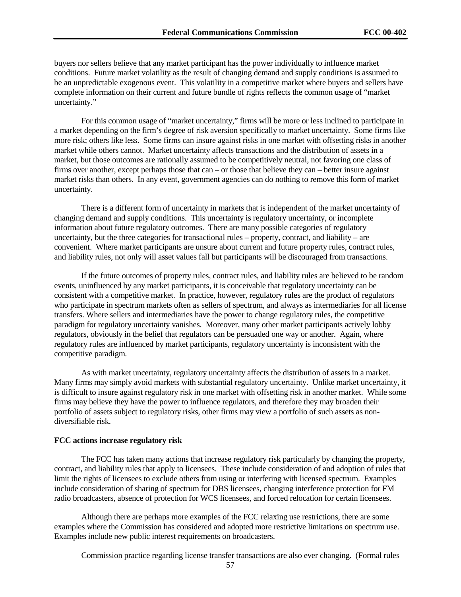buyers nor sellers believe that any market participant has the power individually to influence market conditions. Future market volatility as the result of changing demand and supply conditions is assumed to be an unpredictable exogenous event. This volatility in a competitive market where buyers and sellers have complete information on their current and future bundle of rights reflects the common usage of "market uncertainty."

For this common usage of "market uncertainty," firms will be more or less inclined to participate in a market depending on the firm's degree of risk aversion specifically to market uncertainty. Some firms like more risk; others like less. Some firms can insure against risks in one market with offsetting risks in another market while others cannot. Market uncertainty affects transactions and the distribution of assets in a market, but those outcomes are rationally assumed to be competitively neutral, not favoring one class of firms over another, except perhaps those that can – or those that believe they can – better insure against market risks than others. In any event, government agencies can do nothing to remove this form of market uncertainty.

There is a different form of uncertainty in markets that is independent of the market uncertainty of changing demand and supply conditions. This uncertainty is regulatory uncertainty, or incomplete information about future regulatory outcomes. There are many possible categories of regulatory uncertainty, but the three categories for transactional rules – property, contract, and liability – are convenient. Where market participants are unsure about current and future property rules, contract rules, and liability rules, not only will asset values fall but participants will be discouraged from transactions.

If the future outcomes of property rules, contract rules, and liability rules are believed to be random events, uninfluenced by any market participants, it is conceivable that regulatory uncertainty can be consistent with a competitive market. In practice, however, regulatory rules are the product of regulators who participate in spectrum markets often as sellers of spectrum, and always as intermediaries for all license transfers. Where sellers and intermediaries have the power to change regulatory rules, the competitive paradigm for regulatory uncertainty vanishes. Moreover, many other market participants actively lobby regulators, obviously in the belief that regulators can be persuaded one way or another. Again, where regulatory rules are influenced by market participants, regulatory uncertainty is inconsistent with the competitive paradigm.

As with market uncertainty, regulatory uncertainty affects the distribution of assets in a market. Many firms may simply avoid markets with substantial regulatory uncertainty. Unlike market uncertainty, it is difficult to insure against regulatory risk in one market with offsetting risk in another market. While some firms may believe they have the power to influence regulators, and therefore they may broaden their portfolio of assets subject to regulatory risks, other firms may view a portfolio of such assets as nondiversifiable risk.

### **FCC actions increase regulatory risk**

The FCC has taken many actions that increase regulatory risk particularly by changing the property, contract, and liability rules that apply to licensees. These include consideration of and adoption of rules that limit the rights of licensees to exclude others from using or interfering with licensed spectrum. Examples include consideration of sharing of spectrum for DBS licensees, changing interference protection for FM radio broadcasters, absence of protection for WCS licensees, and forced relocation for certain licensees.

Although there are perhaps more examples of the FCC relaxing use restrictions, there are some examples where the Commission has considered and adopted more restrictive limitations on spectrum use. Examples include new public interest requirements on broadcasters.

Commission practice regarding license transfer transactions are also ever changing. (Formal rules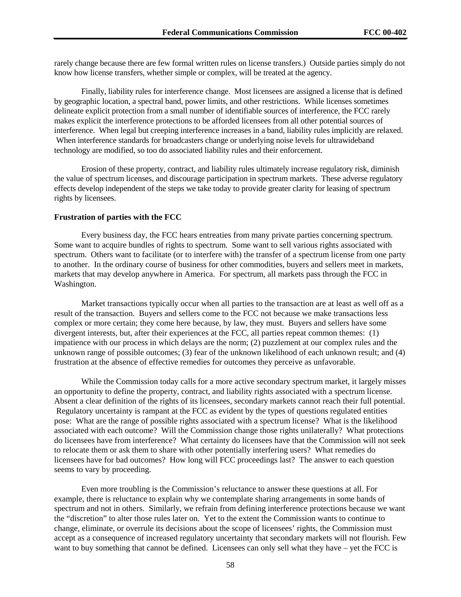rarely change because there are few formal written rules on license transfers.) Outside parties simply do not know how license transfers, whether simple or complex, will be treated at the agency.

Finally, liability rules for interference change. Most licensees are assigned a license that is defined by geographic location, a spectral band, power limits, and other restrictions. While licenses sometimes delineate explicit protection from a small number of identifiable sources of interference, the FCC rarely makes explicit the interference protections to be afforded licensees from all other potential sources of interference. When legal but creeping interference increases in a band, liability rules implicitly are relaxed. When interference standards for broadcasters change or underlying noise levels for ultrawideband technology are modified, so too do associated liability rules and their enforcement.

Erosion of these property, contract, and liability rules ultimately increase regulatory risk, diminish the value of spectrum licenses, and discourage participation in spectrum markets. These adverse regulatory effects develop independent of the steps we take today to provide greater clarity for leasing of spectrum rights by licensees.

#### **Frustration of parties with the FCC**

Every business day, the FCC hears entreaties from many private parties concerning spectrum. Some want to acquire bundles of rights to spectrum. Some want to sell various rights associated with spectrum. Others want to facilitate (or to interfere with) the transfer of a spectrum license from one party to another. In the ordinary course of business for other commodities, buyers and sellers meet in markets, markets that may develop anywhere in America. For spectrum, all markets pass through the FCC in Washington.

Market transactions typically occur when all parties to the transaction are at least as well off as a result of the transaction. Buyers and sellers come to the FCC not because we make transactions less complex or more certain; they come here because, by law, they must. Buyers and sellers have some divergent interests, but, after their experiences at the FCC, all parties repeat common themes: (1) impatience with our process in which delays are the norm; (2) puzzlement at our complex rules and the unknown range of possible outcomes; (3) fear of the unknown likelihood of each unknown result; and (4) frustration at the absence of effective remedies for outcomes they perceive as unfavorable.

While the Commission today calls for a more active secondary spectrum market, it largely misses an opportunity to define the property, contract, and liability rights associated with a spectrum license. Absent a clear definition of the rights of its licensees, secondary markets cannot reach their full potential. Regulatory uncertainty is rampant at the FCC as evident by the types of questions regulated entities pose: What are the range of possible rights associated with a spectrum license? What is the likelihood associated with each outcome? Will the Commission change those rights unilaterally? What protections do licensees have from interference? What certainty do licensees have that the Commission will not seek to relocate them or ask them to share with other potentially interfering users? What remedies do licensees have for bad outcomes? How long will FCC proceedings last? The answer to each question seems to vary by proceeding.

Even more troubling is the Commission's reluctance to answer these questions at all. For example, there is reluctance to explain why we contemplate sharing arrangements in some bands of spectrum and not in others. Similarly, we refrain from defining interference protections because we want the "discretion" to alter those rules later on. Yet to the extent the Commission wants to continue to change, eliminate, or overrule its decisions about the scope of licensees' rights, the Commission must accept as a consequence of increased regulatory uncertainty that secondary markets will not flourish. Few want to buy something that cannot be defined. Licensees can only sell what they have – yet the FCC is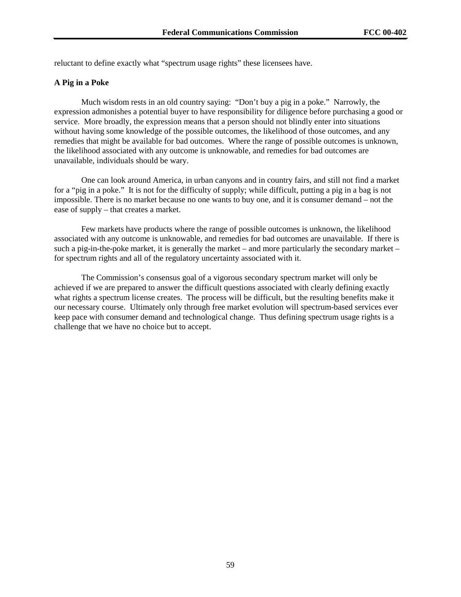reluctant to define exactly what "spectrum usage rights" these licensees have.

### **A Pig in a Poke**

Much wisdom rests in an old country saying: "Don't buy a pig in a poke." Narrowly, the expression admonishes a potential buyer to have responsibility for diligence before purchasing a good or service. More broadly, the expression means that a person should not blindly enter into situations without having some knowledge of the possible outcomes, the likelihood of those outcomes, and any remedies that might be available for bad outcomes. Where the range of possible outcomes is unknown, the likelihood associated with any outcome is unknowable, and remedies for bad outcomes are unavailable, individuals should be wary.

One can look around America, in urban canyons and in country fairs, and still not find a market for a "pig in a poke." It is not for the difficulty of supply; while difficult, putting a pig in a bag is not impossible. There is no market because no one wants to buy one, and it is consumer demand – not the ease of supply – that creates a market.

Few markets have products where the range of possible outcomes is unknown, the likelihood associated with any outcome is unknowable, and remedies for bad outcomes are unavailable. If there is such a pig-in-the-poke market, it is generally the market – and more particularly the secondary market – for spectrum rights and all of the regulatory uncertainty associated with it.

The Commission's consensus goal of a vigorous secondary spectrum market will only be achieved if we are prepared to answer the difficult questions associated with clearly defining exactly what rights a spectrum license creates. The process will be difficult, but the resulting benefits make it our necessary course. Ultimately only through free market evolution will spectrum-based services ever keep pace with consumer demand and technological change. Thus defining spectrum usage rights is a challenge that we have no choice but to accept.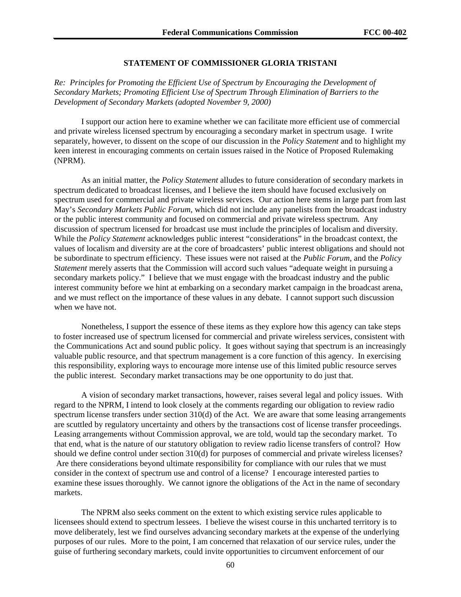# **STATEMENT OF COMMISSIONER GLORIA TRISTANI**

*Re: Principles for Promoting the Efficient Use of Spectrum by Encouraging the Development of Secondary Markets; Promoting Efficient Use of Spectrum Through Elimination of Barriers to the Development of Secondary Markets (adopted November 9, 2000)*

I support our action here to examine whether we can facilitate more efficient use of commercial and private wireless licensed spectrum by encouraging a secondary market in spectrum usage. I write separately, however, to dissent on the scope of our discussion in the *Policy Statement* and to highlight my keen interest in encouraging comments on certain issues raised in the Notice of Proposed Rulemaking (NPRM).

As an initial matter, the *Policy Statement* alludes to future consideration of secondary markets in spectrum dedicated to broadcast licenses, and I believe the item should have focused exclusively on spectrum used for commercial and private wireless services. Our action here stems in large part from last May's *Secondary Markets Public Forum*, which did not include any panelists from the broadcast industry or the public interest community and focused on commercial and private wireless spectrum. Any discussion of spectrum licensed for broadcast use must include the principles of localism and diversity. While the *Policy Statement* acknowledges public interest "considerations" in the broadcast context, the values of localism and diversity are at the core of broadcasters' public interest obligations and should not be subordinate to spectrum efficiency. These issues were not raised at the *Public Forum*, and the *Policy Statement* merely asserts that the Commission will accord such values "adequate weight in pursuing a secondary markets policy." I believe that we must engage with the broadcast industry and the public interest community before we hint at embarking on a secondary market campaign in the broadcast arena, and we must reflect on the importance of these values in any debate. I cannot support such discussion when we have not.

Nonetheless, I support the essence of these items as they explore how this agency can take steps to foster increased use of spectrum licensed for commercial and private wireless services, consistent with the Communications Act and sound public policy. It goes without saying that spectrum is an increasingly valuable public resource, and that spectrum management is a core function of this agency. In exercising this responsibility, exploring ways to encourage more intense use of this limited public resource serves the public interest. Secondary market transactions may be one opportunity to do just that.

A vision of secondary market transactions, however, raises several legal and policy issues. With regard to the NPRM, I intend to look closely at the comments regarding our obligation to review radio spectrum license transfers under section 310(d) of the Act. We are aware that some leasing arrangements are scuttled by regulatory uncertainty and others by the transactions cost of license transfer proceedings. Leasing arrangements without Commission approval, we are told, would tap the secondary market. To that end, what is the nature of our statutory obligation to review radio license transfers of control? How should we define control under section 310(d) for purposes of commercial and private wireless licenses? Are there considerations beyond ultimate responsibility for compliance with our rules that we must consider in the context of spectrum use and control of a license? I encourage interested parties to examine these issues thoroughly. We cannot ignore the obligations of the Act in the name of secondary markets.

The NPRM also seeks comment on the extent to which existing service rules applicable to licensees should extend to spectrum lessees. I believe the wisest course in this uncharted territory is to move deliberately, lest we find ourselves advancing secondary markets at the expense of the underlying purposes of our rules. More to the point, I am concerned that relaxation of our service rules, under the guise of furthering secondary markets, could invite opportunities to circumvent enforcement of our